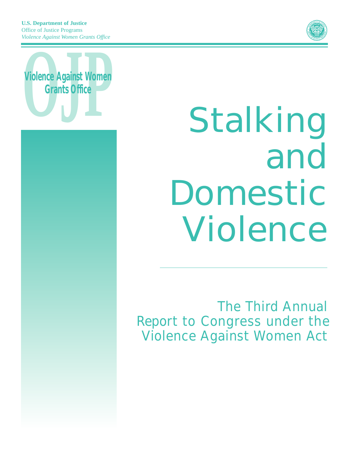**U.S. Department of Justice**  Office of Justice Programs *Violence Against Women Grants Office* 





# Stalking and Domestic Violence

*The Third Annual Report to Congress under the Violence Against Women Act*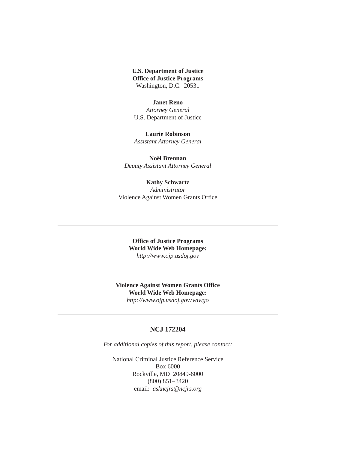**U.S. Department of Justice Office of Justice Programs**  Washington, D.C. 20531

#### **Janet Reno**

*Attorney General*  U.S. Department of Justice

**Laurie Robinson**  *Assistant Attorney General* 

**Noël Brennan**  *Deputy Assistant Attorney General* 

## **Kathy Schwartz**

*Administrator*  Violence Against Women Grants Office

**Office of Justice Programs World Wide Web Homepage:**  *http://www.ojp.usdoj.gov* 

**Violence Against Women Grants Office World Wide Web Homepage:**  *http://www.ojp.usdoj.gov/vawgo* 

#### **NCJ 172204**

*For additional copies of this report, please contact:* 

National Criminal Justice Reference Service Box 6000 Rockville, MD 20849-6000 (800) 851–3420 email: *askncjrs@ncjrs.org*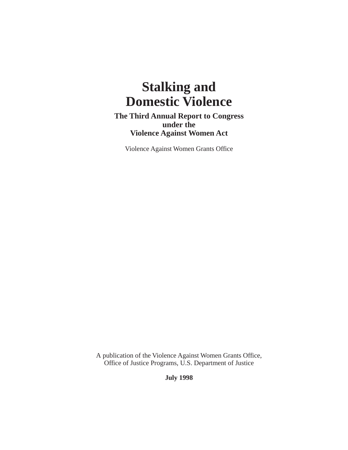# **Stalking and Domestic Violence**

## **The Third Annual Report to Congress under the Violence Against Women Act**

Violence Against Women Grants Office

A publication of the Violence Against Women Grants Office, Office of Justice Programs, U.S. Department of Justice

**July 1998**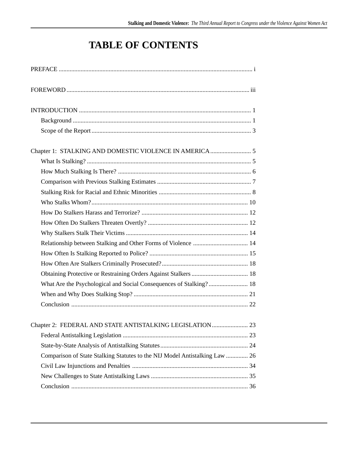# **TABLE OF CONTENTS**

| What Are the Psychological and Social Consequences of Stalking? 18          |  |
|-----------------------------------------------------------------------------|--|
|                                                                             |  |
|                                                                             |  |
| Chapter 2: FEDERAL AND STATE ANTISTALKING LEGISLATION 23                    |  |
|                                                                             |  |
|                                                                             |  |
| Comparison of State Stalking Statutes to the NIJ Model Antistalking Law  26 |  |
|                                                                             |  |
|                                                                             |  |
|                                                                             |  |
|                                                                             |  |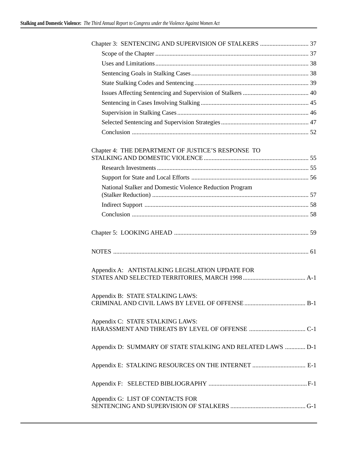| Chapter 4: THE DEPARTMENT OF JUSTICE'S RESPONSE TO          |  |
|-------------------------------------------------------------|--|
|                                                             |  |
|                                                             |  |
|                                                             |  |
| National Stalker and Domestic Violence Reduction Program    |  |
|                                                             |  |
|                                                             |  |
|                                                             |  |
|                                                             |  |
|                                                             |  |
| Appendix A: ANTISTALKING LEGISLATION UPDATE FOR             |  |
|                                                             |  |
| Appendix B: STATE STALKING LAWS:                            |  |
| Appendix C: STATE STALKING LAWS:                            |  |
| Appendix D: SUMMARY OF STATE STALKING AND RELATED LAWS  D-1 |  |
| Appendix E: STALKING RESOURCES ON THE INTERNET  E-1         |  |
|                                                             |  |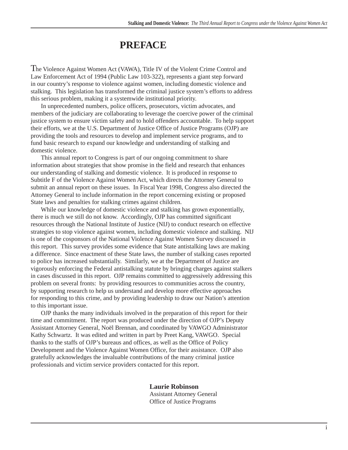## **PREFACE**

The Violence Against Women Act (VAWA), Title IV of the Violent Crime Control and Law Enforcement Act of 1994 (Public Law 103-322), represents a giant step forward in our country's response to violence against women, including domestic violence and stalking. This legislation has transformed the criminal justice system's efforts to address this serious problem, making it a systemwide institutional priority.

In unprecedented numbers, police officers, prosecutors, victim advocates, and members of the judiciary are collaborating to leverage the coercive power of the criminal justice system to ensure victim safety and to hold offenders accountable. To help support their efforts, we at the U.S. Department of Justice Office of Justice Programs (OJP) are providing the tools and resources to develop and implement service programs, and to fund basic research to expand our knowledge and understanding of stalking and domestic violence.

This annual report to Congress is part of our ongoing commitment to share information about strategies that show promise in the field and research that enhances our understanding of stalking and domestic violence. It is produced in response to Subtitle F of the Violence Against Women Act, which directs the Attorney General to submit an annual report on these issues. In Fiscal Year 1998, Congress also directed the Attorney General to include information in the report concerning existing or proposed State laws and penalties for stalking crimes against children.

While our knowledge of domestic violence and stalking has grown exponentially, there is much we still do not know. Accordingly, OJP has committed significant resources through the National Institute of Justice (NIJ) to conduct research on effective strategies to stop violence against women, including domestic violence and stalking. NIJ is one of the cosponsors of the National Violence Against Women Survey discussed in this report. This survey provides some evidence that State antistalking laws are making a difference. Since enactment of these State laws, the number of stalking cases reported to police has increased substantially. Similarly, we at the Department of Justice are vigorously enforcing the Federal antistalking statute by bringing charges against stalkers in cases discussed in this report. OJP remains committed to aggressively addressing this problem on several fronts: by providing resources to communities across the country, by supporting research to help us understand and develop more effective approaches for responding to this crime, and by providing leadership to draw our Nation's attention to this important issue.

OJP thanks the many individuals involved in the preparation of this report for their time and commitment. The report was produced under the direction of OJP's Deputy Assistant Attorney General, Noël Brennan, and coordinated by VAWGO Administrator Kathy Schwartz. It was edited and written in part by Preet Kang, VAWGO. Special thanks to the staffs of OJP's bureaus and offices, as well as the Office of Policy Development and the Violence Against Women Office, for their assistance. OJP also gratefully acknowledges the invaluable contributions of the many criminal justice professionals and victim service providers contacted for this report.

**Laurie Robinson** 

Assistant Attorney General Office of Justice Programs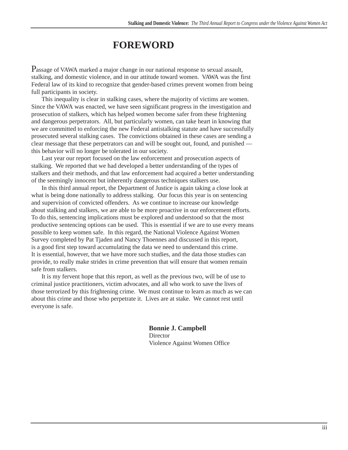# **FOREWORD**

Passage of VAWA marked a major change in our national response to sexual assault, stalking, and domestic violence, and in our attitude toward women. VAWA was the first Federal law of its kind to recognize that gender-based crimes prevent women from being full participants in society.

This inequality is clear in stalking cases, where the majority of victims are women. Since the VAWA was enacted, we have seen significant progress in the investigation and prosecution of stalkers, which has helped women become safer from these frightening and dangerous perpetrators. All, but particularly women, can take heart in knowing that we are committed to enforcing the new Federal antistalking statute and have successfully prosecuted several stalking cases. The convictions obtained in these cases are sending a clear message that these perpetrators can and will be sought out, found, and punished this behavior will no longer be tolerated in our society.

Last year our report focused on the law enforcement and prosecution aspects of stalking. We reported that we had developed a better understanding of the types of stalkers and their methods, and that law enforcement had acquired a better understanding of the seemingly innocent but inherently dangerous techniques stalkers use.

In this third annual report, the Department of Justice is again taking a close look at what is being done nationally to address stalking. Our focus this year is on sentencing and supervision of convicted offenders. As we continue to increase our knowledge about stalking and stalkers, we are able to be more proactive in our enforcement efforts. To do this, sentencing implications must be explored and understood so that the most productive sentencing options can be used. This is essential if we are to use every means possible to keep women safe. In this regard, the National Violence Against Women Survey completed by Pat Tjaden and Nancy Thoennes and discussed in this report, is a good first step toward accumulating the data we need to understand this crime. It is essential, however, that we have more such studies, and the data those studies can provide, to really make strides in crime prevention that will ensure that women remain safe from stalkers.

It is my fervent hope that this report, as well as the previous two, will be of use to criminal justice practitioners, victim advocates, and all who work to save the lives of those terrorized by this frightening crime. We must continue to learn as much as we can about this crime and those who perpetrate it. Lives are at stake. We cannot rest until everyone is safe.

> **Bonnie J. Campbell**  Director Violence Against Women Office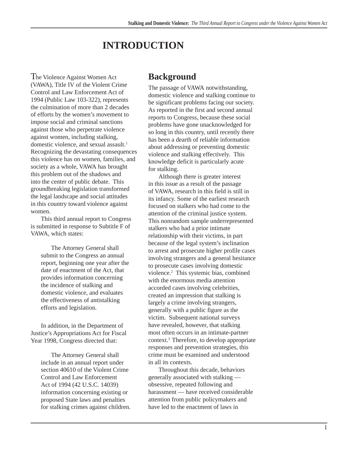# **INTRODUCTION**

The Violence Against Women Act (VAWA), Title IV of the Violent Crime Control and Law Enforcement Act of 1994 (Public Law 103-322), represents the culmination of more than 2 decades of efforts by the women's movement to impose social and criminal sanctions against those who perpetrate violence against women, including stalking, domestic violence, and sexual assault.<sup>1</sup> Recognizing the devastating consequences this violence has on women, families, and society as a whole, VAWA has brought this problem out of the shadows and into the center of public debate. This groundbreaking legislation transformed the legal landscape and social attitudes in this country toward violence against women.

This third annual report to Congress is submitted in response to Subtitle F of VAWA, which states:

The Attorney General shall submit to the Congress an annual report, beginning one year after the date of enactment of the Act, that provides information concerning the incidence of stalking and domestic violence, and evaluates the effectiveness of antistalking efforts and legislation.

In addition, in the Department of Justice's Appropriations Act for Fiscal Year 1998, Congress directed that:

> The Attorney General shall include in an annual report under section 40610 of the Violent Crime Control and Law Enforcement Act of 1994 (42 U.S.C. 14039) information concerning existing or proposed State laws and penalties for stalking crimes against children.

## **Background**

The passage of VAWA notwithstanding, domestic violence and stalking continue to be significant problems facing our society. As reported in the first and second annual reports to Congress, because these social problems have gone unacknowledged for so long in this country, until recently there has been a dearth of reliable information about addressing or preventing domestic violence and stalking effectively. This knowledge deficit is particularly acute for stalking.

Although there is greater interest in this issue as a result of the passage of VAWA, research in this field is still in its infancy. Some of the earliest research focused on stalkers who had come to the attention of the criminal justice system. This nonrandom sample underrepresented stalkers who had a prior intimate relationship with their victims, in part because of the legal system's inclination to arrest and prosecute higher profile cases involving strangers and a general hesitance to prosecute cases involving domestic violence.2 This systemic bias, combined with the enormous media attention accorded cases involving celebrities, created an impression that stalking is largely a crime involving strangers, generally with a public figure as the victim. Subsequent national surveys have revealed, however, that stalking most often occurs in an intimate-partner context.3 Therefore, to develop appropriate responses and prevention strategies, this crime must be examined and understood in all its contexts.

Throughout this decade, behaviors generally associated with stalking obsessive, repeated following and harassment — have received considerable attention from public policymakers and have led to the enactment of laws in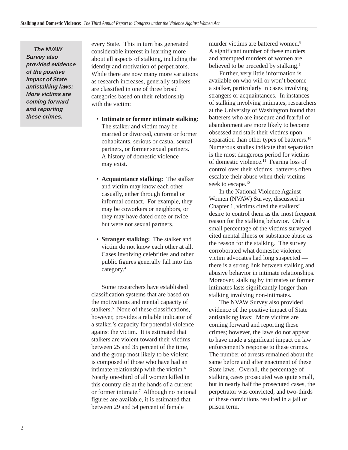**The NVAW Survey also provided evidence of the positive impact of State antistalking laws: More victims are coming forward and reporting these crimes.** 

every State. This in turn has generated considerable interest in learning more about all aspects of stalking, including the identity and motivation of perpetrators. While there are now many more variations as research increases, generally stalkers are classified in one of three broad categories based on their relationship with the victim:

- • **Intimate or former intimate stalking:**  The stalker and victim may be married or divorced, current or former cohabitants, serious or casual sexual partners, or former sexual partners. A history of domestic violence may exist.
- • **Acquaintance stalking:** The stalker and victim may know each other casually, either through formal or informal contact. For example, they may be coworkers or neighbors, or they may have dated once or twice but were not sexual partners.
- • **Stranger stalking:** The stalker and victim do not know each other at all. Cases involving celebrities and other public figures generally fall into this category. 4

Some researchers have established classification systems that are based on the motivations and mental capacity of stalkers.<sup>5</sup> None of these classifications, however, provides a reliable indicator of a stalker's capacity for potential violence against the victim. It is estimated that stalkers are violent toward their victims between 25 and 35 percent of the time, and the group most likely to be violent is composed of those who have had an intimate relationship with the victim.6 Nearly one-third of all women killed in this country die at the hands of a current or former intimate.7 Although no national figures are available, it is estimated that between 29 and 54 percent of female

murder victims are battered women.<sup>8</sup> A significant number of these murders and attempted murders of women are believed to be preceded by stalking.<sup>9</sup>

Further, very little information is available on who will or won't become a stalker, particularly in cases involving strangers or acquaintances. In instances of stalking involving intimates, researchers at the University of Washington found that batterers who are insecure and fearful of abandonment are more likely to become obsessed and stalk their victims upon separation than other types of batterers.<sup>10</sup> Numerous studies indicate that separation is the most dangerous period for victims of domestic violence.11 Fearing loss of control over their victims, batterers often escalate their abuse when their victims seek to escape.<sup>12</sup>

In the National Violence Against Women (NVAW) Survey, discussed in Chapter 1, victims cited the stalkers' desire to control them as the most frequent reason for the stalking behavior. Only a small percentage of the victims surveyed cited mental illness or substance abuse as the reason for the stalking. The survey corroborated what domestic violence victim advocates had long suspected there is a strong link between stalking and abusive behavior in intimate relationships. Moreover, stalking by intimates or former intimates lasts significantly longer than stalking involving non-intimates.

The NVAW Survey also provided evidence of the positive impact of State antistalking laws: More victims are coming forward and reporting these crimes; however, the laws do not appear to have made a significant impact on law enforcement's response to these crimes. The number of arrests remained about the same before and after enactment of these State laws. Overall, the percentage of stalking cases prosecuted was quite small, but in nearly half the prosecuted cases, the perpetrator was convicted, and two-thirds of these convictions resulted in a jail or prison term.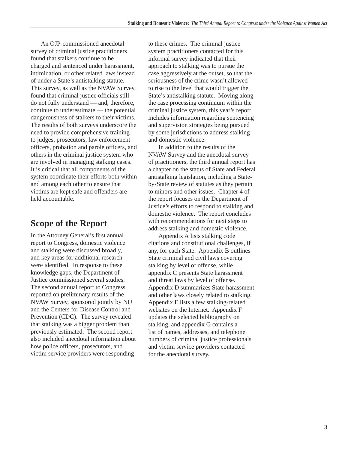An OJP-commissioned anecdotal survey of criminal justice practitioners found that stalkers continue to be charged and sentenced under harassment, intimidation, or other related laws instead of under a State's antistalking statute. This survey, as well as the NVAW Survey, found that criminal justice officials still do not fully understand — and, therefore, continue to underestimate — the potential dangerousness of stalkers to their victims. The results of both surveys underscore the need to provide comprehensive training to judges, prosecutors, law enforcement officers, probation and parole officers, and others in the criminal justice system who are involved in managing stalking cases. It is critical that all components of the system coordinate their efforts both within and among each other to ensure that victims are kept safe and offenders are held accountable.

## **Scope of the Report**

In the Attorney General's first annual report to Congress, domestic violence and stalking were discussed broadly, and key areas for additional research were identified. In response to these knowledge gaps, the Department of Justice commissioned several studies. The second annual report to Congress reported on preliminary results of the NVAW Survey, sponsored jointly by NIJ and the Centers for Disease Control and Prevention (CDC). The survey revealed that stalking was a bigger problem than previously estimated. The second report also included anecdotal information about how police officers, prosecutors, and victim service providers were responding

to these crimes. The criminal justice system practitioners contacted for this informal survey indicated that their approach to stalking was to pursue the case aggressively at the outset, so that the seriousness of the crime wasn't allowed to rise to the level that would trigger the State's antistalking statute. Moving along the case processing continuum within the criminal justice system, this year's report includes information regarding sentencing and supervision strategies being pursued by some jurisdictions to address stalking and domestic violence.

In addition to the results of the NVAW Survey and the anecdotal survey of practitioners, the third annual report has a chapter on the status of State and Federal antistalking legislation, including a Stateby-State review of statutes as they pertain to minors and other issues. Chapter 4 of the report focuses on the Department of Justice's efforts to respond to stalking and domestic violence. The report concludes with recommendations for next steps to address stalking and domestic violence.

Appendix A lists stalking code citations and constitutional challenges, if any, for each State. Appendix B outlines State criminal and civil laws covering stalking by level of offense, while appendix C presents State harassment and threat laws by level of offense. Appendix D summarizes State harassment and other laws closely related to stalking. Appendix E lists a few stalking-related websites on the Internet. Appendix F updates the selected bibliography on stalking, and appendix G contains a list of names, addresses, and telephone numbers of criminal justice professionals and victim service providers contacted for the anecdotal survey.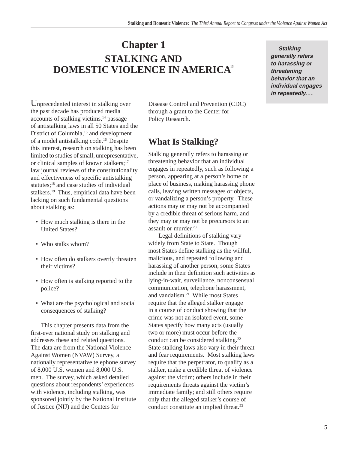# **Chapter 1 STALKING AND DOMESTIC VIOLENCE IN AMERICA**13

Unprecedented interest in stalking over the past decade has produced media accounts of stalking victims,<sup>14</sup> passage of antistalking laws in all 50 States and the District of Columbia,<sup>15</sup> and development of a model antistalking code.16 Despite this interest, research on stalking has been limited to studies of small, unrepresentative, or clinical samples of known stalkers;<sup>17</sup> law journal reviews of the constitutionality and effectiveness of specific antistalking statutes;<sup>18</sup> and case studies of individual stalkers.<sup>19</sup> Thus, empirical data have been lacking on such fundamental questions about stalking as:

- How much stalking is there in the United States?
- Who stalks whom?
- How often do stalkers overtly threaten their victims?
- How often is stalking reported to the police?
- What are the psychological and social consequences of stalking?

This chapter presents data from the first-ever national study on stalking and addresses these and related questions. The data are from the National Violence Against Women (NVAW) Survey, a nationally representative telephone survey of 8,000 U.S. women and 8,000 U.S. men. The survey, which asked detailed questions about respondents' experiences with violence, including stalking, was sponsored jointly by the National Institute of Justice (NIJ) and the Centers for

Disease Control and Prevention (CDC) through a grant to the Center for Policy Research.

## **What Is Stalking?**

Stalking generally refers to harassing or threatening behavior that an individual engages in repeatedly, such as following a person, appearing at a person's home or place of business, making harassing phone calls, leaving written messages or objects, or vandalizing a person's property. These actions may or may not be accompanied by a credible threat of serious harm, and they may or may not be precursors to an assault or murder. 20

Legal definitions of stalking vary widely from State to State. Though most States define stalking as the willful, malicious, and repeated following and harassing of another person, some States include in their definition such activities as lying-in-wait, surveillance, nonconsensual communication, telephone harassment, and vandalism.21 While most States require that the alleged stalker engage in a course of conduct showing that the crime was not an isolated event, some States specify how many acts (usually two or more) must occur before the conduct can be considered stalking.<sup>22</sup> State stalking laws also vary in their threat and fear requirements. Most stalking laws require that the perpetrator, to qualify as a stalker, make a credible threat of violence against the victim; others include in their requirements threats against the victim's immediate family; and still others require only that the alleged stalker's course of conduct constitute an implied threat.<sup>23</sup>

**Stalking generally refers to harassing or threatening behavior that an individual engages in repeatedly. . .**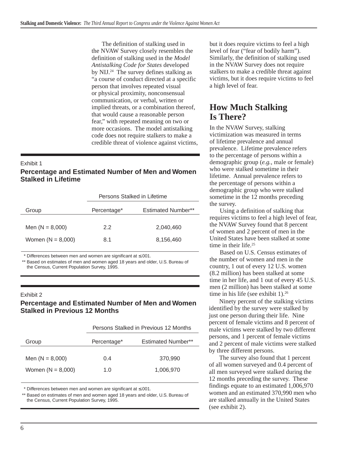The definition of stalking used in the NVAW Survey closely resembles the definition of stalking used in the *Model Antistalking Code for States* developed by NIJ.<sup>24</sup> The survey defines stalking as "a course of conduct directed at a specific person that involves repeated visual or physical proximity, nonconsensual communication, or verbal, written or implied threats, or a combination thereof, that would cause a reasonable person fear," with repeated meaning on two or more occasions. The model antistalking code does not require stalkers to make a credible threat of violence against victims,

#### Exhibit 1

#### **Percentage and Estimated Number of Men and Women Stalked in Lifetime**

|                     | Persons Stalked in Lifetime |                           |  |
|---------------------|-----------------------------|---------------------------|--|
| Group               | Percentage*                 | <b>Estimated Number**</b> |  |
| Men $(N = 8,000)$   | 2.2                         | 2,040,460                 |  |
| Women $(N = 8,000)$ | 8.1                         | 8,156,460                 |  |

\* Differences between men and women are significant at ≤.001.

\*\* Based on estimates of men and women aged 18 years and older, U.S. Bureau of the Census, Current Population Survey, 1995.

#### Exhibit 2

#### **Percentage and Estimated Number of Men and Women Stalked in Previous 12 Months**

|                     | Persons Stalked in Previous 12 Months |                           |  |
|---------------------|---------------------------------------|---------------------------|--|
| Group               | Percentage*                           | <b>Estimated Number**</b> |  |
| Men $(N = 8,000)$   | 0.4                                   | 370,990                   |  |
| Women $(N = 8,000)$ | 1.0                                   | 1,006,970                 |  |

\* Differences between men and women are significant at ≤.001.

\*\* Based on estimates of men and women aged 18 years and older, U.S. Bureau of the Census, Current Population Survey, 1995. 

but it does require victims to feel a high level of fear ("fear of bodily harm"). Similarly, the definition of stalking used in the NVAW Survey does not require stalkers to make a credible threat against victims, but it does require victims to feel a high level of fear.

## **How Much Stalking Is There?**

In the NVAW Survey, stalking victimization was measured in terms of lifetime prevalence and annual prevalence. Lifetime prevalence refers to the percentage of persons within a demographic group (*e.g.*, male or female) who were stalked sometime in their lifetime. Annual prevalence refers to the percentage of persons within a demographic group who were stalked sometime in the 12 months preceding the survey.

Using a definition of stalking that requires victims to feel a high level of fear, the NVAW Survey found that 8 percent of women and 2 percent of men in the United States have been stalked at some time in their life.25

Based on U.S. Census estimates of the number of women and men in the country, 1 out of every 12 U.S. women (8.2 million) has been stalked at some time in her life, and 1 out of every 45 U.S. men (2 million) has been stalked at some time in his life (see exhibit 1).<sup>26</sup>

Ninety percent of the stalking victims identified by the survey were stalked by just one person during their life. Nine percent of female victims and 8 percent of male victims were stalked by two different persons, and 1 percent of female victims and 2 percent of male victims were stalked by three different persons.

The survey also found that 1 percent of all women surveyed and 0.4 percent of all men surveyed were stalked during the 12 months preceding the survey. These findings equate to an estimated 1,006,970 women and an estimated 370,990 men who are stalked annually in the United States (see exhibit 2).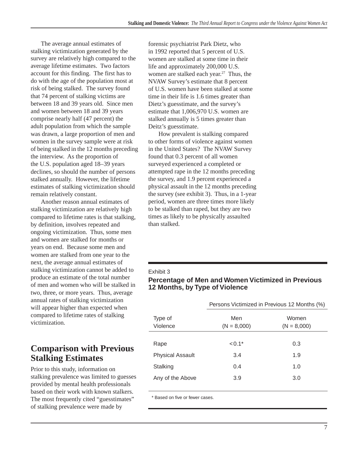The average annual estimates of stalking victimization generated by the survey are relatively high compared to the average lifetime estimates. Two factors account for this finding. The first has to do with the age of the population most at risk of being stalked. The survey found that 74 percent of stalking victims are between 18 and 39 years old. Since men and women between 18 and 39 years comprise nearly half (47 percent) the adult population from which the sample was drawn, a large proportion of men and women in the survey sample were at risk of being stalked in the 12 months preceding the interview. As the proportion of the U.S. population aged 18–39 years declines, so should the number of persons stalked annually. However, the lifetime estimates of stalking victimization should remain relatively constant.

Another reason annual estimates of stalking victimization are relatively high compared to lifetime rates is that stalking, by definition, involves repeated and ongoing victimization. Thus, some men and women are stalked for months or years on end. Because some men and women are stalked from one year to the next, the average annual estimates of stalking victimization cannot be added to produce an estimate of the total number of men and women who will be stalked in two, three, or more years. Thus, average annual rates of stalking victimization will appear higher than expected when compared to lifetime rates of stalking victimization.

## **Comparison with Previous Stalking Estimates**

Prior to this study, information on stalking prevalence was limited to guesses provided by mental health professionals based on their work with known stalkers. The most frequently cited "guesstimates" of stalking prevalence were made by

forensic psychiatrist Park Dietz, who in 1992 reported that 5 percent of U.S. women are stalked at some time in their life and approximately 200,000 U.S. women are stalked each year. 27 Thus, the NVAW Survey's estimate that 8 percent of U.S. women have been stalked at some time in their life is 1.6 times greater than Dietz's guesstimate, and the survey's estimate that 1,006,970 U.S. women are stalked annually is 5 times greater than Deitz's guesstimate.

How prevalent is stalking compared to other forms of violence against women in the United States? The NVAW Survey found that 0.3 percent of all women surveyed experienced a completed or attempted rape in the 12 months preceding the survey, and 1.9 percent experienced a physical assault in the 12 months preceding the survey (see exhibit 3). Thus, in a 1-year period, women are three times more likely to be stalked than raped, but they are two times as likely to be physically assaulted than stalked.

#### Exhibit 3

#### **Percentage of Men and Women Victimized in Previous 12 Months, by Type of Violence**

|                         | Persons Victimized in Previous 12 Months (%) |                        |  |
|-------------------------|----------------------------------------------|------------------------|--|
| Type of<br>Violence     | Men<br>$(N = 8,000)$                         | Women<br>$(N = 8,000)$ |  |
| Rape                    | $0.1*$                                       | 0.3                    |  |
| <b>Physical Assault</b> | 3.4                                          | 1.9                    |  |
| Stalking                | 0.4                                          | 1.0                    |  |
| Any of the Above        | 3.9                                          | 3.0                    |  |
|                         |                                              |                        |  |

**Based on five or fewer cases.**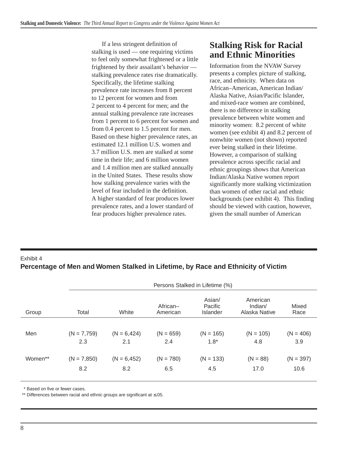If a less stringent definition of stalking is used — one requiring victims to feel only somewhat frightened or a little frightened by their assailant's behavior stalking prevalence rates rise dramatically. Specifically, the lifetime stalking prevalence rate increases from 8 percent to 12 percent for women and from 2 percent to 4 percent for men; and the annual stalking prevalence rate increases from 1 percent to 6 percent for women and from 0.4 percent to 1.5 percent for men. Based on these higher prevalence rates, an estimated 12.1 million U.S. women and 3.7 million U.S. men are stalked at some time in their life; and 6 million women and 1.4 million men are stalked annually in the United States. These results show how stalking prevalence varies with the level of fear included in the definition. A higher standard of fear produces lower prevalence rates, and a lower standard of fear produces higher prevalence rates.

## **Stalking Risk for Racial and Ethnic Minorities**

Information from the NVAW Survey presents a complex picture of stalking, race, and ethnicity. When data on African–American, American Indian/ Alaska Native, Asian/Pacific Islander, and mixed-race women are combined, there is no difference in stalking prevalence between white women and minority women: 8.2 percent of white women (see exhibit 4) and 8.2 percent of nonwhite women (not shown) reported ever being stalked in their lifetime. However, a comparison of stalking prevalence across specific racial and ethnic groupings shows that American Indian/Alaska Native women report significantly more stalking victimization than women of other racial and ethnic backgrounds (see exhibit 4). This finding should be viewed with caution, however, given the small number of American

## Exhibit 4 **Percentage of Men and Women Stalked in Lifetime, by Race and Ethnicity of Victim**

|         | Persons Stalked in Lifetime (%) |                |                      |                                      |                                      |               |
|---------|---------------------------------|----------------|----------------------|--------------------------------------|--------------------------------------|---------------|
| Group   | Total                           | White          | African-<br>American | Asian/<br>Pacific<br><b>Islander</b> | American<br>Indian/<br>Alaska Native | Mixed<br>Race |
| Men     | $(N = 7,759)$                   | $(N = 6,424)$  | $(N = 659)$          | $(N = 165)$                          | $(N = 105)$                          | $(N = 406)$   |
|         | 2.3                             | 2.1            | 2.4                  | $1.8*$                               | 4.8                                  | 3.9           |
| Women** | $(N = 7,850)$                   | $(N = 6, 452)$ | $(N = 780)$          | $(N = 133)$                          | $(N = 88)$                           | $(N = 397)$   |
|         | 8.2                             | 8.2            | 6.5                  | 4.5                                  | 17.0                                 | 10.6          |

\* Based on five or fewer cases.

\*\* Differences between racial and ethnic groups are significant at ≤.05.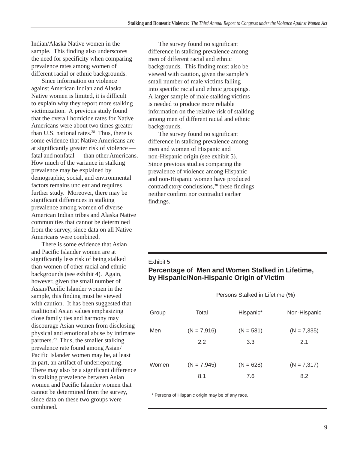Indian/Alaska Native women in the sample. This finding also underscores the need for specificity when comparing prevalence rates among women of different racial or ethnic backgrounds.

Since information on violence against American Indian and Alaska Native women is limited, it is difficult to explain why they report more stalking victimization. A previous study found that the overall homicide rates for Native Americans were about two times greater than U.S. national rates.<sup>28</sup> Thus, there is some evidence that Native Americans are at significantly greater risk of violence fatal and nonfatal — than other Americans. How much of the variance in stalking prevalence may be explained by demographic, social, and environmental factors remains unclear and requires further study. Moreover, there may be significant differences in stalking prevalence among women of diverse American Indian tribes and Alaska Native communities that cannot be determined from the survey, since data on all Native Americans were combined.

There is some evidence that Asian and Pacific Islander women are at significantly less risk of being stalked than women of other racial and ethnic backgrounds (see exhibit 4). Again, however, given the small number of Asian/Pacific Islander women in the sample, this finding must be viewed with caution. It has been suggested that traditional Asian values emphasizing close family ties and harmony may discourage Asian women from disclosing physical and emotional abuse by intimate partners.29 Thus, the smaller stalking prevalence rate found among Asian/ Pacific Islander women may be, at least in part, an artifact of underreporting. There may also be a significant difference in stalking prevalence between Asian women and Pacific Islander women that cannot be determined from the survey, since data on these two groups were combined.

The survey found no significant difference in stalking prevalence among men of different racial and ethnic backgrounds. This finding must also be viewed with caution, given the sample's small number of male victims falling into specific racial and ethnic groupings. A larger sample of male stalking victims is needed to produce more reliable information on the relative risk of stalking among men of different racial and ethnic backgrounds.

The survey found no significant difference in stalking prevalence among men and women of Hispanic and non-Hispanic origin (see exhibit 5). Since previous studies comparing the prevalence of violence among Hispanic and non-Hispanic women have produced contradictory conclusions,<sup>30</sup> these findings neither confirm nor contradict earlier findings.

#### Exhibit 5

#### **Percentage of Men and Women Stalked in Lifetime, by Hispanic/Non-Hispanic Origin of Victim**

|       | Persons Stalked in Lifetime (%) |             |               |  |
|-------|---------------------------------|-------------|---------------|--|
| Group | Total                           | Hispanic*   | Non-Hispanic  |  |
| Men   | $(N = 7,916)$                   | $(N = 581)$ | $(N = 7,335)$ |  |
|       | 2.2                             | 3.3         | 2.1           |  |
| Women | $(N = 7,945)$                   | $(N = 628)$ | $(N = 7,317)$ |  |
|       | 8.1                             | 7.6         | 8.2           |  |

\* Persons of Hispanic origin may be of any race.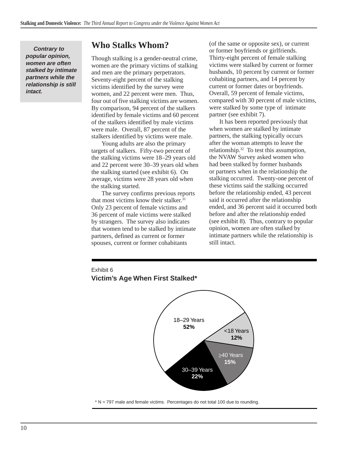**Contrary to popular opinion, women are often stalked by intimate partners while the relationship is still intact.** 

## **Who Stalks Whom?**

Though stalking is a gender-neutral crime, women are the primary victims of stalking and men are the primary perpetrators. Seventy-eight percent of the stalking victims identified by the survey were women, and 22 percent were men. Thus, four out of five stalking victims are women. By comparison, 94 percent of the stalkers identified by female victims and 60 percent of the stalkers identified by male victims were male. Overall, 87 percent of the stalkers identified by victims were male.

Young adults are also the primary targets of stalkers. Fifty-two percent of the stalking victims were 18–29 years old and 22 percent were 30–39 years old when the stalking started (see exhibit 6). On average, victims were 28 years old when the stalking started.

The survey confirms previous reports that most victims know their stalker. 31 Only 23 percent of female victims and 36 percent of male victims were stalked by strangers. The survey also indicates that women tend to be stalked by intimate partners, defined as current or former spouses, current or former cohabitants

(of the same or opposite sex), or current or former boyfriends or girlfriends. Thirty-eight percent of female stalking victims were stalked by current or former husbands, 10 percent by current or former cohabiting partners, and 14 percent by current or former dates or boyfriends. Overall, 59 percent of female victims, compared with 30 percent of male victims, were stalked by some type of intimate partner (see exhibit 7).

It has been reported previously that when women are stalked by intimate partners, the stalking typically occurs after the woman attempts to leave the relationship.32 To test this assumption, the NVAW Survey asked women who had been stalked by former husbands or partners when in the relationship the stalking occurred. Twenty-one percent of these victims said the stalking occurred before the relationship ended, 43 percent said it occurred after the relationship ended, and 36 percent said it occurred both before and after the relationship ended (see exhibit 8). Thus, contrary to popular opinion, women are often stalked by intimate partners while the relationship is still intact.





\*N=759 male and female victims. Percentages do not total 100 due to rounding. \* N = 797 male and female victims. Percentages do not total 100 due to rounding.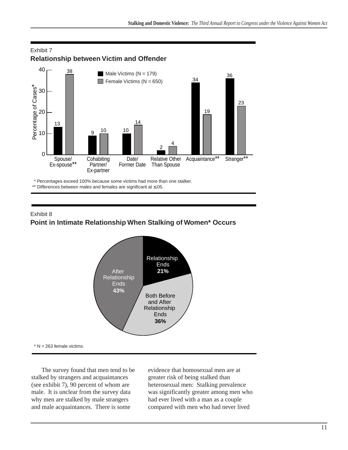

## Exhibit 7 7 **Relationship Between Victim and Offender Relationship between Victim and Offender**

\*Percentage exceed 100% because some victims had more than one stalker. \* Percentages exceed 100% because some victims had more than one stalker.

\*\* Differences between males and females are significant at ≤.05.

## Exhibit 8 Exhibit 8 **Point in Inmate Relationship When Stalking of Women\* Occurs Point in Intimate Relationship When Stalking of Women\* Occurs**



The survey found that men tend to be stalked by strangers and acquaintances (see exhibit 7), 90 percent of whom are male. It is unclear from the survey data why men are stalked by male strangers and male acquaintances. There is some

evidence that homosexual men are at greater risk of being stalked than heterosexual men: Stalking prevalence was significantly greater among men who had ever lived with a man as a couple compared with men who had never lived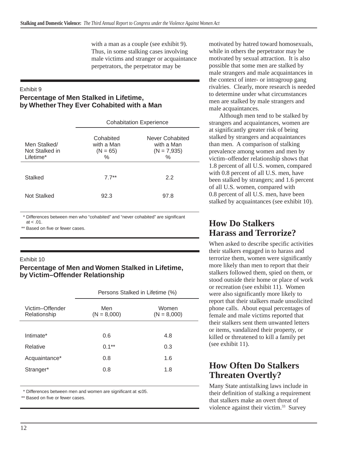with a man as a couple (see exhibit 9). Thus, in some stalking cases involving male victims and stranger or acquaintance perpetrators, the perpetrator may be

#### Exhibit 9

#### **Percentage of Men Stalked in Lifetime, by Whether They Ever Cohabited with a Man**

|                                             | <b>Cohabitation Experience</b>                |                                                        |  |
|---------------------------------------------|-----------------------------------------------|--------------------------------------------------------|--|
| Men Stalked/<br>Not Stalked in<br>Lifetime* | Cohabited<br>with a Man<br>$(N = 65)$<br>$\%$ | Never Cohabited<br>with a Man<br>$(N = 7,935)$<br>$\%$ |  |
| Stalked                                     | $7.7***$                                      | 2.2                                                    |  |
| <b>Not Stalked</b>                          | 92.3                                          | 97.8                                                   |  |

\* Differences between men who "cohabited" and "never cohabited" are significant at  $< 0.01$ .

\*\* Based on five or fewer cases.

#### Exhibit 10

#### **Percentage of Men and Women Stalked in Lifetime, by Victim–Offender Relationship**

|                                 | Persons Stalked in Lifetime (%) |                        |  |
|---------------------------------|---------------------------------|------------------------|--|
| Victim-Offender<br>Relationship | Men<br>$(N = 8,000)$            | Women<br>$(N = 8,000)$ |  |
|                                 |                                 |                        |  |
| Intimate*                       | 0.6                             | 4.8                    |  |
| Relative                        | $0.1***$                        | 0.3                    |  |
| Acquaintance*                   | 0.8                             | 1.6                    |  |
| Stranger*                       | 0.8                             | 1.8                    |  |
|                                 |                                 |                        |  |

\* Differences between men and women are significant at ≤.05.

\*\* Based on five or fewer cases.

motivated by hatred toward homosexuals, while in others the perpetrator may be motivated by sexual attraction. It is also possible that some men are stalked by male strangers and male acquaintances in the context of inter- or intragroup gang rivalries. Clearly, more research is needed to determine under what circumstances men are stalked by male strangers and male acquaintances.

Although men tend to be stalked by strangers and acquaintances, women are at significantly greater risk of being stalked by strangers and acquaintances than men. A comparison of stalking prevalence among women and men by victim–offender relationship shows that 1.8 percent of all U.S. women, compared with 0.8 percent of all U.S. men, have been stalked by strangers; and 1.6 percent of all U.S. women, compared with 0.8 percent of all U.S. men, have been stalked by acquaintances (see exhibit 10).

## **How Do Stalkers Harass and Terrorize?**

When asked to describe specific activities their stalkers engaged in to harass and terrorize them, women were significantly more likely than men to report that their stalkers followed them, spied on them, or stood outside their home or place of work or recreation (see exhibit 11). Women were also significantly more likely to report that their stalkers made unsolicited phone calls. About equal percentages of female and male victims reported that their stalkers sent them unwanted letters or items, vandalized their property, or killed or threatened to kill a family pet (see exhibit 11).

## **How Often Do Stalkers Threaten Overtly?**

Many State antistalking laws include in their definition of stalking a requirement that stalkers make an overt threat of violence against their victim.33 Survey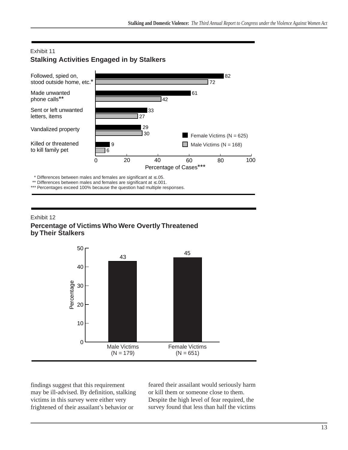## Exhibit 11 Exhibit 11 **Stalking Activities Engaged in by Stalkers Stalking Activities Engaged in by Stalkers**



\*\*\* Percentages exceed 100% because the question had multiple responses. \*\*\* Percentages exceed 100% because the question had multiple responses.

#### Exhibit 12 Exhibit 12 **Percentage of Victims Who Were Overtly Threatened Percentage of Victims Who Were Overtly Threatened by Their Stalkers by Their Stalkers**



findings suggest that this requirement may be ill-advised. By definition, stalking victims in this survey were either very frightened of their assailant's behavior or

feared their assailant would seriously harm or kill them or someone close to them. Despite the high level of fear required, the survey found that less than half the victims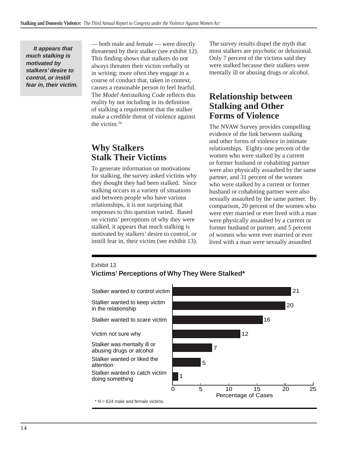**It appears that much stalking is motivated by stalkers' desire to control, or instill fear in, their victim.** 

— both male and female — were directly threatened by their stalker (see exhibit 12). This finding shows that stalkers do not always threaten their victim verbally or in writing; more often they engage in a course of conduct that, taken in context, causes a reasonable person to feel fearful. The *Model Antistalking Code* reflects this reality by not including in its definition of stalking a requirement that the stalker make a credible threat of violence against the victim.34

## **Why Stalkers Stalk Their Victims**

To generate information on motivations for stalking, the survey asked victims why they thought they had been stalked. Since stalking occurs in a variety of situations and between people who have various relationships, it is not surprising that responses to this question varied. Based on victims' perceptions of why they were stalked, it appears that much stalking is motivated by stalkers' desire to control, or instill fear in, their victim (see exhibit 13). The survey results dispel the myth that most stalkers are psychotic or delusional. Only 7 percent of the victims said they were stalked because their stalkers were mentally ill or abusing drugs or alcohol.

## **Relationship between Stalking and Other Forms of Violence**

The NVAW Survey provides compelling evidence of the link between stalking and other forms of violence in intimate relationships. Eighty-one percent of the women who were stalked by a current or former husband or cohabiting partner were also physically assaulted by the same partner, and 31 percent of the women who were stalked by a current or former husband or cohabiting partner were also sexually assaulted by the same partner. By comparison, 20 percent of the women who were ever married or ever lived with a man were physically assaulted by a current or former husband or partner, and 5 percent of women who were ever married or ever lived with a man were sexually assaulted



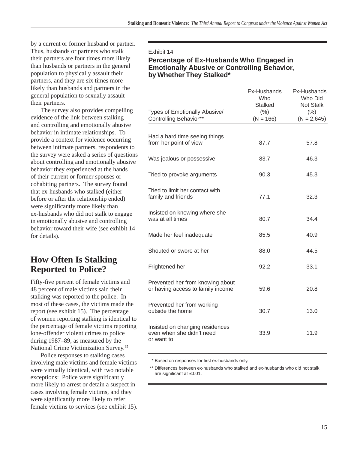by a current or former husband or partner. Thus, husbands or partners who stalk their partners are four times more likely than husbands or partners in the general population to physically assault their partners, and they are six times more likely than husbands and partners in the general population to sexually assault their partners.

The survey also provides compelling evidence of the link between stalking and controlling and emotionally abusive behavior in intimate relationships. To provide a context for violence occurring between intimate partners, respondents to the survey were asked a series of questions about controlling and emotionally abusive behavior they experienced at the hands of their current or former spouses or cohabiting partners. The survey found that ex-husbands who stalked (either before or after the relationship ended) were significantly more likely than ex-husbands who did not stalk to engage in emotionally abusive and controlling behavior toward their wife (see exhibit 14 for details).

## **How Often Is Stalking Reported to Police?**

Fifty-five percent of female victims and 48 percent of male victims said their stalking was reported to the police. In most of these cases, the victims made the report (see exhibit 15). The percentage of women reporting stalking is identical to the percentage of female victims reporting lone-offender violent crimes to police during 1987–89, as measured by the National Crime Victimization Survey. 35

Police responses to stalking cases involving male victims and female victims were virtually identical, with two notable exceptions: Police were significantly more likely to arrest or detain a suspect in cases involving female victims, and they were significantly more likely to refer female victims to services (see exhibit 15).

#### Exhibit 14

#### **Percentage of Ex-Husbands Who Engaged in Emotionally Abusive or Controlling Behavior, by Whether They Stalked\***

| Types of Emotionally Abusive/<br>Controlling Behavior**                    | Ex-Husbands<br>Who<br>Stalked<br>(% )<br>$(N = 166)$ | Ex-Husbands<br>Who Did<br><b>Not Stalk</b><br>(% )<br>$(N = 2,645)$ |
|----------------------------------------------------------------------------|------------------------------------------------------|---------------------------------------------------------------------|
|                                                                            |                                                      |                                                                     |
| Had a hard time seeing things<br>from her point of view                    | 87.7                                                 | 57.8                                                                |
| Was jealous or possessive                                                  | 83.7                                                 | 46.3                                                                |
| Tried to provoke arguments                                                 | 90.3                                                 | 45.3                                                                |
| Tried to limit her contact with<br>family and friends                      | 77.1                                                 | 32.3                                                                |
| Insisted on knowing where she<br>was at all times                          | 80.7                                                 | 34.4                                                                |
| Made her feel inadequate                                                   | 85.5                                                 | 40.9                                                                |
| Shouted or swore at her                                                    | 88.0                                                 | 44.5                                                                |
| Frightened her                                                             | 92.2                                                 | 33.1                                                                |
| Prevented her from knowing about<br>or having access to family income      | 59.6                                                 | 20.8                                                                |
| Prevented her from working<br>outside the home                             | 30.7                                                 | 13.0                                                                |
| Insisted on changing residences<br>even when she didn't need<br>or want to | 33.9                                                 | 11.9                                                                |

\* Based on responses for first ex-husbands only.

\*\* Differences between ex-husbands who stalked and ex-husbands who did not stalk are significant at ≤.001.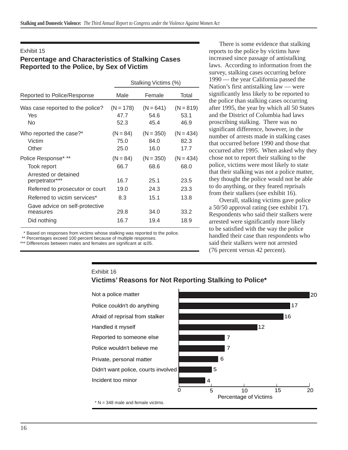#### Exhibit 15

## **Percentage and Characteristics of Stalking Cases Reported to the Police, by Sex of Victim**

|                                                                            | Stalking Victims (%)        |                             |                             |
|----------------------------------------------------------------------------|-----------------------------|-----------------------------|-----------------------------|
| Reported to Police/Response                                                | Male                        | Female                      | Total                       |
| Was case reported to the police?<br>Yes<br>No                              | $(N = 178)$<br>47.7<br>52.3 | $(N = 641)$<br>54.6<br>45.4 | $(N = 819)$<br>53.1<br>46.9 |
| Who reported the case?*<br>Victim<br>Other                                 | $(N = 84)$<br>75.0<br>25.0  | $(N = 350)$<br>84.0<br>16.0 | $(N = 434)$<br>82.3<br>17.7 |
| Police Response* **<br>Took report<br>Arrested or detained                 | $(N = 84)$<br>66.7          | $(N = 350)$<br>68.6         | $(N = 434)$<br>68.0         |
| perpetrator***<br>Referred to prosecutor or court                          | 16.7<br>19.0                | 25.1<br>24.3                | 23.5<br>23.3                |
| Referred to victim services*<br>Gave advice on self-protective<br>measures | 8.3<br>29.8                 | 15.1<br>34.0                | 13.8<br>33.2                |
| Did nothing                                                                | 16.7                        | 19.4                        | 18.9                        |

\* Based on responses from victims whose stalking was reported to the police.

\*\* Percentages exceed 100 percent because of multiple responses.

\*\*\* Differences between males and females are significant at ≤.05.

There is some evidence that stalking reports to the police by victims have increased since passage of antistalking laws. According to information from the survey, stalking cases occurring before 1990 — the year California passed the Nation's first antistalking law — were significantly less likely to be reported to the police than stalking cases occurring after 1995, the year by which all 50 States and the District of Columbia had laws proscribing stalking. There was no significant difference, however, in the number of arrests made in stalking cases that occurred before 1990 and those that occurred after 1995. When asked why they chose not to report their stalking to the police, victims were most likely to state that their stalking was not a police matter, they thought the police would not be able to do anything, or they feared reprisals from their stalkers (see exhibit 16).

Overall, stalking victims gave police a 50/50 approval rating (see exhibit 17). Respondents who said their stalkers were arrested were significantly more likely to be satisfied with the way the police handled their case than respondents who said their stalkers were not arrested (76 percent versus 42 percent).

#### Exhibit 16 Exhibit 16



**Victims' Reasons for Not Reporting Stalking to Police\* Victims' Reasons for Not Reporting Stalking to Police\***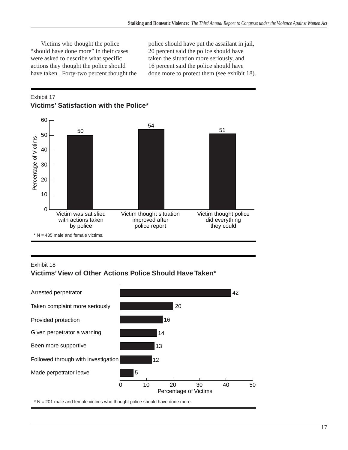Victims who thought the police "should have done more" in their cases were asked to describe what specific actions they thought the police should have taken. Forty-two percent thought the police should have put the assailant in jail, 20 percent said the police should have taken the situation more seriously, and 16 percent said the police should have done more to protect them (see exhibit 18).

## Exhibit 17 Exhibit 17 **Victims' Satisfaction With the Police\* Victims' Satisfaction with the Police\***



#### Exhibit 18 Exhibit 18

## **Victims' View of Other Actions Police Should Have Taken\* Victims'View of Other Actions Police Should Have Taken\***



\*N=201 male and female victims who thought police should have done more. \* N = 201 male and female victims who thought police should have done more.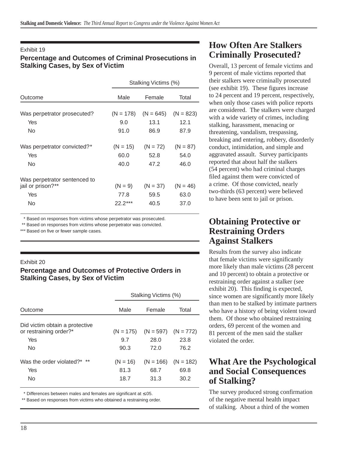#### Exhibit 19

#### **Percentage and Outcomes of Criminal Prosecutions in Stalking Cases, by Sex of Victim**

|                              | Stalking Victims (%) |             |             |
|------------------------------|----------------------|-------------|-------------|
| Outcome                      | Male                 | Female      | Total       |
|                              |                      |             |             |
| Was perpetrator prosecuted?  | $(N = 178)$          | $(N = 645)$ | $(N = 823)$ |
| Yes                          | 9.0                  | 13.1        | 12.1        |
| No                           | 91.0                 | 86.9        | 87.9        |
| Was perpetrator convicted?*  | $(N = 15)$           | $(N = 72)$  | $(N = 87)$  |
| Yes                          | 60.0                 | 52.8        | 54.0        |
| No                           | 40.0                 | 47.2        | 46.0        |
| Was perpetrator sentenced to |                      |             |             |
| jail or prison?**            | $(N = 9)$            | $(N = 37)$  | $(N = 46)$  |
| Yes                          | 77.8                 | 59.5        | 63.0        |
| No                           | $22.2***$            | 40.5        | 37.0        |

\* Based on responses from victims whose perpetrator was prosecuted.

\*\* Based on responses from victims whose perpetrator was convicted.

\*\*\* Based on five or fewer sample cases.

#### Exhibit 20

#### **Percentage and Outcomes of Protective Orders in Stalking Cases, by Sex of Victim**

|                                                          | Stalking Victims (%) |                         |             |  |  |  |  |
|----------------------------------------------------------|----------------------|-------------------------|-------------|--|--|--|--|
| Outcome                                                  | Male                 | Female                  | Total       |  |  |  |  |
| Did victim obtain a protective<br>or restraining order?* | $(N = 175)$          | $(N = 597)$ $(N = 772)$ |             |  |  |  |  |
| Yes                                                      | 9.7                  | 28.0                    | 23.8        |  |  |  |  |
| No.                                                      | 90.3                 | 72.0                    | 76.2        |  |  |  |  |
| Was the order violated?* **                              | $(N = 16)$           | $(N = 166)$             | $(N = 182)$ |  |  |  |  |
| Yes                                                      | 81.3                 | 68.7                    | 69.8        |  |  |  |  |
| No.                                                      | 18.7                 | 31.3                    | 30.2        |  |  |  |  |

\* Differences between males and females are significant at ≤.05. 

\*\* Based on responses from victims who obtained a restraining order.

## **How Often Are Stalkers Criminally Prosecuted?**

Overall, 13 percent of female victims and 9 percent of male victims reported that their stalkers were criminally prosecuted (see exhibit 19). These figures increase to 24 percent and 19 percent, respectively, when only those cases with police reports are considered. The stalkers were charged with a wide variety of crimes, including stalking, harassment, menacing or threatening, vandalism, trespassing, breaking and entering, robbery, disorderly conduct, intimidation, and simple and aggravated assault. Survey participants reported that about half the stalkers (54 percent) who had criminal charges filed against them were convicted of a crime. Of those convicted, nearly two-thirds (63 percent) were believed to have been sent to jail or prison.

## **Obtaining Protective or Restraining Orders Against Stalkers**

Results from the survey also indicate that female victims were significantly more likely than male victims (28 percent and 10 percent) to obtain a protective or restraining order against a stalker (see exhibit 20). This finding is expected, since women are significantly more likely than men to be stalked by intimate partners who have a history of being violent toward them. Of those who obtained restraining orders, 69 percent of the women and 81 percent of the men said the stalker violated the order.

## **What Are the Psychological and Social Consequences of Stalking?**

The survey produced strong confirmation of the negative mental health impact of stalking. About a third of the women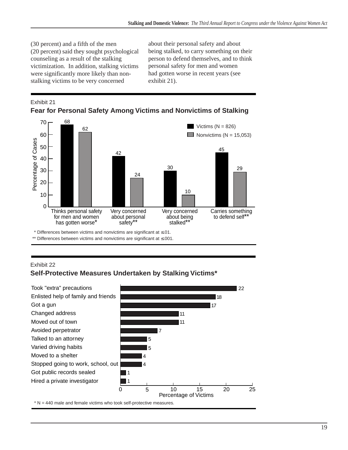(30 percent) and a fifth of the men (20 percent) said they sought psychological counseling as a result of the stalking victimization. In addition, stalking victims were significantly more likely than nonstalking victims to be very concerned

about their personal safety and about being stalked, to carry something on their person to defend themselves, and to think personal safety for men and women had gotten worse in recent years (see exhibit 21).

## **Fear for Personal Safety Among Victims and Nonvictims of Stalking Fear for Personal Safety Among Victims and Nonvictims of Stalking**  Exhibit 21



\*Differences between victims and nonvictims are significant at 01. \* Differences between victims and nonvictims are significant at ≤.01.

\*\* Differences between victims and nonvictims are significant at ≤.001.

## Exhibit 22 Exhibit 22 **Self-Protective Measures Undertaken by Stalking Victims\* Self-Protective Measures Undertaken by Stalking Victims\***



\*N=440 male and female victims who took self-protective measures. \* N = 440 male and female victims who took self-protective measures.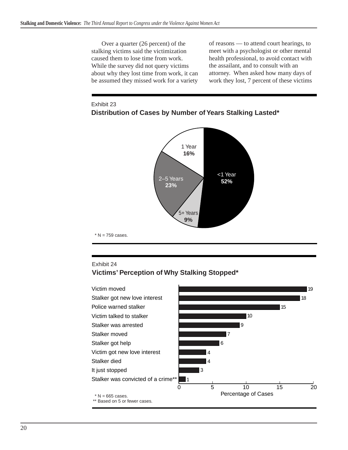Over a quarter (26 percent) of the stalking victims said the victimization caused them to lose time from work. While the survey did not query victims about why they lost time from work, it can be assumed they missed work for a variety of reasons — to attend court hearings, to meet with a psychologist or other mental health professional, to avoid contact with the assailant, and to consult with an attorney. When asked how many days of work they lost, 7 percent of these victims





## Exhibit 24 Exhibit 24 **Victims' Perception of Why Stalking Stopped\* Victims' Perception of Why Stalking Stopped\***

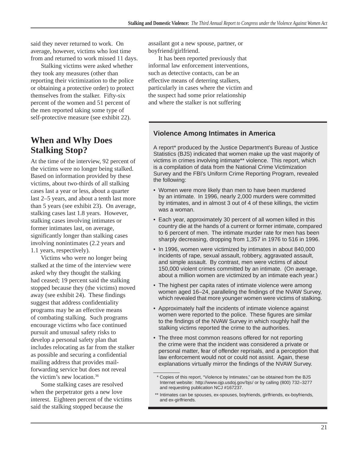said they never returned to work. On average, however, victims who lost time from and returned to work missed 11 days.

Stalking victims were asked whether they took any measures (other than reporting their victimization to the police or obtaining a protective order) to protect themselves from the stalker. Fifty-six percent of the women and 51 percent of the men reported taking some type of self-protective measure (see exhibit 22).

## **When and Why Does Stalking Stop?**

At the time of the interview, 92 percent of the victims were no longer being stalked. Based on information provided by these victims, about two-thirds of all stalking cases last a year or less, about a quarter last 2–5 years, and about a tenth last more than 5 years (see exhibit 23). On average, stalking cases last 1.8 years. However, stalking cases involving intimates or former intimates last, on average, significantly longer than stalking cases involving nonintimates (2.2 years and 1.1 years, respectively).

Victims who were no longer being stalked at the time of the interview were asked why they thought the stalking had ceased; 19 percent said the stalking stopped because they (the victims) moved away (see exhibit 24). These findings suggest that address confidentiality programs may be an effective means of combating stalking. Such programs encourage victims who face continued pursuit and unusual safety risks to develop a personal safety plan that includes relocating as far from the stalker as possible and securing a confidential mailing address that provides mailforwarding service but does not reveal the victim's new location.36

Some stalking cases are resolved when the perpetrator gets a new love interest. Eighteen percent of the victims said the stalking stopped because the

assailant got a new spouse, partner, or boyfriend/girlfriend.

It has been reported previously that informal law enforcement interventions, such as detective contacts, can be an effective means of deterring stalkers, particularly in cases where the victim and the suspect had some prior relationship and where the stalker is not suffering

## **Violence Among Intimates in America**

A report\* produced by the Justice Department's Bureau of Justice Statistics (BJS) indicated that women make up the vast majority of victims in crimes involving intimate\*\* violence. This report, which is a compilation of data from the National Crime Victimization Survey and the FBI's Uniform Crime Reporting Program, revealed the following:

- Women were more likely than men to have been murdered by an intimate. In 1996, nearly 2,000 murders were committed by intimates, and in almost 3 out of 4 of these killings, the victim was a woman.
- Each year, approximately 30 percent of all women killed in this country die at the hands of a current or former intimate, compared to 6 percent of men. The intimate murder rate for men has been sharply decreasing, dropping from 1,357 in 1976 to 516 in 1996.
- In 1996, women were victimized by intimates in about 840,000 incidents of rape, sexual assault, robbery, aggravated assault, and simple assault. By contrast, men were victims of about 150,000 violent crimes committed by an intimate. (On average, about a million women are victimized by an intimate each year.)
- The highest per capita rates of intimate violence were among women aged 16–24, paralleling the findings of the NVAW Survey, which revealed that more younger women were victims of stalking.
- Approximately half the incidents of intimate violence against women were reported to the police. These figures are similar to the findings of the NVAW Survey in which roughly half the stalking victims reported the crime to the authorities.
- The three most common reasons offered for not reporting the crime were that the incident was considered a private or personal matter, fear of offender reprisals, and a perception that law enforcement would not or could not assist. Again, these explanations virtually mirror the findings of the NVAW Survey.

<sup>\*</sup> Copies of this report, "Violence by Intimates," can be obtained from the BJS Internet website: http://www.ojp.usdoj.gov/bjs/ or by calling (800) 732–3277 and requesting publication NCJ #167237.

<sup>\*\*</sup> Intimates can be spouses, ex-spouses, boyfriends, girlfriends, ex-boyfriends, and ex-girlfriends.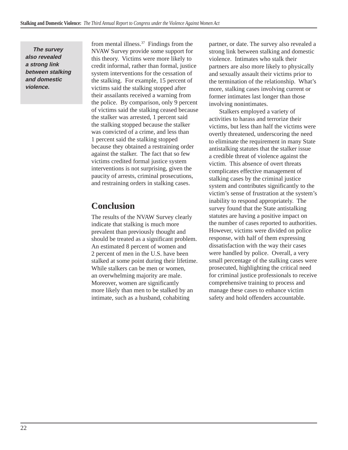**The survey also revealed a strong link between stalking and domestic violence.** 

from mental illness.37 Findings from the NVAW Survey provide some support for this theory. Victims were more likely to credit informal, rather than formal, justice system interventions for the cessation of the stalking. For example, 15 percent of victims said the stalking stopped after their assailants received a warning from the police. By comparison, only 9 percent of victims said the stalking ceased because the stalker was arrested, 1 percent said the stalking stopped because the stalker was convicted of a crime, and less than 1 percent said the stalking stopped because they obtained a restraining order against the stalker. The fact that so few victims credited formal justice system interventions is not surprising, given the paucity of arrests, criminal prosecutions, and restraining orders in stalking cases.

## **Conclusion**

The results of the NVAW Survey clearly indicate that stalking is much more prevalent than previously thought and should be treated as a significant problem. An estimated 8 percent of women and 2 percent of men in the U.S. have been stalked at some point during their lifetime. While stalkers can be men or women, an overwhelming majority are male. Moreover, women are significantly more likely than men to be stalked by an intimate, such as a husband, cohabiting

partner, or date. The survey also revealed a strong link between stalking and domestic violence. Intimates who stalk their partners are also more likely to physically and sexually assault their victims prior to the termination of the relationship. What's more, stalking cases involving current or former intimates last longer than those involving nonintimates.

Stalkers employed a variety of activities to harass and terrorize their victims, but less than half the victims were overtly threatened, underscoring the need to eliminate the requirement in many State antistalking statutes that the stalker issue a credible threat of violence against the victim. This absence of overt threats complicates effective management of stalking cases by the criminal justice system and contributes significantly to the victim's sense of frustration at the system's inability to respond appropriately. The survey found that the State antistalking statutes are having a positive impact on the number of cases reported to authorities. However, victims were divided on police response, with half of them expressing dissatisfaction with the way their cases were handled by police. Overall, a very small percentage of the stalking cases were prosecuted, highlighting the critical need for criminal justice professionals to receive comprehensive training to process and manage these cases to enhance victim safety and hold offenders accountable.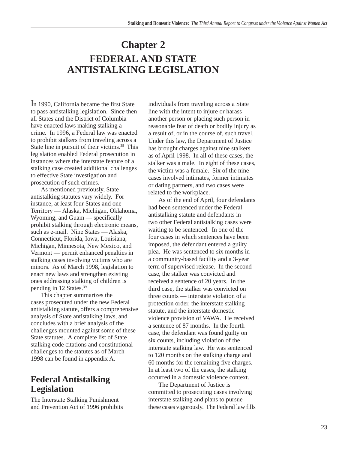# **Chapter 2 FEDERAL AND STATE ANTISTALKING LEGISLATION**

In 1990, California became the first State to pass antistalking legislation. Since then all States and the District of Columbia have enacted laws making stalking a crime. In 1996, a Federal law was enacted to prohibit stalkers from traveling across a State line in pursuit of their victims.38 This legislation enabled Federal prosecution in instances where the interstate feature of a stalking case created additional challenges to effective State investigation and prosecution of such crimes.

As mentioned previously, State antistalking statutes vary widely. For instance, at least four States and one Territory — Alaska, Michigan, Oklahoma, Wyoming, and Guam — specifically prohibit stalking through electronic means, such as e-mail. Nine States — Alaska, Connecticut, Florida, Iowa, Louisiana, Michigan, Minnesota, New Mexico, and Vermont — permit enhanced penalties in stalking cases involving victims who are minors. As of March 1998, legislation to enact new laws and strengthen existing ones addressing stalking of children is pending in 12 States.39

This chapter summarizes the cases prosecuted under the new Federal antistalking statute, offers a comprehensive analysis of State antistalking laws, and concludes with a brief analysis of the challenges mounted against some of these State statutes. A complete list of State stalking code citations and constitutional challenges to the statutes as of March 1998 can be found in appendix A.

## **Federal Antistalking Legislation**

The Interstate Stalking Punishment and Prevention Act of 1996 prohibits individuals from traveling across a State line with the intent to injure or harass another person or placing such person in reasonable fear of death or bodily injury as a result of, or in the course of, such travel. Under this law, the Department of Justice has brought charges against nine stalkers as of April 1998. In all of these cases, the stalker was a male. In eight of these cases, the victim was a female. Six of the nine cases involved intimates, former intimates or dating partners, and two cases were related to the workplace.

As of the end of April, four defendants had been sentenced under the Federal antistalking statute and defendants in two other Federal antistalking cases were waiting to be sentenced. In one of the four cases in which sentences have been imposed, the defendant entered a guilty plea. He was sentenced to six months in a community-based facility and a 3-year term of supervised release. In the second case, the stalker was convicted and received a sentence of 20 years. In the third case, the stalker was convicted on three counts — interstate violation of a protection order, the interstate stalking statute, and the interstate domestic violence provision of VAWA. He received a sentence of 87 months. In the fourth case, the defendant was found guilty on six counts, including violation of the interstate stalking law. He was sentenced to 120 months on the stalking charge and 60 months for the remaining five charges. In at least two of the cases, the stalking occurred in a domestic violence context.

The Department of Justice is committed to prosecuting cases involving interstate stalking and plans to pursue these cases vigorously. The Federal law fills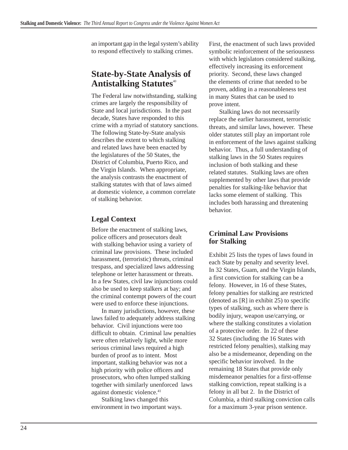an important gap in the legal system's ability to respond effectively to stalking crimes.

## **State-by-State Analysis of Antistalking Statutes**<sup>40</sup>

The Federal law notwithstanding, stalking crimes are largely the responsibility of State and local jurisdictions. In the past decade, States have responded to this crime with a myriad of statutory sanctions. The following State-by-State analysis describes the extent to which stalking and related laws have been enacted by the legislatures of the 50 States, the District of Columbia, Puerto Rico, and the Virgin Islands. When appropriate, the analysis contrasts the enactment of stalking statutes with that of laws aimed at domestic violence, a common correlate of stalking behavior.

## **Legal Context**

Before the enactment of stalking laws, police officers and prosecutors dealt with stalking behavior using a variety of criminal law provisions. These included harassment, (terroristic) threats, criminal trespass, and specialized laws addressing telephone or letter harassment or threats. In a few States, civil law injunctions could also be used to keep stalkers at bay; and the criminal contempt powers of the court were used to enforce these injunctions.

In many jurisdictions, however, these laws failed to adequately address stalking behavior. Civil injunctions were too difficult to obtain. Criminal law penalties were often relatively light, while more serious criminal laws required a high burden of proof as to intent. Most important, stalking behavior was not a high priority with police officers and prosecutors, who often lumped stalking together with similarly unenforced laws against domestic violence.41

Stalking laws changed this environment in two important ways. First, the enactment of such laws provided symbolic reinforcement of the seriousness with which legislators considered stalking, effectively increasing its enforcement priority. Second, these laws changed the elements of crime that needed to be proven, adding in a reasonableness test in many States that can be used to prove intent.

Stalking laws do not necessarily replace the earlier harassment, terroristic threats, and similar laws, however. These older statutes still play an important role in enforcement of the laws against stalking behavior. Thus, a full understanding of stalking laws in the 50 States requires inclusion of both stalking and these related statutes. Stalking laws are often supplemented by other laws that provide penalties for stalking-like behavior that lacks some element of stalking. This includes both harassing and threatening behavior.

#### **Criminal Law Provisions for Stalking**

Exhibit 25 lists the types of laws found in each State by penalty and severity level. In 32 States, Guam, and the Virgin Islands, a first conviction for stalking can be a felony. However, in 16 of these States, felony penalties for stalking are restricted (denoted as [R] in exhibit 25) to specific types of stalking, such as where there is bodily injury, weapon use/carrying, or where the stalking constitutes a violation of a protective order. In 22 of these 32 States (including the 16 States with restricted felony penalties), stalking may also be a misdemeanor, depending on the specific behavior involved. In the remaining 18 States that provide only misdemeanor penalties for a first-offense stalking conviction, repeat stalking is a felony in all but 2. In the District of Columbia, a third stalking conviction calls for a maximum 3-year prison sentence.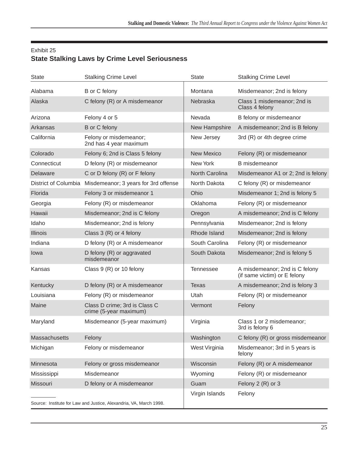## Exhibit 25 **State Stalking Laws by Crime Level Seriousness**

| <b>State</b>         | <b>Stalking Crime Level</b>                                        | <b>State</b>      | <b>Stalking Crime Level</b>                                    |
|----------------------|--------------------------------------------------------------------|-------------------|----------------------------------------------------------------|
| Alabama              | B or C felony                                                      | Montana           | Misdemeanor; 2nd is felony                                     |
| Alaska               | C felony (R) or A misdemeanor                                      | Nebraska          | Class 1 misdemeanor; 2nd is<br>Class 4 felony                  |
| Arizona              | Felony 4 or 5                                                      | Nevada            | B felony or misdemeanor                                        |
| Arkansas             | B or C felony                                                      | New Hampshire     | A misdemeanor; 2nd is B felony                                 |
| California           | Felony or misdemeanor;<br>2nd has 4 year maximum                   | New Jersey        | 3rd (R) or 4th degree crime                                    |
| Colorado             | Felony 6; 2nd is Class 5 felony                                    | <b>New Mexico</b> | Felony (R) or misdemeanor                                      |
| Connecticut          | D felony (R) or misdemeanor                                        | New York          | B misdemeanor                                                  |
| Delaware             | C or D felony (R) or F felony                                      | North Carolina    | Misdemeanor A1 or 2; 2nd is felony                             |
| District of Columbia | Misdemeanor; 3 years for 3rd offense                               | North Dakota      | C felony (R) or misdemeanor                                    |
| Florida              | Felony 3 or misdemeanor 1                                          | Ohio              | Misdemeanor 1; 2nd is felony 5                                 |
| Georgia              | Felony (R) or misdemeanor                                          | Oklahoma          | Felony (R) or misdemeanor                                      |
| Hawaii               | Misdemeanor; 2nd is C felony                                       | Oregon            | A misdemeanor; 2nd is C felony                                 |
| Idaho                | Misdemeanor; 2nd is felony                                         | Pennsylvania      | Misdemeanor; 2nd is felony                                     |
| <b>Illinois</b>      | Class 3 (R) or 4 felony                                            | Rhode Island      | Misdemeanor; 2nd is felony                                     |
| Indiana              | D felony (R) or A misdemeanor                                      | South Carolina    | Felony (R) or misdemeanor                                      |
| lowa                 | D felony (R) or aggravated<br>misdemeanor                          | South Dakota      | Misdemeanor; 2nd is felony 5                                   |
| Kansas               | Class 9 (R) or 10 felony                                           | <b>Tennessee</b>  | A misdemeanor; 2nd is C felony<br>(if same victim) or E felony |
| Kentucky             | D felony (R) or A misdemeanor                                      | <b>Texas</b>      | A misdemeanor; 2nd is felony 3                                 |
| Louisiana            | Felony (R) or misdemeanor                                          | Utah              | Felony (R) or misdemeanor                                      |
| Maine                | Class D crime; 3rd is Class C<br>crime (5-year maximum)            | Vermont           | Felony                                                         |
| Maryland             | Misdemeanor (5-year maximum)                                       | Virginia          | Class 1 or 2 misdemeanor;<br>3rd is felony 6                   |
| Massachusetts        | Felony                                                             | Washington        | C felony (R) or gross misdemeanor                              |
| Michigan             | Felony or misdemeanor                                              | West Virginia     | Misdemeanor; 3rd in 5 years is<br>felony                       |
| Minnesota            | Felony or gross misdemeanor                                        | Wisconsin         | Felony (R) or A misdemeanor                                    |
| Mississippi          | Misdemeanor                                                        | Wyoming           | Felony (R) or misdemeanor                                      |
| Missouri             | D felony or A misdemeanor                                          | Guam              | Felony 2 (R) or 3                                              |
|                      | Source: Institute for Law and Justice, Alexandria, VA, March 1998. | Virgin Islands    | Felony                                                         |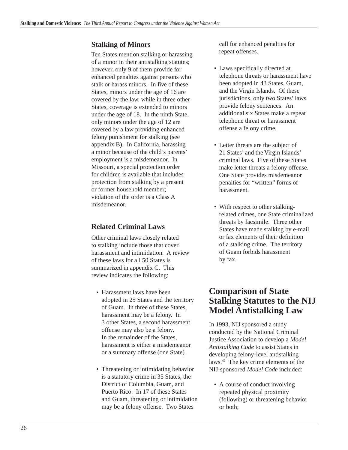## **Stalking of Minors**

Ten States mention stalking or harassing of a minor in their antistalking statutes; however, only 9 of them provide for enhanced penalties against persons who stalk or harass minors. In five of these States, minors under the age of 16 are covered by the law, while in three other States, coverage is extended to minors under the age of 18. In the ninth State, only minors under the age of 12 are covered by a law providing enhanced felony punishment for stalking (see appendix B). In California, harassing a minor because of the child's parents' employment is a misdemeanor. In Missouri, a special protection order for children is available that includes protection from stalking by a present or former household member; violation of the order is a Class A misdemeanor.

## **Related Criminal Laws**

Other criminal laws closely related to stalking include those that cover harassment and intimidation. A review of these laws for all 50 States is summarized in appendix C. This review indicates the following:

- Harassment laws have been adopted in 25 States and the territory of Guam. In three of these States, harassment may be a felony. In 3 other States, a second harassment offense may also be a felony. In the remainder of the States, harassment is either a misdemeanor or a summary offense (one State).
- Threatening or intimidating behavior is a statutory crime in 35 States, the District of Columbia, Guam, and Puerto Rico. In 17 of these States and Guam, threatening or intimidation may be a felony offense. Two States

call for enhanced penalties for repeat offenses.

- Laws specifically directed at telephone threats or harassment have been adopted in 43 States, Guam, and the Virgin Islands. Of these jurisdictions, only two States' laws provide felony sentences. An additional six States make a repeat telephone threat or harassment offense a felony crime.
- Letter threats are the subject of 21 States' and the Virgin Islands' criminal laws. Five of these States make letter threats a felony offense. One State provides misdemeanor penalties for "written" forms of harassment.
- With respect to other stalkingrelated crimes, one State criminalized threats by facsimile. Three other States have made stalking by e-mail or fax elements of their definition of a stalking crime. The territory of Guam forbids harassment by fax.

## **Comparison of State Stalking Statutes to the NIJ Model Antistalking Law**

In 1993, NIJ sponsored a study conducted by the National Criminal Justice Association to develop a *Model Antistalking Code* to assist States in developing felony-level antistalking laws.42 The key crime elements of the NIJ-sponsored *Model Code* included:

• A course of conduct involving repeated physical proximity (following) or threatening behavior or both;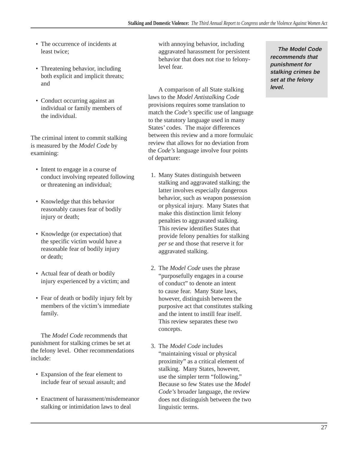- The occurrence of incidents at least twice;
- Threatening behavior, including both explicit and implicit threats; and
- Conduct occurring against an individual or family members of the individual.

The criminal intent to commit stalking is measured by the *Model Code* by examining:

- Intent to engage in a course of conduct involving repeated following or threatening an individual;
- Knowledge that this behavior reasonably causes fear of bodily injury or death;
- • Knowledge (or expectation) that the specific victim would have a reasonable fear of bodily injury or death;
- Actual fear of death or bodily injury experienced by a victim; and
- Fear of death or bodily injury felt by members of the victim's immediate family.

The *Model Code* recommends that punishment for stalking crimes be set at the felony level. Other recommendations include:

- Expansion of the fear element to include fear of sexual assault; and
- Enactment of harassment/misdemeanor stalking or intimidation laws to deal

with annoying behavior, including aggravated harassment for persistent behavior that does not rise to felonylevel fear.

A comparison of all State stalking laws to the *Model Antistalking Code*  provisions requires some translation to match the *Code's* specific use of language to the statutory language used in many States' codes. The major differences between this review and a more formulaic review that allows for no deviation from the *Code's* language involve four points of departure:

- 1. Many States distinguish between stalking and aggravated stalking; the latter involves especially dangerous behavior, such as weapon possession or physical injury. Many States that make this distinction limit felony penalties to aggravated stalking. This review identifies States that provide felony penalties for stalking *per se* and those that reserve it for aggravated stalking.
- 2. The *Model Code* uses the phrase "purposefully engages in a course of conduct" to denote an intent to cause fear. Many State laws, however, distinguish between the purposive act that constitutes stalking and the intent to instill fear itself. This review separates these two concepts.
- 3. The *Model Code* includes "maintaining visual or physical proximity" as a critical element of stalking. Many States, however, use the simpler term "following." Because so few States use the *Model Code's* broader language, the review does not distinguish between the two linguistic terms.

**The Model Code recommends that punishment for stalking crimes be set at the felony level.**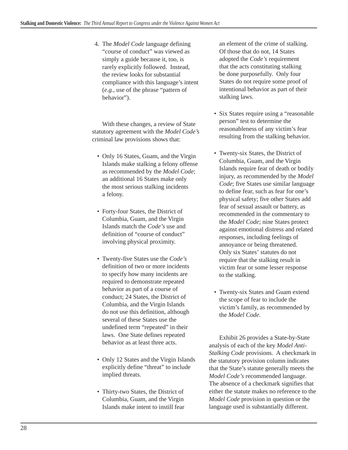4. The *Model Code* language defining "course of conduct" was viewed as simply a guide because it, too, is rarely explicitly followed. Instead, the review looks for substantial compliance with this language's intent (*e.g.*, use of the phrase "pattern of behavior").

With these changes, a review of State statutory agreement with the *Model Code's*  criminal law provisions shows that:

- Only 16 States, Guam, and the Virgin Islands make stalking a felony offense as recommended by the *Model Code*; an additional 16 States make only the most serious stalking incidents a felony.
- • Forty-four States, the District of Columbia, Guam, and the Virgin Islands match the *Code's* use and definition of "course of conduct" involving physical proximity.
- • Twenty-five States use the *Code's*  definition of two or more incidents to specify how many incidents are required to demonstrate repeated behavior as part of a course of conduct; 24 States, the District of Columbia, and the Virgin Islands do not use this definition, although several of these States use the undefined term "repeated" in their laws. One State defines repeated behavior as at least three acts.
- Only 12 States and the Virgin Islands explicitly define "threat" to include implied threats.
- Thirty-two States, the District of Columbia, Guam, and the Virgin Islands make intent to instill fear

an element of the crime of stalking. Of those that do not, 14 States adopted the *Code's* requirement that the acts constituting stalking be done purposefully. Only four States do not require some proof of intentional behavior as part of their stalking laws.

- Six States require using a "reasonable" person" test to determine the reasonableness of any victim's fear resulting from the stalking behavior.
- Twenty-six States, the District of Columbia, Guam, and the Virgin Islands require fear of death or bodily injury, as recommended by the *Model Code*; five States use similar language to define fear, such as fear for one's physical safety; five other States add fear of sexual assault or battery, as recommended in the commentary to the *Model Code*; nine States protect against emotional distress and related responses, including feelings of annoyance or being threatened. Only six States' statutes do not require that the stalking result in victim fear or some lesser response to the stalking.
- Twenty-six States and Guam extend the scope of fear to include the victim's family, as recommended by the *Model Code*.

Exhibit 26 provides a State-by-State analysis of each of the key *Model Anti-Stalking Code* provisions. A checkmark in the statutory provision column indicates that the State's statute generally meets the *Model Code's* recommended language. The absence of a checkmark signifies that either the statute makes no reference to the *Model Code* provision in question or the language used is substantially different.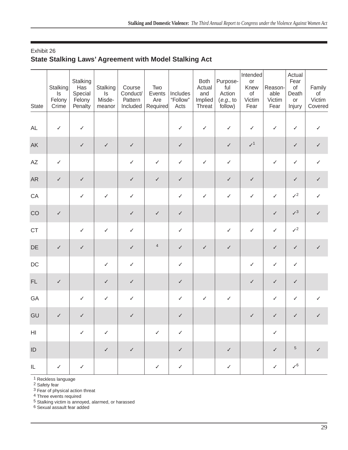## Exhibit 26 **State Stalking Laws' Agreement with Model Stalking Act**

| State                  | Stalking<br>ls<br>Felony<br>Crime | Stalking<br>Has<br>Special<br>Felony<br>Penalty | Stalking<br>Is<br>Misde-<br>meanor | Course<br>Conduct/<br>Pattern<br>Included | Two<br>Events<br>Are<br>Required | Includes<br>"Follow"<br>Acts | <b>Both</b><br>Actual<br>and<br>Implied<br>Threat | Purpose-<br>ful<br>Action<br>(e.g., to<br>follow) | Intended<br>or<br>Knew<br>of<br>Victim<br>Fear | Reason-<br>able<br>Victim<br>Fear | Actual<br>Fear<br>of<br>Death<br>or<br>Injury | Family<br>of<br>Victim<br>Covered |
|------------------------|-----------------------------------|-------------------------------------------------|------------------------------------|-------------------------------------------|----------------------------------|------------------------------|---------------------------------------------------|---------------------------------------------------|------------------------------------------------|-----------------------------------|-----------------------------------------------|-----------------------------------|
| <b>AL</b>              | $\checkmark$                      | $\checkmark$                                    |                                    |                                           |                                  | ✓                            | ✓                                                 | ✓                                                 | $\checkmark$                                   | ✓                                 | $\checkmark$                                  |                                   |
| AK                     |                                   | $\checkmark$                                    | $\checkmark$                       | $\checkmark$                              |                                  | $\checkmark$                 |                                                   | $\checkmark$                                      | $\mathcal{N}^1$                                |                                   | $\checkmark$                                  | ✓                                 |
| AZ                     | $\checkmark$                      |                                                 |                                    | $\checkmark$                              | ✓                                | $\checkmark$                 | $\checkmark$                                      | $\checkmark$                                      |                                                | $\checkmark$                      | $\checkmark$                                  |                                   |
| AR                     | $\checkmark$                      | $\checkmark$                                    |                                    | $\checkmark$                              | $\checkmark$                     | $\checkmark$                 |                                                   | $\checkmark$                                      | $\checkmark$                                   |                                   | $\checkmark$                                  | ✓                                 |
| ${\sf CA}$             |                                   | $\checkmark$                                    | ✓                                  | $\checkmark$                              |                                  | $\checkmark$                 | $\checkmark$                                      | $\checkmark$                                      | $\checkmark$                                   | $\checkmark$                      | $\sqrt{2}$                                    |                                   |
| CO                     | $\checkmark$                      |                                                 |                                    | $\checkmark$                              | $\checkmark$                     | $\checkmark$                 |                                                   |                                                   |                                                | $\checkmark$                      | $\sqrt{3}$                                    | ✓                                 |
| CT                     |                                   | $\checkmark$                                    | ✓                                  | $\checkmark$                              |                                  | $\checkmark$                 |                                                   | ✓                                                 | $\checkmark$                                   | $\checkmark$                      | $\sqrt{2}$                                    |                                   |
| $DE$                   | $\checkmark$                      | $\checkmark$                                    |                                    | $\checkmark$                              | $\overline{4}$                   | $\checkmark$                 | $\checkmark$                                      | $\checkmark$                                      |                                                | $\checkmark$                      | $\checkmark$                                  |                                   |
| $\mathsf{DC}$          |                                   |                                                 | $\checkmark$                       | $\checkmark$                              |                                  | $\checkmark$                 |                                                   |                                                   | $\checkmark$                                   | $\checkmark$                      | $\checkmark$                                  |                                   |
| FL                     | $\checkmark$                      |                                                 | $\checkmark$                       | $\checkmark$                              |                                  | $\checkmark$                 |                                                   |                                                   | $\checkmark$                                   | $\checkmark$                      | $\checkmark$                                  |                                   |
| GA                     |                                   | $\checkmark$                                    | $\checkmark$                       | $\checkmark$                              |                                  | $\checkmark$                 | $\checkmark$                                      | $\checkmark$                                      |                                                | $\checkmark$                      | $\checkmark$                                  |                                   |
| GU                     | $\checkmark$                      | $\checkmark$                                    |                                    | $\checkmark$                              |                                  | $\checkmark$                 |                                                   |                                                   | $\checkmark$                                   | $\checkmark$                      | ✓                                             |                                   |
| $\mathsf{H}\mathsf{I}$ |                                   | $\checkmark$                                    | $\checkmark$                       |                                           | $\checkmark$                     | $\checkmark$                 |                                                   |                                                   |                                                | $\checkmark$                      |                                               |                                   |
| $\sf ID$               |                                   |                                                 | $\checkmark$                       | $\checkmark$                              |                                  | $\checkmark$                 |                                                   | $\checkmark$                                      |                                                | $\checkmark$                      | $\sqrt{5}$                                    | $\checkmark$                      |
| $\mathsf{IL}$          | $\checkmark$                      | $\checkmark$                                    |                                    |                                           | $\checkmark$                     | $\checkmark$                 |                                                   | $\checkmark$                                      |                                                | $\checkmark$                      | $\boldsymbol{\mathcal{N}}^6$                  |                                   |

1 Reckless language

2 Safety fear

<sup>3</sup> Fear of physical action threat

4 Three events required

5 Stalking victim is annoyed, alarmed, or harassed

6 Sexual assault fear added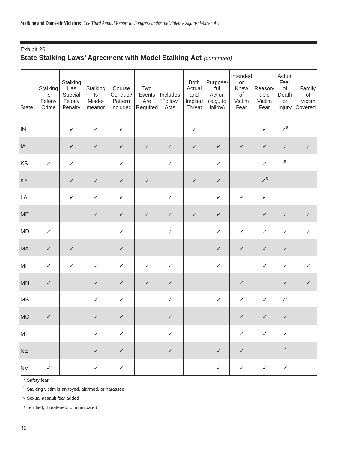## Exhibit 26 **State Stalking Laws' Agreement with Model Stalking Act (continued)**

| State      | Stalking<br>ls<br>Felony<br>Crime | Stalking<br>Has<br>Special<br>Felony<br>Penalty | Stalking<br>$\sf ls$<br>Misde-<br>meanor | Course<br>Conduct/<br>Pattern<br>Included | Two<br>Events<br>Are<br>Required | Includes<br>"Follow"<br>Acts | Both<br>Actual<br>and<br>Implied<br>Threat | Purpose-<br>ful<br>Action<br>(e.g., to<br>follow) | Intended<br>or<br>Knew<br>of<br>Victim<br>Fear | Reason-<br>able<br>Victim<br>Fear | Actual<br>Fear<br>of<br>Death<br>or<br>Injury | Family<br>o <sub>f</sub><br>Victim<br>Covered |
|------------|-----------------------------------|-------------------------------------------------|------------------------------------------|-------------------------------------------|----------------------------------|------------------------------|--------------------------------------------|---------------------------------------------------|------------------------------------------------|-----------------------------------|-----------------------------------------------|-----------------------------------------------|
| ${\sf IN}$ |                                   | $\checkmark$                                    | $\checkmark$                             | $\checkmark$                              |                                  |                              | $\checkmark$                               |                                                   |                                                | $\checkmark$                      | $\mathcal{N}^6$                               |                                               |
| $\sf IA$   |                                   | $\checkmark$                                    | $\checkmark$                             | $\checkmark$                              | $\checkmark$                     | $\checkmark$                 | $\checkmark$                               | $\checkmark$                                      | $\checkmark$                                   | $\checkmark$                      | $\checkmark$                                  | $\checkmark$                                  |
| KS         | $\checkmark$                      | $\checkmark$                                    |                                          | $\checkmark$                              |                                  | $\checkmark$                 |                                            | $\checkmark$                                      |                                                | $\checkmark$                      | 5                                             |                                               |
| KY         |                                   | $\checkmark$                                    | $\checkmark$                             | $\checkmark$                              | $\checkmark$                     |                              | $\checkmark$                               | $\checkmark$                                      |                                                | $\sqrt{5}$                        |                                               |                                               |
| LA         |                                   | $\checkmark$                                    | $\checkmark$                             | $\checkmark$                              |                                  | $\checkmark$                 |                                            | $\checkmark$                                      | $\checkmark$                                   | $\checkmark$                      |                                               |                                               |
| <b>ME</b>  |                                   |                                                 | $\checkmark$                             | $\checkmark$                              | $\checkmark$                     | $\checkmark$                 | $\checkmark$                               | $\checkmark$                                      |                                                | $\checkmark$                      | $\checkmark$                                  | $\checkmark$                                  |
| <b>MD</b>  | $\checkmark$                      |                                                 |                                          | $\checkmark$                              |                                  | $\checkmark$                 |                                            | $\checkmark$                                      | $\checkmark$                                   | $\checkmark$                      | $\checkmark$                                  | $\checkmark$                                  |
| <b>MA</b>  | $\checkmark$                      | $\checkmark$                                    |                                          | $\checkmark$                              |                                  |                              |                                            | $\checkmark$                                      | $\checkmark$                                   | $\checkmark$                      | $\checkmark$                                  |                                               |
| MI         | $\checkmark$                      | $\checkmark$                                    | $\checkmark$                             | $\checkmark$                              | $\checkmark$                     | $\checkmark$                 |                                            | $\checkmark$                                      |                                                | $\checkmark$                      | $\checkmark$                                  | $\checkmark$                                  |
| <b>MN</b>  | $\checkmark$                      |                                                 | $\checkmark$                             | $\checkmark$                              | $\checkmark$                     | $\checkmark$                 |                                            |                                                   | $\checkmark$                                   |                                   | $\checkmark$                                  | $\checkmark$                                  |
| <b>MS</b>  |                                   |                                                 | $\checkmark$                             | $\checkmark$                              |                                  | $\checkmark$                 |                                            | $\checkmark$                                      | $\checkmark$                                   | $\checkmark$                      | $\sqrt{2}$                                    |                                               |
| <b>MO</b>  | $\checkmark$                      |                                                 | $\checkmark$                             | $\checkmark$                              |                                  | $\checkmark$                 |                                            |                                                   | $\checkmark$                                   | $\checkmark$                      | $\checkmark$                                  |                                               |
| MT         |                                   |                                                 | $\checkmark$                             | $\checkmark$                              |                                  | $\checkmark$                 |                                            |                                                   | $\checkmark$                                   | $\checkmark$                      | $\checkmark$                                  |                                               |
| <b>NE</b>  |                                   |                                                 | $\checkmark$                             | $\checkmark$                              |                                  | $\checkmark$                 |                                            | $\checkmark$                                      | $\checkmark$                                   |                                   | $\boldsymbol{7}$                              |                                               |
| <b>NV</b>  | $\checkmark$                      |                                                 | $\checkmark$                             | $\checkmark$                              |                                  |                              |                                            | $\checkmark$                                      | $\checkmark$                                   | $\checkmark$                      | $\checkmark$                                  |                                               |

2 Safety fear

5 Stalking victim is annoyed, alarmed, or harassed

6 Sexual assault fear added

7 Terrified, threatened, or intimidated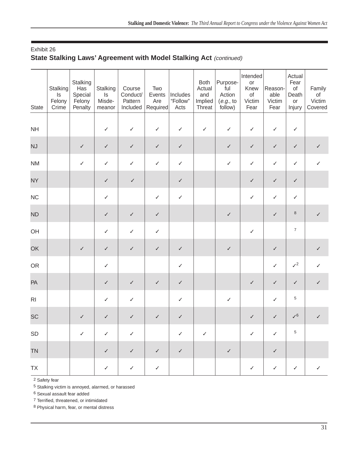#### Exhibit 26 **State Stalking Laws' Agreement with Model Stalking Act (continued)**

| State          | Stalking<br>ls<br>Felony<br>Crime | Stalking<br>Has<br>Special<br>Felony<br>Penalty | Stalking<br>$\sf ls$<br>Misde-<br>meanor | Course<br>Conduct/<br>Pattern<br>Included | Two<br>Events<br>Are<br>Required | Includes<br>"Follow"<br>Acts | Both<br>Actual<br>and<br>Implied<br>Threat | Purpose-<br>ful<br>Action<br>(e.g., to<br>follow) | Intended<br>or<br>Knew<br>o <sub>f</sub><br>Victim<br>Fear | Reason-<br>able<br>Victim<br>Fear | Actual<br>Fear<br>$\circ$ f<br>Death<br>or<br>Injury | Family<br>of<br>Victim<br>Covered |
|----------------|-----------------------------------|-------------------------------------------------|------------------------------------------|-------------------------------------------|----------------------------------|------------------------------|--------------------------------------------|---------------------------------------------------|------------------------------------------------------------|-----------------------------------|------------------------------------------------------|-----------------------------------|
| <b>NH</b>      |                                   |                                                 | $\checkmark$                             | $\checkmark$                              | $\checkmark$                     | $\checkmark$                 | $\checkmark$                               | $\checkmark$                                      | $\checkmark$                                               | $\checkmark$                      | $\checkmark$                                         |                                   |
| NJ             |                                   | $\checkmark$                                    | $\checkmark$                             | $\checkmark$                              | $\checkmark$                     | $\checkmark$                 |                                            | $\checkmark$                                      | $\checkmark$                                               | $\checkmark$                      | $\checkmark$                                         | $\checkmark$                      |
| <b>NM</b>      |                                   | $\checkmark$                                    | $\checkmark$                             | $\checkmark$                              | $\checkmark$                     | $\checkmark$                 |                                            | $\checkmark$                                      | $\checkmark$                                               | $\checkmark$                      | $\checkmark$                                         | ✓                                 |
| <b>NY</b>      |                                   |                                                 | $\checkmark$                             | $\checkmark$                              |                                  | $\checkmark$                 |                                            |                                                   | $\checkmark$                                               | $\checkmark$                      | $\checkmark$                                         |                                   |
| NC             |                                   |                                                 | $\checkmark$                             |                                           | $\checkmark$                     | $\checkmark$                 |                                            |                                                   | $\checkmark$                                               | $\checkmark$                      | $\checkmark$                                         |                                   |
| <b>ND</b>      |                                   |                                                 | $\checkmark$                             | $\checkmark$                              | $\checkmark$                     |                              |                                            | $\checkmark$                                      |                                                            | $\checkmark$                      | $\bf 8$                                              | $\checkmark$                      |
| OH             |                                   |                                                 | $\checkmark$                             | $\checkmark$                              | $\checkmark$                     |                              |                                            |                                                   | $\checkmark$                                               |                                   | $\boldsymbol{7}$                                     |                                   |
| OK             |                                   | $\checkmark$                                    | $\checkmark$                             | $\checkmark$                              | $\checkmark$                     | $\checkmark$                 |                                            | $\checkmark$                                      |                                                            | $\checkmark$                      |                                                      | ✓                                 |
| OR             |                                   |                                                 | $\checkmark$                             |                                           |                                  | $\checkmark$                 |                                            |                                                   |                                                            | $\checkmark$                      | $\sqrt{2}$                                           |                                   |
| PA             |                                   |                                                 | $\checkmark$                             | $\checkmark$                              | $\checkmark$                     | $\checkmark$                 |                                            |                                                   | $\checkmark$                                               | $\checkmark$                      | $\checkmark$                                         | $\checkmark$                      |
| R <sub>l</sub> |                                   |                                                 | $\checkmark$                             | $\checkmark$                              |                                  | $\checkmark$                 |                                            | $\checkmark$                                      |                                                            | $\checkmark$                      | 5                                                    |                                   |
| <b>SC</b>      |                                   | $\checkmark$                                    | $\checkmark$                             | $\checkmark$                              | $\checkmark$                     | $\checkmark$                 |                                            |                                                   | $\checkmark$                                               | $\checkmark$                      | $\sqrt{6}$                                           |                                   |
| $\mathsf{SD}$  |                                   | $\checkmark$                                    | $\checkmark$                             | $\checkmark$                              |                                  | $\checkmark$                 | $\checkmark$                               |                                                   | $\checkmark$                                               | $\checkmark$                      | 5                                                    |                                   |
| <b>TN</b>      |                                   |                                                 | $\checkmark$                             | $\checkmark$                              | $\checkmark$                     | $\checkmark$                 |                                            | $\checkmark$                                      |                                                            | $\checkmark$                      |                                                      |                                   |
| ${\sf TX}$     |                                   |                                                 | $\checkmark$                             | $\checkmark$                              | $\checkmark$                     |                              |                                            |                                                   | $\checkmark$                                               | $\checkmark$                      | $\checkmark$                                         | $\checkmark$                      |

2 Safety fear

5 Stalking victim is annoyed, alarmed, or harassed

6 Sexual assault fear added

7 Terrified, threatened, or intimidated

8 Physical harm, fear, or mental distress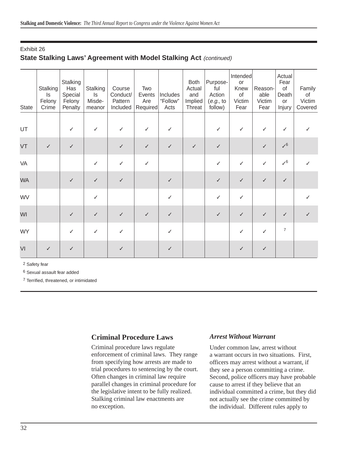#### Exhibit 26

#### **State Stalking Laws' Agreement with Model Stalking Act** (continued)

| State     | Stalking<br>Is<br>Felony<br>Crime | Stalking<br>Has<br>Special<br>Felony<br>Penalty | Stalking<br>ls<br>Misde-<br>meanor | Course<br>Conduct/<br>Pattern<br>Included | Two<br>Events<br>Are<br>Required | Includes<br>"Follow"<br>Acts | <b>Both</b><br>Actual<br>and<br>Implied<br>Threat | Purpose-<br>ful<br>Action<br>(e.g., to<br>follow) | Intended<br>or<br>Knew<br>of<br>Victim<br>Fear | Reason-<br>able<br>Victim<br>Fear | Actual<br>Fear<br>of<br>Death<br>or<br>Injury | Family<br>of<br>Victim<br>Covered |
|-----------|-----------------------------------|-------------------------------------------------|------------------------------------|-------------------------------------------|----------------------------------|------------------------------|---------------------------------------------------|---------------------------------------------------|------------------------------------------------|-----------------------------------|-----------------------------------------------|-----------------------------------|
| UT        |                                   | ✓                                               | $\checkmark$                       | ✓                                         | ✓                                | √                            |                                                   |                                                   | $\checkmark$                                   | $\checkmark$                      | $\checkmark$                                  |                                   |
| VT        | $\checkmark$                      | $\checkmark$                                    |                                    | $\checkmark$                              | $\checkmark$                     | $\checkmark$                 | $\checkmark$                                      | $\checkmark$                                      |                                                | $\checkmark$                      | $\sqrt{6}$                                    |                                   |
| VA        |                                   |                                                 | ✓                                  | $\checkmark$                              |                                  |                              |                                                   |                                                   | $\checkmark$                                   | $\checkmark$                      | $\boldsymbol{\mathcal{N}}^6$                  |                                   |
| <b>WA</b> |                                   | $\checkmark$                                    | $\checkmark$                       | $\checkmark$                              |                                  |                              |                                                   | $\checkmark$                                      | $\checkmark$                                   | $\checkmark$                      | $\checkmark$                                  |                                   |
| <b>WV</b> |                                   |                                                 | ✓                                  |                                           |                                  |                              |                                                   |                                                   | $\checkmark$                                   |                                   |                                               |                                   |
| WI        |                                   | J                                               | $\checkmark$                       | $\checkmark$                              |                                  | ✓                            |                                                   |                                                   | $\checkmark$                                   | $\checkmark$                      | $\checkmark$                                  |                                   |
| <b>WY</b> |                                   |                                                 |                                    | $\checkmark$                              |                                  |                              |                                                   |                                                   |                                                | $\checkmark$                      | $\overline{7}$                                |                                   |
| VI        |                                   |                                                 |                                    |                                           |                                  |                              |                                                   |                                                   |                                                | ✓                                 |                                               |                                   |

2 Safety fear

6 Sexual assault fear added

7 Terrified, threatened, or intimidated

#### **Criminal Procedure Laws**

Criminal procedure laws regulate enforcement of criminal laws. They range from specifying how arrests are made to trial procedures to sentencing by the court. Often changes in criminal law require parallel changes in criminal procedure for the legislative intent to be fully realized. Stalking criminal law enactments are no exception.

#### *Arrest Without Warrant*

Under common law, arrest without a warrant occurs in two situations. First, officers may arrest without a warrant, if they see a person committing a crime. Second, police officers may have probable cause to arrest if they believe that an individual committed a crime, but they did not actually see the crime committed by the individual. Different rules apply to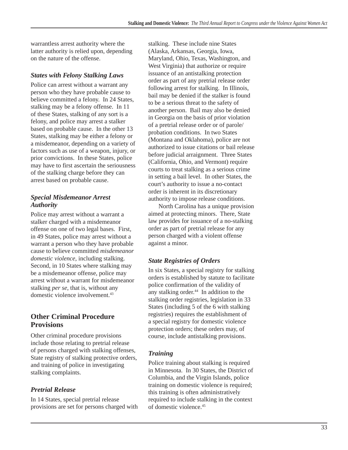warrantless arrest authority where the latter authority is relied upon, depending on the nature of the offense.

#### *States with Felony Stalking Laws*

Police can arrest without a warrant any person who they have probable cause to believe committed a felony. In 24 States, stalking may be a felony offense. In 11 of these States, stalking of any sort is a felony, and police may arrest a stalker based on probable cause. In the other 13 States, stalking may be either a felony or a misdemeanor, depending on a variety of factors such as use of a weapon, injury, or prior convictions. In these States, police may have to first ascertain the seriousness of the stalking charge before they can arrest based on probable cause.

#### *Special Misdemeanor Arrest Authority*

Police may arrest without a warrant a stalker charged with a misdemeanor offense on one of two legal bases. First, in 49 States, police may arrest without a warrant a person who they have probable cause to believe committed *misdemeanor domestic violence*, including stalking. Second, in 10 States where stalking may be a misdemeanor offense, police may arrest without a warrant for misdemeanor stalking *per se*, that is, without any domestic violence involvement.<sup>43</sup>

### **Other Criminal Procedure Provisions**

Other criminal procedure provisions include those relating to pretrial release of persons charged with stalking offenses, State registry of stalking protective orders, and training of police in investigating stalking complaints.

### *Pretrial Release*

In 14 States, special pretrial release provisions are set for persons charged with

stalking. These include nine States (Alaska, Arkansas, Georgia, Iowa, Maryland, Ohio, Texas, Washington, and West Virginia) that authorize or require issuance of an antistalking protection order as part of any pretrial release order following arrest for stalking. In Illinois, bail may be denied if the stalker is found to be a serious threat to the safety of another person. Bail may also be denied in Georgia on the basis of prior violation of a pretrial release order or of parole/ probation conditions. In two States (Montana and Oklahoma), police are not authorized to issue citations or bail release before judicial arraignment. Three States (California, Ohio, and Vermont) require courts to treat stalking as a serious crime in setting a bail level. In other States, the court's authority to issue a no-contact order is inherent in its discretionary authority to impose release conditions.

North Carolina has a unique provision aimed at protecting minors. There, State law provides for issuance of a no-stalking order as part of pretrial release for any person charged with a violent offense against a minor.

### *State Registries of Orders*

In six States, a special registry for stalking orders is established by statute to facilitate police confirmation of the validity of any stalking order. 44 In addition to the stalking order registries, legislation in 33 States (including 5 of the 6 with stalking registries) requires the establishment of a special registry for domestic violence protection orders; these orders may, of course, include antistalking provisions.

### *Training*

Police training about stalking is required in Minnesota. In 30 States, the District of Columbia, and the Virgin Islands, police training on domestic violence is required; this training is often administratively required to include stalking in the context of domestic violence.45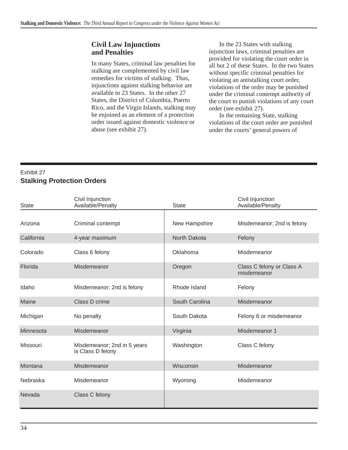#### **Civil Law Injunctions and Penalties**

In many States, criminal law penalties for stalking are complemented by civil law remedies for victims of stalking. Thus, injunctions against stalking behavior are available in 23 States. In the other 27 States, the District of Columbia, Puerto Rico, and the Virgin Islands, stalking may be enjoined as an element of a protection order issued against domestic violence or abuse (see exhibit 27).

In the 23 States with stalking injunction laws, criminal penalties are provided for violating the court order in all but 2 of these States. In the two States without specific criminal penalties for violating an antistalking court order, violations of the order may be punished under the criminal contempt authority of the court to punish violations of any court order (see exhibit 27).

In the remaining State, stalking violations of the court order are punished under the courts' general powers of

### Exhibit 27 **Stalking Protection Orders**

| <b>State</b> | Civil Injunction<br>Available/Penalty            | <b>State</b>   | Civil Injunction<br>Available/Penalty    |
|--------------|--------------------------------------------------|----------------|------------------------------------------|
| Arizona      | Criminal contempt                                | New Hampshire  | Misdemeanor; 2nd is felony               |
| California   | 4-year maximum                                   | North Dakota   | Felony                                   |
| Colorado     | Class 6 felony                                   | Oklahoma       | Misdemeanor                              |
| Florida      | Misdemeanor                                      | Oregon         | Class C felony or Class A<br>misdemeanor |
| Idaho        | Misdemeanor; 2nd is felony                       | Rhode Island   | Felony                                   |
| Maine        | Class D crime                                    | South Carolina | Misdemeanor                              |
| Michigan     | No penalty                                       | South Dakota   | Felony 6 or misdemeanor                  |
| Minnesota    | Misdemeanor                                      | Virginia       | Misdemeanor 1                            |
| Missouri     | Misdemeanor; 2nd in 5 years<br>is Class D felony | Washington     | Class C felony                           |
| Montana      | Misdemeanor                                      | Wisconsin      | Misdemeanor                              |
| Nebraska     | Misdemeanor                                      | Wyoming        | Misdemeanor                              |
| Nevada       | Class C felony                                   |                |                                          |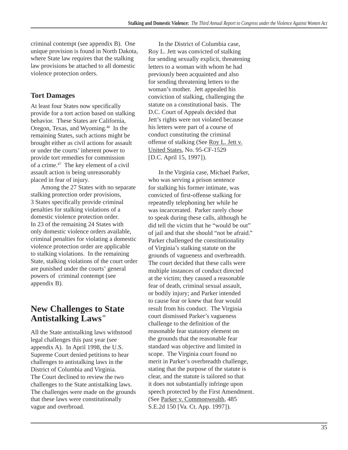criminal contempt (see appendix B). One unique provision is found in North Dakota, where State law requires that the stalking law provisions be attached to all domestic violence protection orders.

### **Tort Damages**

At least four States now specifically provide for a tort action based on stalking behavior. These States are California, Oregon, Texas, and Wyoming.46 In the remaining States, such actions might be brought either as civil actions for assault or under the courts' inherent power to provide tort remedies for commission of a crime.47 The key element of a civil assault action is being unreasonably placed in fear of injury.

Among the 27 States with no separate stalking protection order provisions, 3 States specifically provide criminal penalties for stalking violations of a domestic violence protection order. In 23 of the remaining 24 States with only domestic violence orders available, criminal penalties for violating a domestic violence protection order are applicable to stalking violations. In the remaining State, stalking violations of the court order are punished under the courts' general powers of criminal contempt (see appendix B).

## **New Challenges to State Antistalking Laws** <sup>48</sup>

All the State antistalking laws withstood legal challenges this past year (see appendix A). In April 1998, the U.S. Supreme Court denied petitions to hear challenges to antistalking laws in the District of Columbia and Virginia. The Court declined to review the two challenges to the State antistalking laws. The challenges were made on the grounds that these laws were constitutionally vague and overbroad.

In the District of Columbia case, Roy L. Jett was convicted of stalking for sending sexually explicit, threatening letters to a woman with whom he had previously been acquainted and also for sending threatening letters to the woman's mother. Jett appealed his conviction of stalking, challenging the statute on a constitutional basis. The D.C. Court of Appeals decided that Jett's rights were not violated because his letters were part of a course of conduct constituting the criminal offense of stalking (See Roy L. Jett v. United States, No. 95-CF-1529 [D.C. April 15, 1997]).

In the Virginia case, Michael Parker, who was serving a prison sentence for stalking his former intimate, was convicted of first-offense stalking for repeatedly telephoning her while he was incarcerated. Parker rarely chose to speak during these calls, although he did tell the victim that he "would be out" of jail and that she should "not be afraid." Parker challenged the constitutionality of Virginia's stalking statute on the grounds of vagueness and overbreadth. The court decided that these calls were multiple instances of conduct directed at the victim; they caused a reasonable fear of death, criminal sexual assault, or bodily injury; and Parker intended to cause fear or knew that fear would result from his conduct. The Virginia court dismissed Parker's vagueness challenge to the definition of the reasonable fear statutory element on the grounds that the reasonable fear standard was objective and limited in scope. The Virginia court found no merit in Parker's overbreadth challenge, stating that the purpose of the statute is clear, and the statute is tailored so that it does not substantially infringe upon speech protected by the First Amendment. (See Parker v. Commonwealth, 485 S.E.2d 150 [Va. Ct. App. 1997]).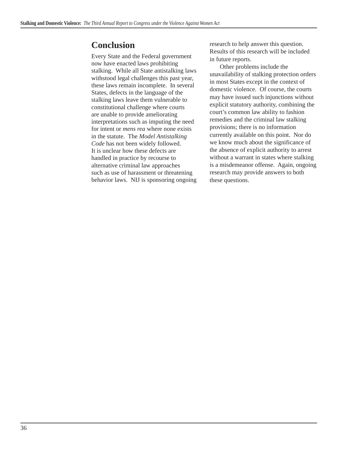## **Conclusion**

Every State and the Federal government now have enacted laws prohibiting stalking. While all State antistalking laws withstood legal challenges this past year, these laws remain incomplete. In several States, defects in the language of the stalking laws leave them vulnerable to constitutional challenge where courts are unable to provide ameliorating interpretations such as imputing the need for intent or *mens rea* where none exists in the statute. The *Model Antistalking Code* has not been widely followed. It is unclear how these defects are handled in practice by recourse to alternative criminal law approaches such as use of harassment or threatening behavior laws. NIJ is sponsoring ongoing

research to help answer this question. Results of this research will be included in future reports.

Other problems include the unavailability of stalking protection orders in most States except in the context of domestic violence. Of course, the courts may have issued such injunctions without explicit statutory authority, combining the court's common law ability to fashion remedies and the criminal law stalking provisions; there is no information currently available on this point. Nor do we know much about the significance of the absence of explicit authority to arrest without a warrant in states where stalking is a misdemeanor offense. Again, ongoing research may provide answers to both these questions.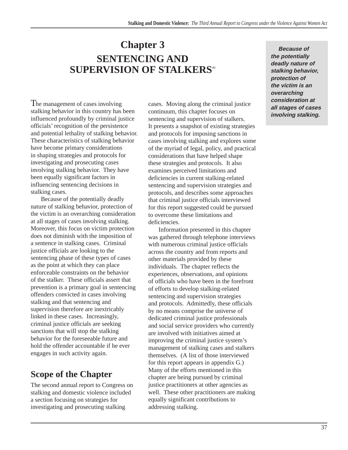# **Chapter 3 SENTENCING AND SUPERVISION OF STALKERS**49

The management of cases involving stalking behavior in this country has been influenced profoundly by criminal justice officials' recognition of the persistence and potential lethality of stalking behavior. These characteristics of stalking behavior have become primary considerations in shaping strategies and protocols for investigating and prosecuting cases involving stalking behavior. They have been equally significant factors in influencing sentencing decisions in stalking cases.

Because of the potentially deadly nature of stalking behavior, protection of the victim is an overarching consideration at all stages of cases involving stalking. Moreover, this focus on victim protection does not diminish with the imposition of a sentence in stalking cases. Criminal justice officials are looking to the sentencing phase of these types of cases as the point at which they can place enforceable constraints on the behavior of the stalker. These officials assert that prevention is a primary goal in sentencing offenders convicted in cases involving stalking and that sentencing and supervision therefore are inextricably linked in these cases. Increasingly, criminal justice officials are seeking sanctions that will stop the stalking behavior for the foreseeable future and hold the offender accountable if he ever engages in such activity again.

## **Scope of the Chapter**

The second annual report to Congress on stalking and domestic violence included a section focusing on strategies for investigating and prosecuting stalking

cases. Moving along the criminal justice continuum, this chapter focuses on sentencing and supervision of stalkers. It presents a snapshot of existing strategies and protocols for imposing sanctions in cases involving stalking and explores some of the myriad of legal, policy, and practical considerations that have helped shape these strategies and protocols. It also examines perceived limitations and deficiencies in current stalking-related sentencing and supervision strategies and protocols, and describes some approaches that criminal justice officials interviewed for this report suggested could be pursued to overcome these limitations and deficiencies.

Information presented in this chapter was gathered through telephone interviews with numerous criminal justice officials across the country and from reports and other materials provided by these individuals. The chapter reflects the experiences, observations, and opinions of officials who have been in the forefront of efforts to develop stalking-related sentencing and supervision strategies and protocols. Admittedly, these officials by no means comprise the universe of dedicated criminal justice professionals and social service providers who currently are involved with initiatives aimed at improving the criminal justice system's management of stalking cases and stalkers themselves. (A list of those interviewed for this report appears in appendix G.) Many of the efforts mentioned in this chapter are being pursued by criminal justice practitioners at other agencies as well. These other practitioners are making equally significant contributions to addressing stalking.

**Because of the potentially deadly nature of stalking behavior, protection of the victim is an overarching consideration at all stages of cases involving stalking.**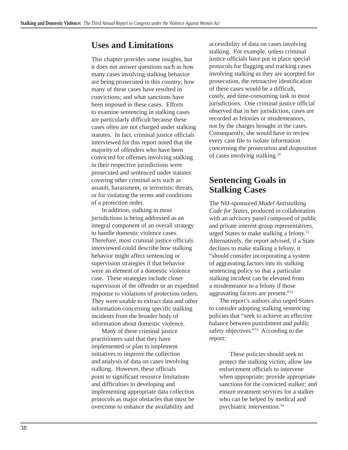## **Uses and Limitations**

This chapter provides some insights, but it does not answer questions such as how many cases involving stalking behavior are being prosecuted in this country; how many of these cases have resulted in convictions; and what sanctions have been imposed in these cases. Efforts to examine sentencing in stalking cases are particularly difficult because these cases often are not charged under stalking statutes. In fact, criminal justice officials interviewed for this report noted that the majority of offenders who have been convicted for offenses involving stalking in their respective jurisdictions were prosecuted and sentenced under statutes covering other criminal acts such as assault, harassment, or terroristic threats, or for violating the terms and conditions of a protection order.

In addition, stalking in most jurisdictions is being addressed as an integral component of an overall strategy to handle domestic violence cases. Therefore, most criminal justice officials interviewed could describe how stalking behavior might affect sentencing or supervision strategies if that behavior were an element of a domestic violence case. These strategies include closer supervision of the offender or an expedited response to violations of protection orders. They were unable to extract data and other information concerning specific stalking incidents from the broader body of information about domestic violence.

Many of these criminal justice practitioners said that they have implemented or plan to implement initiatives to improve the collection and analysis of data on cases involving stalking. However, these officials point to significant resource limitations and difficulties in developing and implementing appropriate data collection protocols as major obstacles that must be overcome to enhance the availability and

accessibility of data on cases involving stalking. For example, unless criminal justice officials have put in place special protocols for flagging and tracking cases involving stalking as they are accepted for prosecution, the retroactive identification of these cases would be a difficult, costly, and time-consuming task in most jurisdictions. One criminal justice official observed that in her jurisdiction, cases are recorded as felonies or misdemeanors, not by the charges brought in the cases. Consequently, she would have to review every case file to isolate information concerning the prosecution and disposition of cases involving stalking.50

### **Sentencing Goals in Stalking Cases**

The NIJ-sponsored *Model Antistalking Code for States*, produced in collaboration with an advisory panel composed of public and private interest group representatives, urged States to make stalking a felony. 51 Alternatively, the report advised, if a State declines to make stalking a felony, it "should consider incorporating a system of aggravating factors into its stalking sentencing policy so that a particular stalking incident can be elevated from a misdemeanor to a felony if those aggravating factors are present."52

The report's authors also urged States to consider adopting stalking sentencing policies that "seek to achieve an effective balance between punishment and public safety objectives."<sup>53</sup> According to the report:

These policies should seek to protect the stalking victim; allow law enforcement officials to intervene when appropriate; provide appropriate sanctions for the convicted stalker; and ensure treatment services for a stalker who can be helped by medical and psychiatric intervention.54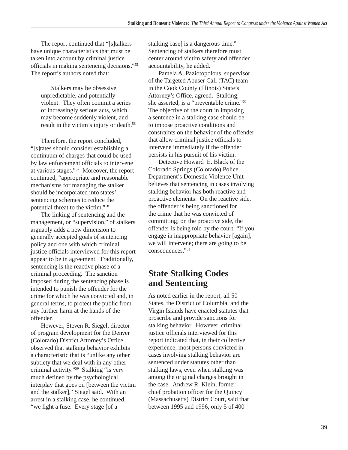The report continued that "[s]talkers have unique characteristics that must be taken into account by criminal justice officials in making sentencing decisions."55 The report's authors noted that:

Stalkers may be obsessive, unpredictable, and potentially violent. They often commit a series of increasingly serious acts, which may become suddenly violent, and result in the victim's injury or death.56

Therefore, the report concluded, "[s]tates should consider establishing a continuum of charges that could be used by law enforcement officials to intervene at various stages."57 Moreover, the report continued, "appropriate and reasonable mechanisms for managing the stalker should be incorporated into states' sentencing schemes to reduce the potential threat to the victim."58

The linking of sentencing and the management, or "supervision," of stalkers arguably adds a new dimension to generally accepted goals of sentencing policy and one with which criminal justice officials interviewed for this report appear to be in agreement. Traditionally, sentencing is the reactive phase of a criminal proceeding. The sanction imposed during the sentencing phase is intended to punish the offender for the crime for which he was convicted and, in general terms, to protect the public from any further harm at the hands of the offender.

However, Steven R. Siegel, director of program development for the Denver (Colorado) District Attorney's Office, observed that stalking behavior exhibits a characteristic that is "unlike any other subtlety that we deal with in any other criminal activity."59 Stalking "is very much defined by the psychological interplay that goes on [between the victim and the stalker]," Siegel said. With an arrest in a stalking case, he continued, "we light a fuse. Every stage [of a

stalking case] is a dangerous time." Sentencing of stalkers therefore must center around victim safety and offender accountability, he added.

Pamela A. Paziotopolous, supervisor of the Targeted Abuser Call (TAC) team in the Cook County (Illinois) State's Attorney's Office, agreed. Stalking, she asserted, is a "preventable crime."60 The objective of the court in imposing a sentence in a stalking case should be to impose proactive conditions and constraints on the behavior of the offender that allow criminal justice officials to intervene immediately if the offender persists in his pursuit of his victim.

Detective Howard E. Black of the Colorado Springs (Colorado) Police Department's Domestic Violence Unit believes that sentencing in cases involving stalking behavior has both reactive and proactive elements: On the reactive side, the offender is being sanctioned for the crime that he was convicted of committing; on the proactive side, the offender is being told by the court, "If you engage in inappropriate behavior [again], we will intervene; there are going to be consequences."61

## **State Stalking Codes and Sentencing**

As noted earlier in the report, all 50 States, the District of Columbia, and the Virgin Islands have enacted statutes that proscribe and provide sanctions for stalking behavior. However, criminal justice officials interviewed for this report indicated that, in their collective experience, most persons convicted in cases involving stalking behavior are sentenced under statutes other than stalking laws, even when stalking was among the original charges brought in the case. Andrew R. Klein, former chief probation officer for the Quincy (Massachusetts) District Court, said that between 1995 and 1996, only 5 of 400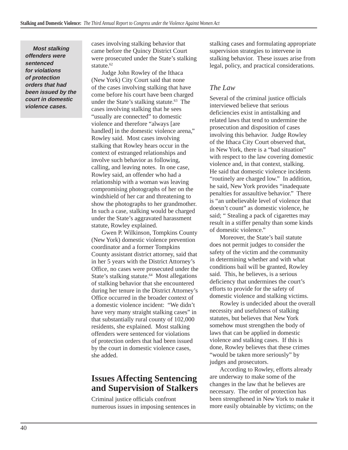**Most stalking offenders were sentenced for violations of protection orders that had been issued by the court in domestic violence cases.** 

cases involving stalking behavior that came before the Quincy District Court were prosecuted under the State's stalking statute.<sup>62</sup>

Judge John Rowley of the Ithaca (New York) City Court said that none of the cases involving stalking that have come before his court have been charged under the State's stalking statute.<sup>63</sup> The cases involving stalking that he sees "usually are connected" to domestic violence and therefore "always [are handled] in the domestic violence arena," Rowley said. Most cases involving stalking that Rowley hears occur in the context of estranged relationships and involve such behavior as following, calling, and leaving notes. In one case, Rowley said, an offender who had a relationship with a woman was leaving compromising photographs of her on the windshield of her car and threatening to show the photographs to her grandmother. In such a case, stalking would be charged under the State's aggravated harassment statute, Rowley explained.

Gwen P. Wilkinson, Tompkins County (New York) domestic violence prevention coordinator and a former Tompkins County assistant district attorney, said that in her 5 years with the District Attorney's Office, no cases were prosecuted under the State's stalking statute.<sup>64</sup> Most allegations of stalking behavior that she encountered during her tenure in the District Attorney's Office occurred in the broader context of a domestic violence incident: "We didn't have very many straight stalking cases" in that substantially rural county of 102,000 residents, she explained. Most stalking offenders were sentenced for violations of protection orders that had been issued by the court in domestic violence cases, she added.

## **Issues Affecting Sentencing and Supervision of Stalkers**

Criminal justice officials confront numerous issues in imposing sentences in

stalking cases and formulating appropriate supervision strategies to intervene in stalking behavior. These issues arise from legal, policy, and practical considerations.

#### *The Law*

Several of the criminal justice officials interviewed believe that serious deficiencies exist in antistalking and related laws that tend to undermine the prosecution and disposition of cases involving this behavior. Judge Rowley of the Ithaca City Court observed that, in New York, there is a "bad situation" with respect to the law covering domestic violence and, in that context, stalking. He said that domestic violence incidents "routinely are charged low." In addition, he said, New York provides "inadequate penalties for assaultive behavior." There is "an unbelievable level of violence that doesn't count" as domestic violence, he said; " Stealing a pack of cigarettes may result in a stiffer penalty than some kinds of domestic violence."

Moreover, the State's bail statute does not permit judges to consider the safety of the victim and the community in determining whether and with what conditions bail will be granted, Rowley said. This, he believes, is a serious deficiency that undermines the court's efforts to provide for the safety of domestic violence and stalking victims.

Rowley is undecided about the overall necessity and usefulness of stalking statutes, but believes that New York somehow must strengthen the body of laws that can be applied in domestic violence and stalking cases. If this is done, Rowley believes that these crimes "would be taken more seriously" by judges and prosecutors.

According to Rowley, efforts already are underway to make some of the changes in the law that he believes are necessary. The order of protection has been strengthened in New York to make it more easily obtainable by victims; on the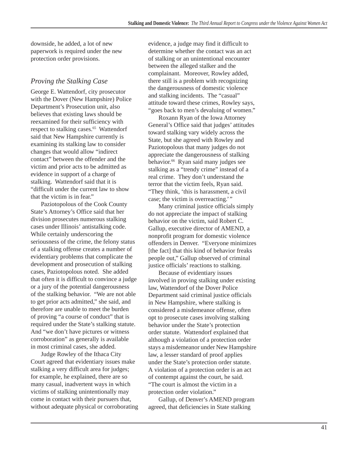downside, he added, a lot of new paperwork is required under the new protection order provisions.

#### *Proving the Stalking Case*

George E. Wattendorf, city prosecutor with the Dover (New Hampshire) Police Department's Prosecution unit, also believes that existing laws should be reexamined for their sufficiency with respect to stalking cases.<sup>65</sup> Wattendorf said that New Hampshire currently is examining its stalking law to consider changes that would allow "indirect contact" between the offender and the victim and prior acts to be admitted as evidence in support of a charge of stalking. Wattendorf said that it is "difficult under the current law to show that the victim is in fear."

Paziotopolous of the Cook County State's Attorney's Office said that her division prosecutes numerous stalking cases under Illinois' antistalking code. While certainly underscoring the seriousness of the crime, the felony status of a stalking offense creates a number of evidentiary problems that complicate the development and prosecution of stalking cases, Paziotopolous noted. She added that often it is difficult to convince a judge or a jury of the potential dangerousness of the stalking behavior. "We are not able to get prior acts admitted," she said, and therefore are unable to meet the burden of proving "a course of conduct" that is required under the State's stalking statute. And "we don't have pictures or witness corroboration" as generally is available in most criminal cases, she added.

Judge Rowley of the Ithaca City Court agreed that evidentiary issues make stalking a very difficult area for judges; for example, he explained, there are so many casual, inadvertent ways in which victims of stalking unintentionally may come in contact with their pursuers that, without adequate physical or corroborating evidence, a judge may find it difficult to determine whether the contact was an act of stalking or an unintentional encounter between the alleged stalker and the complainant. Moreover, Rowley added, there still is a problem with recognizing the dangerousness of domestic violence and stalking incidents. The "casual" attitude toward these crimes, Rowley says, "goes back to men's devaluing of women."

Roxann Ryan of the Iowa Attorney General's Office said that judges' attitudes toward stalking vary widely across the State, but she agreed with Rowley and Paziotopolous that many judges do not appreciate the dangerousness of stalking behavior. 66 Ryan said many judges see stalking as a "trendy crime" instead of a real crime. They don't understand the terror that the victim feels, Ryan said. "They think, 'this is harassment, a civil case; the victim is overreacting.'"

Many criminal justice officials simply do not appreciate the impact of stalking behavior on the victim, said Robert C. Gallup, executive director of AMEND, a nonprofit program for domestic violence offenders in Denver. "Everyone minimizes [the fact] that this kind of behavior freaks people out," Gallup observed of criminal justice officials' reactions to stalking.

Because of evidentiary issues involved in proving stalking under existing law, Wattendorf of the Dover Police Department said criminal justice officials in New Hampshire, where stalking is considered a misdemeanor offense, often opt to prosecute cases involving stalking behavior under the State's protection order statute. Wattendorf explained that although a violation of a protection order stays a misdemeanor under New Hampshire law, a lesser standard of proof applies under the State's protection order statute. A violation of a protection order is an act of contempt against the court, he said. "The court is almost the victim in a protection order violation."

Gallup, of Denver's AMEND program agreed, that deficiencies in State stalking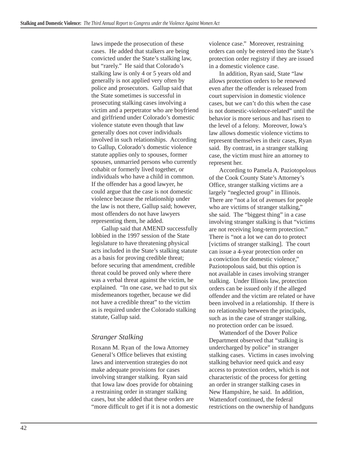laws impede the prosecution of these cases. He added that stalkers are being convicted under the State's stalking law, but "rarely." He said that Colorado's stalking law is only 4 or 5 years old and generally is not applied very often by police and prosecutors. Gallup said that the State sometimes is successful in prosecuting stalking cases involving a victim and a perpetrator who are boyfriend and girlfriend under Colorado's domestic violence statute even though that law generally does not cover individuals involved in such relationships. According to Gallup, Colorado's domestic violence statute applies only to spouses, former spouses, unmarried persons who currently cohabit or formerly lived together, or individuals who have a child in common. If the offender has a good lawyer, he could argue that the case is not domestic violence because the relationship under the law is not there, Gallup said; however, most offenders do not have lawyers representing them, he added.

Gallup said that AMEND successfully lobbied in the 1997 session of the State legislature to have threatening physical acts included in the State's stalking statute as a basis for proving credible threat; before securing that amendment, credible threat could be proved only where there was a verbal threat against the victim, he explained. "In one case, we had to put six misdemeanors together, because we did not have a credible threat" to the victim as is required under the Colorado stalking statute, Gallup said.

#### *Stranger Stalking*

Roxann M. Ryan of the Iowa Attorney General's Office believes that existing laws and intervention strategies do not make adequate provisions for cases involving stranger stalking. Ryan said that Iowa law does provide for obtaining a restraining order in stranger stalking cases, but she added that these orders are "more difficult to get if it is not a domestic violence case." Moreover, restraining orders can only be entered into the State's protection order registry if they are issued in a domestic violence case.

In addition, Ryan said, State "law allows protection orders to be renewed even after the offender is released from court supervision in domestic violence cases, but we can't do this when the case is not domestic-violence-related" until the behavior is more serious and has risen to the level of a felony. Moreover, Iowa's law allows domestic violence victims to represent themselves in their cases, Ryan said. By contrast, in a stranger stalking case, the victim must hire an attorney to represent her.

According to Pamela A. Paziotopolous of the Cook County State's Attorney's Office, stranger stalking victims are a largely "neglected group" in Illinois. There are "not a lot of avenues for people who are victims of stranger stalking," she said. The "biggest thing" in a case involving stranger stalking is that "victims are not receiving long-term protection." There is "not a lot we can do to protect [victims of stranger stalking]. The court can issue a 4-year protection order on a conviction for domestic violence," Paziotopolous said, but this option is not available in cases involving stranger stalking. Under Illinois law, protection orders can be issued only if the alleged offender and the victim are related or have been involved in a relationship. If there is no relationship between the principals, such as in the case of stranger stalking, no protection order can be issued.

Wattendorf of the Dover Police Department observed that "stalking is undercharged by police" in stranger stalking cases. Victims in cases involving stalking behavior need quick and easy access to protection orders, which is not characteristic of the process for getting an order in stranger stalking cases in New Hampshire, he said. In addition, Wattendorf continued, the federal restrictions on the ownership of handguns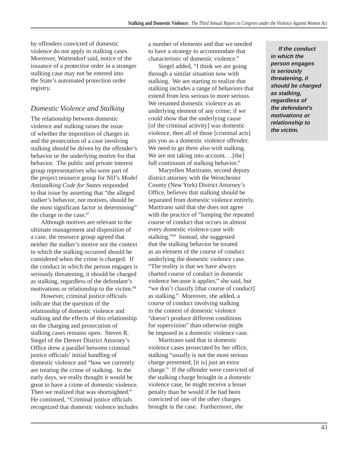by offenders convicted of domestic violence do not apply in stalking cases. Moreover, Wattendorf said, notice of the issuance of a protective order in a stranger stalking case may not be entered into the State's automated protection order registry.

#### *Domestic Violence and Stalking*

The relationship between domestic violence and stalking raises the issue of whether the imposition of charges in and the prosecution of a case involving stalking should be driven by the offender's behavior or the underlying motive for that behavior. The public and private interest group representatives who were part of the project resource group for NIJ's *Model Antistalking Code for States* responded to that issue by asserting that "the alleged stalker's behavior, not motives, should be the most significant factor in determining" the charge in the case.<sup>67</sup>

Although motives are relevant to the ultimate management and disposition of a case, the resource group agreed that neither the stalker's motive nor the context in which the stalking occurred should be considered when the crime is charged. If the conduct in which the person engages is seriously threatening, it should be charged as stalking, regardless of the defendant's motivations or relationship to the victim.68

However, criminal justice officials indicate that the question of the relationship of domestic violence and stalking and the effects of this relationship on the charging and prosecution of stalking cases remains open. Steven R. Siegel of the Denver District Attorney's Office drew a parallel between criminal justice officials' initial handling of domestic violence and "how we currently are treating the crime of stalking. In the early days, we really thought it would be great to have a crime of domestic violence. Then we realized that was shortsighted." He continued, "Criminal justice officials recognized that domestic violence includes a number of elements and that we needed to have a strategy to accommodate that characteristic of domestic violence."

Siegel added, "I think we are going through a similar situation now with stalking. We are starting to realize that stalking includes a range of behaviors that extend from less serious to more serious. We renamed domestic violence as an underlying element of any crime; if we could show that the underlying cause [of the criminal activity] was domestic violence, then all of those [criminal acts] pin you as a domestic violence offender. We need to go there also with stalking. We are not taking into account. . .[the] full continuum of stalking behavior."

Maryellen Martirano, second deputy district attorney with the Westchester County (New York) District Attorney's Office, believes that stalking should be separated from domestic violence entirely. Martirano said that she does not agree with the practice of "lumping the repeated course of conduct that occurs in almost every domestic violence case with stalking."69 Instead, she suggested that the stalking behavior be treated as an element of the course of conduct underlying the domestic violence case. "The reality is that we have always charted course of conduct in domestic violence because it applies," she said, but "we don't classify [that course of conduct] as stalking." Moreover, she added, a course of conduct involving stalking in the context of domestic violence "doesn't produce different conditions for supervision" than otherwise might be imposed in a domestic violence case.

Martirano said that in domestic violence cases prosecuted by her office, stalking "usually is not the most serious charge presented; [it is] just an extra charge." If the offender were convicted of the stalking charge brought in a domestic violence case, he might receive a lesser penalty than he would if he had been convicted of one of the other charges brought in the case. Furthermore, she

**If the conduct in which the person engages is seriously threatening, it should be charged as stalking, regardless of the defendant's motivations or relationship to the victim.**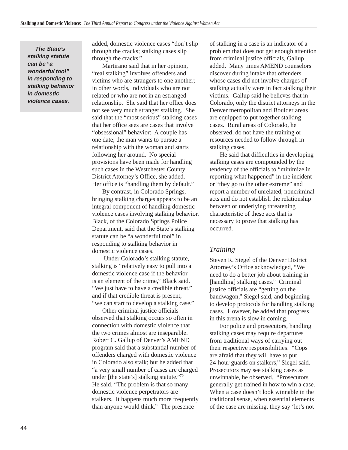**The State's stalking statute can be "a wonderful tool" in responding to stalking behavior in domestic violence cases.** 

added, domestic violence cases "don't slip through the cracks; stalking cases slip through the cracks."

Martirano said that in her opinion, "real stalking" involves offenders and victims who are strangers to one another; in other words, individuals who are not related or who are not in an estranged relationship. She said that her office does not see very much stranger stalking. She said that the "most serious" stalking cases that her office sees are cases that involve "obsessional" behavior: A couple has one date; the man wants to pursue a relationship with the woman and starts following her around. No special provisions have been made for handling such cases in the Westchester County District Attorney's Office, she added. Her office is "handling them by default."

By contrast, in Colorado Springs, bringing stalking charges appears to be an integral component of handling domestic violence cases involving stalking behavior. Black, of the Colorado Springs Police Department, said that the State's stalking statute can be "a wonderful tool" in responding to stalking behavior in domestic violence cases.

 Under Colorado's stalking statute, stalking is "relatively easy to pull into a domestic violence case if the behavior is an element of the crime," Black said. "We just have to have a credible threat," and if that credible threat is present, "we can start to develop a stalking case."

Other criminal justice officials observed that stalking occurs so often in connection with domestic violence that the two crimes almost are inseparable. Robert C. Gallup of Denver's AMEND program said that a substantial number of offenders charged with domestic violence in Colorado also stalk; but he added that "a very small number of cases are charged under [the state's] stalking statute."70 He said, "The problem is that so many domestic violence perpetrators are stalkers. It happens much more frequently than anyone would think." The presence

of stalking in a case is an indicator of a problem that does not get enough attention from criminal justice officials, Gallup added. Many times AMEND counselors discover during intake that offenders whose cases did not involve charges of stalking actually were in fact stalking their victims. Gallup said he believes that in Colorado, only the district attorneys in the Denver metropolitan and Boulder areas are equipped to put together stalking cases. Rural areas of Colorado, he observed, do not have the training or resources needed to follow through in stalking cases.

He said that difficulties in developing stalking cases are compounded by the tendency of the officials to "minimize in reporting what happened" in the incident or "they go to the other extreme" and report a number of unrelated, noncriminal acts and do not establish the relationship between or underlying threatening characteristic of these acts that is necessary to prove that stalking has occurred.

#### *Training*

Steven R. Siegel of the Denver District Attorney's Office acknowledged, "We need to do a better job about training in [handling] stalking cases." Criminal justice officials are "getting on the bandwagon," Siegel said, and beginning to develop protocols for handling stalking cases. However, he added that progress in this arena is slow in coming.

For police and prosecutors, handling stalking cases may require departures from traditional ways of carrying out their respective responsibilities. "Cops are afraid that they will have to put 24-hour guards on stalkers," Siegel said. Prosecutors may see stalking cases as unwinnable, he observed. "Prosecutors generally get trained in how to win a case. When a case doesn't look winnable in the traditional sense, when essential elements of the case are missing, they say 'let's not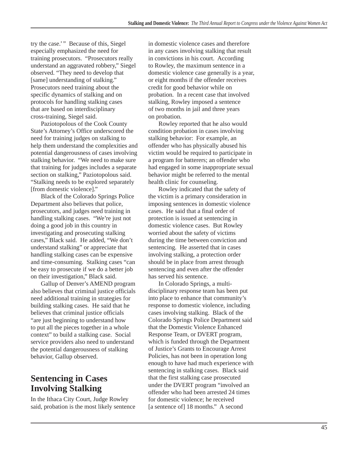try the case.'" Because of this, Siegel especially emphasized the need for training prosecutors. "Prosecutors really understand an aggravated robbery," Siegel observed. "They need to develop that [same] understanding of stalking." Prosecutors need training about the specific dynamics of stalking and on protocols for handling stalking cases that are based on interdisciplinary cross-training, Siegel said.

Paziotopolous of the Cook County State's Attorney's Office underscored the need for training judges on stalking to help them understand the complexities and potential dangerousness of cases involving stalking behavior. "We need to make sure that training for judges includes a separate section on stalking," Paziotopolous said. "Stalking needs to be explored separately [from domestic violence]."

Black of the Colorado Springs Police Department also believes that police, prosecutors, and judges need training in handling stalking cases. "We're just not doing a good job in this country in investigating and prosecuting stalking cases," Black said. He added, "We don't understand stalking" or appreciate that handling stalking cases can be expensive and time-consuming. Stalking cases "can be easy to prosecute if we do a better job on their investigation," Black said.

Gallup of Denver's AMEND program also believes that criminal justice officials need additional training in strategies for building stalking cases. He said that he believes that criminal justice officials "are just beginning to understand how to put all the pieces together in a whole context" to build a stalking case. Social service providers also need to understand the potential dangerousness of stalking behavior, Gallup observed.

## **Sentencing in Cases Involving Stalking**

In the Ithaca City Court, Judge Rowley said, probation is the most likely sentence

in domestic violence cases and therefore in any cases involving stalking that result in convictions in his court. According to Rowley, the maximum sentence in a domestic violence case generally is a year, or eight months if the offender receives credit for good behavior while on probation. In a recent case that involved stalking, Rowley imposed a sentence of two months in jail and three years on probation.

Rowley reported that he also would condition probation in cases involving stalking behavior: For example, an offender who has physically abused his victim would be required to participate in a program for batterers; an offender who had engaged in some inappropriate sexual behavior might be referred to the mental health clinic for counseling.

Rowley indicated that the safety of the victim is a primary consideration in imposing sentences in domestic violence cases. He said that a final order of protection is issued at sentencing in domestic violence cases. But Rowley worried about the safety of victims during the time between conviction and sentencing. He asserted that in cases involving stalking, a protection order should be in place from arrest through sentencing and even after the offender has served his sentence.

In Colorado Springs, a multidisciplinary response team has been put into place to enhance that community's response to domestic violence, including cases involving stalking. Black of the Colorado Springs Police Department said that the Domestic Violence Enhanced Response Team, or DVERT program, which is funded through the Department of Justice's Grants to Encourage Arrest Policies, has not been in operation long enough to have had much experience with sentencing in stalking cases. Black said that the first stalking case prosecuted under the DVERT program "involved an offender who had been arrested 24 times for domestic violence; he received [a sentence of] 18 months." A second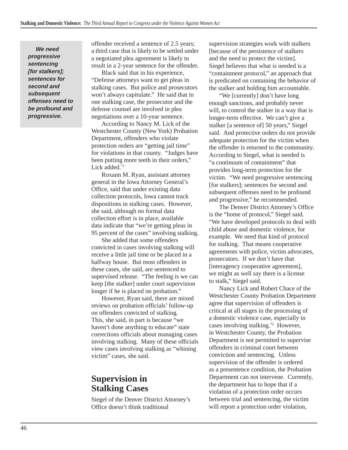**We need progressive sentencing [for stalkers]; sentences for second and subsequent offenses need to be profound and progressive.** 

offender received a sentence of 2.5 years; a third case that is likely to be settled under a negotiated plea agreement is likely to result in a 2-year sentence for the offender.

Black said that in his experience, "Defense attorneys want to get pleas in stalking cases. But police and prosecutors won't always capitulate." He said that in one stalking case, the prosecutor and the defense counsel are involved in plea negotiations over a 10-year sentence.

According to Nancy M. Lick of the Westchester County (New York) Probation Department, offenders who violate protection orders are "getting jail time" for violations in that county. "Judges have been putting more teeth in their orders," Lick added.<sup>71</sup>

Roxann M. Ryan, assistant attorney general in the Iowa Attorney General's Office, said that under existing data collection protocols, Iowa cannot track dispositions in stalking cases. However, she said, although no formal data collection effort is in place, available data indicate that "we're getting pleas in 95 percent of the cases" involving stalking.

She added that some offenders convicted in cases involving stalking will receive a little jail time or be placed in a halfway house. But most offenders in these cases, she said, are sentenced to supervised release. "The feeling is we can keep [the stalker] under court supervision longer if he is placed on probation."

However, Ryan said, there are mixed reviews on probation officials' follow-up on offenders convicted of stalking. This, she said, in part is because "we haven't done anything to educate" state corrections officials about managing cases involving stalking. Many of these officials view cases involving stalking as "whining victim" cases, she said.

## **Supervision in Stalking Cases**

Siegel of the Denver District Attorney's Office doesn't think traditional

supervision strategies work with stalkers [because of the persistence of stalkers and the need to protect the victim]. Siegel believes that what is needed is a "containment protocol," an approach that is predicated on containing the behavior of the stalker and holding him accountable.

"We [currently] don't have long enough sanctions, and probably never will, to control the stalker in a way that is longer-term effective. We can't give a stalker [a sentence of] 50 years," Siegel said. And protective orders do not provide adequate protection for the victim when the offender is returned to the community. According to Siegel, what is needed is "a continuum of containment" that provides long-term protection for the victim. "We need progressive sentencing [for stalkers]; sentences for second and subsequent offenses need to be profound and progressive," he recommended.

The Denver District Attorney's Office is the "home of protocol," Siegel said. "We have developed protocols to deal with child abuse and domestic violence, for example. We need that kind of protocol for stalking. That means cooperative agreements with police, victim advocates, prosecutors. If we don't have that [interagency cooperative agreement], we might as well say there is a license to stalk," Siegel said.

Nancy Lick and Robert Chace of the Westchester County Probation Department agree that supervision of offenders is critical at all stages in the processing of a domestic violence case, especially in cases involving stalking.72 However, in Westchester County, the Probation Department is not permitted to supervise offenders in criminal court between conviction and sentencing. Unless supervision of the offender is ordered as a presentence condition, the Probation Department can not intervene. Currently, the department has to hope that if a violation of a protection order occurs between trial and sentencing, the victim will report a protection order violation,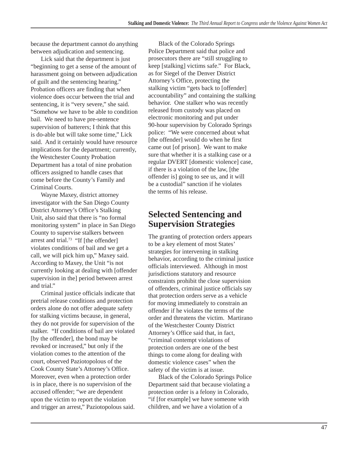because the department cannot do anything between adjudication and sentencing.

Lick said that the department is just "beginning to get a sense of the amount of harassment going on between adjudication of guilt and the sentencing hearing." Probation officers are finding that when violence does occur between the trial and sentencing, it is "very severe," she said. "Somehow we have to be able to condition bail. We need to have pre-sentence supervision of batterers; I think that this is do-able but will take some time," Lick said. And it certainly would have resource implications for the department; currently, the Westchester County Probation Department has a total of nine probation officers assigned to handle cases that come before the County's Family and Criminal Courts.

Wayne Maxey, district attorney investigator with the San Diego County District Attorney's Office's Stalking Unit, also said that there is "no formal monitoring system" in place in San Diego County to supervise stalkers between arrest and trial.73 "If [the offender] violates conditions of bail and we get a call, we will pick him up," Maxey said. According to Maxey, the Unit "is not currently looking at dealing with [offender supervision in the] period between arrest and trial."

Criminal justice officials indicate that pretrial release conditions and protection orders alone do not offer adequate safety for stalking victims because, in general, they do not provide for supervision of the stalker. "If conditions of bail are violated [by the offender], the bond may be revoked or increased," but only if the violation comes to the attention of the court, observed Paziotopolous of the Cook County State's Attorney's Office. Moreover, even when a protection order is in place, there is no supervision of the accused offender; "we are dependent upon the victim to report the violation and trigger an arrest," Paziotopolous said.

Black of the Colorado Springs Police Department said that police and prosecutors there are "still struggling to keep [stalking] victims safe." For Black, as for Siegel of the Denver District Attorney's Office, protecting the stalking victim "gets back to [offender] accountability" and containing the stalking behavior. One stalker who was recently released from custody was placed on electronic monitoring and put under 90-hour supervision by Colorado Springs police: "We were concerned about what [the offender] would do when he first came out [of prison]. We want to make sure that whether it is a stalking case or a regular DVERT [domestic violence] case, if there is a violation of the law, [the offender is] going to see us, and it will be a custodial" sanction if he violates the terms of his release.

### **Selected Sentencing and Supervision Strategies**

The granting of protection orders appears to be a key element of most States' strategies for intervening in stalking behavior, according to the criminal justice officials interviewed. Although in most jurisdictions statutory and resource constraints prohibit the close supervision of offenders, criminal justice officials say that protection orders serve as a vehicle for moving immediately to constrain an offender if he violates the terms of the order and threatens the victim. Martirano of the Westchester County District Attorney's Office said that, in fact, "criminal contempt violations of protection orders are one of the best things to come along for dealing with domestic violence cases" when the safety of the victim is at issue.

Black of the Colorado Springs Police Department said that because violating a protection order is a felony in Colorado, "if [for example] we have someone with children, and we have a violation of a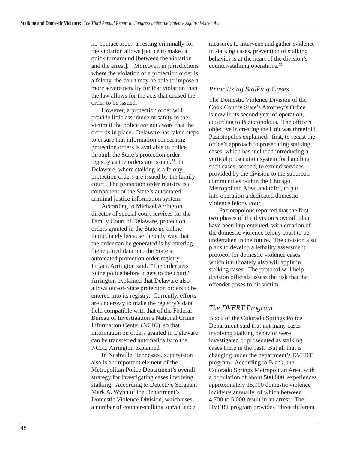no-contact order, arresting criminally for the violation allows [police to make] a quick turnaround [between the violation and the arrest]." Moreover, in jurisdictions where the violation of a protection order is a felony, the court may be able to impose a more severe penalty for that violation than the law allows for the acts that caused the order to be issued.

However, a protection order will provide little assurance of safety to the victim if the police are not aware that the order is in place. Delaware has taken steps to ensure that information concerning protection orders is available to police through the State's protection order registry as the orders are issued.74 In Delaware, where stalking is a felony, protection orders are issued by the family court. The protection order registry is a component of the State's automated criminal justice information system.

According to Michael Arrington, director of special court services for the Family Court of Delaware, protection orders granted in the State go online immediately because the only way that the order can be generated is by entering the required data into the State's automated protection order registry. In fact, Arrington said, "The order gets to the police before it gets to the court." Arrington explained that Delaware also allows out-of-State protection orders to be entered into its registry. Currently, efforts are underway to make the registry's data field compatible with that of the Federal Bureau of Investigation's National Crime Information Center (NCIC), so that information on orders granted in Delaware can be transferred automatically to the NCIC, Arrington explained.

In Nashville, Tennessee, supervision also is an important element of the Metropolitan Police Department's overall strategy for investigating cases involving stalking. According to Detective Sergeant Mark A. Wynn of the Department's Domestic Violence Division, which uses a number of counter-stalking surveillance

measures to intervene and gather evidence in stalking cases, prevention of stalking behavior is at the heart of the division's counter-stalking operations.75

#### *Prioritizing Stalking Cases*

The Domestic Violence Division of the Cook County State's Attorney's Office is now in its second year of operation, according to Paziotopolous. The office's objective in creating the Unit was threefold, Paziotopulos explained: first, to recast the office's approach to prosecuting stalking cases, which has included introducing a vertical prosecution system for handling such cases; second, to extend services provided by the division to the suburban communities within the Chicago Metropolitan Area; and third, to put into operation a dedicated domestic violence felony court.

Paziotopolous reported that the first two phases of the division's overall plan have been implemented, with creation of the domestic violence felony court to be undertaken in the future. The division also plans to develop a lethality assessment protocol for domestic violence cases, which it ultimately also will apply in stalking cases. The protocol will help division officials assess the risk that the offender poses to his victim.

### *The DVERT Program*

Black of the Colorado Springs Police Department said that not many cases involving stalking behavior were investigated or prosecuted as stalking cases there in the past. But all that is changing under the department's DVERT program. According to Black, the Colorado Springs Metropolitan Area, with a population of about 500,000, experiences approximately 15,000 domestic violence incidents annually, of which between 4,700 to 5,000 result in an arrest. The DVERT program provides "three different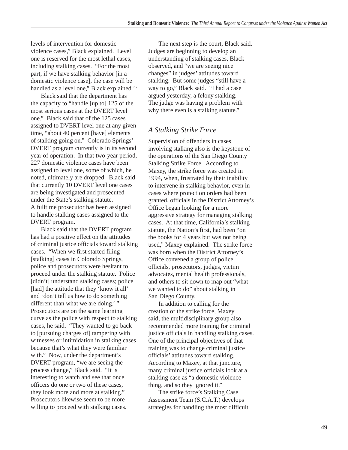levels of intervention for domestic violence cases," Black explained. Level one is reserved for the most lethal cases, including stalking cases. "For the most part, if we have stalking behavior [in a domestic violence case], the case will be handled as a level one," Black explained.<sup>76</sup>

Black said that the department has the capacity to "handle [up to] 125 of the most serious cases at the DVERT level one." Black said that of the 125 cases assigned to DVERT level one at any given time, "about 40 percent [have] elements of stalking going on." Colorado Springs' DVERT program currently is in its second year of operation. In that two-year period, 227 domestic violence cases have been assigned to level one, some of which, he noted, ultimately are dropped. Black said that currently 10 DVERT level one cases are being investigated and prosecuted under the State's stalking statute. A fulltime prosecutor has been assigned to handle stalking cases assigned to the DVERT program.

Black said that the DVERT program has had a positive effect on the attitudes of criminal justice officials toward stalking cases. "When we first started filing [stalking] cases in Colorado Springs, police and prosecutors were hesitant to proceed under the stalking statute. Police [didn't] understand stalking cases; police [had] the attitude that they 'know it all' and 'don't tell us how to do something different than what we are doing.' " Prosecutors are on the same learning curve as the police with respect to stalking cases, he said. "They wanted to go back to [pursuing charges of] tampering with witnesses or intimidation in stalking cases because that's what they were familiar with." Now, under the department's DVERT program, "we are seeing the process change," Black said. "It is interesting to watch and see that once officers do one or two of these cases, they look more and more at stalking." Prosecutors likewise seem to be more willing to proceed with stalking cases.

The next step is the court, Black said. Judges are beginning to develop an understanding of stalking cases, Black observed, and "we are seeing nice changes" in judges' attitudes toward stalking. But some judges "still have a way to go," Black said. "I had a case argued yesterday, a felony stalking. The judge was having a problem with why there even is a stalking statute."

### *A Stalking Strike Force*

Supervision of offenders in cases involving stalking also is the keystone of the operations of the San Diego County Stalking Strike Force. According to Maxey, the strike force was created in 1994, when, frustrated by their inability to intervene in stalking behavior, even in cases where protection orders had been granted, officials in the District Attorney's Office began looking for a more aggressive strategy for managing stalking cases. At that time, California's stalking statute, the Nation's first, had been "on the books for 4 years but was not being used," Maxey explained. The strike force was born when the District Attorney's Office convened a group of police officials, prosecutors, judges, victim advocates, mental health professionals, and others to sit down to map out "what we wanted to do" about stalking in San Diego County.

In addition to calling for the creation of the strike force, Maxey said, the multidisciplinary group also recommended more training for criminal justice officials in handling stalking cases. One of the principal objectives of that training was to change criminal justice officials' attitudes toward stalking. According to Maxey, at that juncture, many criminal justice officials look at a stalking case as "a domestic violence thing, and so they ignored it."

The strike force's Stalking Case Assessment Team (S.C.A.T.) develops strategies for handling the most difficult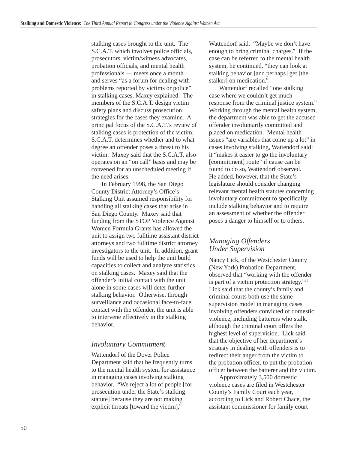stalking cases brought to the unit. The S.C.A.T. which involves police officials, prosecutors, victim/witness advocates, probation officials, and mental health professionals — meets once a month and serves "as a forum for dealing with problems reported by victims or police" in stalking cases, Maxey explained. The members of the S.C.A.T. design victim safety plans and discuss prosecution strategies for the cases they examine. A principal focus of the S.C.A.T.'s review of stalking cases is protection of the victim; S.C.A.T. determines whether and to what degree an offender poses a threat to his victim. Maxey said that the S.C.A.T. also operates on an "on call" basis and may be convened for an unscheduled meeting if the need arises.

In February 1998, the San Diego County District Attorney's Office's Stalking Unit assumed responsibility for handling all stalking cases that arise in San Diego County. Maxey said that funding from the STOP Violence Against Women Formula Grants has allowed the unit to assign two fulltime assistant district attorneys and two fulltime district attorney investigators to the unit. In addition, grant funds will be used to help the unit build capacities to collect and analyze statistics on stalking cases. Maxey said that the offender's initial contact with the unit alone in some cases will deter further stalking behavior. Otherwise, through surveillance and occasional face-to-face contact with the offender, the unit is able to intervene effectively in the stalking behavior.

#### *Involuntary Commitment*

Wattendorf of the Dover Police Department said that he frequently turns to the mental health system for assistance in managing cases involving stalking behavior. "We reject a lot of people [for prosecution under the State's stalking statute] because they are not making explicit threats [toward the victim],"

Wattendorf said. "Maybe we don't have enough to bring criminal charges." If the case can be referred to the mental health system, he continued, "they can look at stalking behavior [and perhaps] get [the stalker] on medication."

Wattendorf recalled "one stalking case where we couldn't get much response from the criminal justice system." Working through the mental health system, the department was able to get the accused offender involuntarily committed and placed on medication. Mental health issues "are variables that come up a lot" in cases involving stalking, Wattendorf said; it "makes it easier to go the involuntary [commitment] route" if cause can be found to do so, Wattendorf observed. He added, however, that the State's legislature should consider changing relevant mental health statutes concerning involuntary commitment to specifically include stalking behavior and to require an assessment of whether the offender poses a danger to himself or to others.

#### *Managing Offenders Under Supervision*

Nancy Lick, of the Westchester County (New York) Probation Department, observed that "working with the offender is part of a victim protection strategy."77 Lick said that the county's family and criminal courts both use the same supervision model in managing cases involving offenders convicted of domestic violence, including batterers who stalk, although the criminal court offers the highest level of supervision. Lick said that the objective of her department's strategy in dealing with offenders is to redirect their anger from the victim to the probation officer, to put the probation officer between the batterer and the victim.

Approximately 3,500 domestic violence cases are filed in Westchester County's Family Court each year, according to Lick and Robert Chace, the assistant commissioner for family court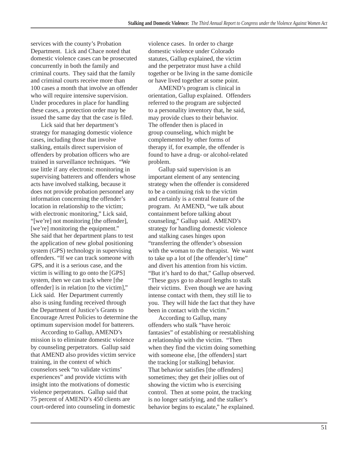services with the county's Probation Department. Lick and Chace noted that domestic violence cases can be prosecuted concurrently in both the family and criminal courts. They said that the family and criminal courts receive more than 100 cases a month that involve an offender who will require intensive supervision. Under procedures in place for handling these cases, a protection order may be issued the same day that the case is filed.

Lick said that her department's strategy for managing domestic violence cases, including those that involve stalking, entails direct supervision of offenders by probation officers who are trained in surveillance techniques. "We use little if any electronic monitoring in supervising batterers and offenders whose acts have involved stalking, because it does not provide probation personnel any information concerning the offender's location in relationship to the victim; with electronic monitoring," Lick said, "[we're] not monitoring [the offender], [we're] monitoring the equipment." She said that her department plans to test the application of new global positioning system (GPS) technology in supervising offenders. "If we can track someone with GPS, and it is a serious case, and the victim is willing to go onto the [GPS] system, then we can track where [the offender] is in relation [to the victim]," Lick said. Her Department currently also is using funding received through the Department of Justice's Grants to Encourage Arrest Policies to determine the optimum supervision model for batterers.

According to Gallup, AMEND's mission is to eliminate domestic violence by counseling perpetrators. Gallup said that AMEND also provides victim service training, in the context of which counselors seek "to validate victims' experiences" and provide victims with insight into the motivations of domestic violence perpetrators. Gallup said that 75 percent of AMEND's 450 clients are court-ordered into counseling in domestic

violence cases. In order to charge domestic violence under Colorado statutes, Gallup explained, the victim and the perpetrator must have a child together or be living in the same domicile or have lived together at some point.

AMEND's program is clinical in orientation, Gallup explained. Offenders referred to the program are subjected to a personality inventory that, he said, may provide clues to their behavior. The offender then is placed in group counseling, which might be complemented by other forms of therapy if, for example, the offender is found to have a drug- or alcohol-related problem.

Gallup said supervision is an important element of any sentencing strategy when the offender is considered to be a continuing risk to the victim and certainly is a central feature of the program. At AMEND, "we talk about containment before talking about counseling," Gallup said. AMEND's strategy for handling domestic violence and stalking cases hinges upon "transferring the offender's obsession with the woman to the therapist. We want to take up a lot of [the offender's] time" and divert his attention from his victim. "But it's hard to do that," Gallup observed. "These guys go to absurd lengths to stalk their victims. Even though we are having intense contact with them, they still lie to you. They will hide the fact that they have been in contact with the victim."

According to Gallup, many offenders who stalk "have heroic fantasies" of establishing or reestablishing a relationship with the victim. "Then when they find the victim doing something with someone else, [the offenders] start the tracking [or stalking] behavior. That behavior satisfies [the offenders] sometimes; they get their jollies out of showing the victim who is exercising control. Then at some point, the tracking is no longer satisfying, and the stalker's behavior begins to escalate," he explained.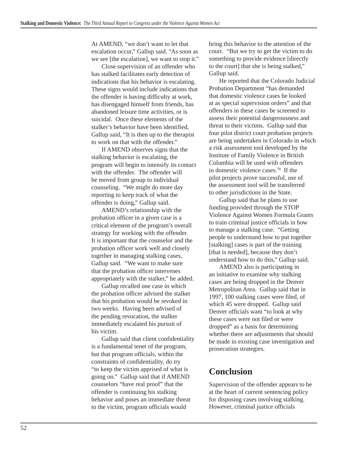At AMEND, "we don't want to let that escalation occur," Gallup said. "As soon as we see [the escalation], we want to stop it."

Close supervision of an offender who has stalked facilitates early detection of indications that his behavior is escalating. These signs would include indications that the offender is having difficulty at work, has disengaged himself from friends, has abandoned leisure time activities, or is suicidal. Once these elements of the stalker's behavior have been identified, Gallup said, "It is then up to the therapist to work on that with the offender."

If AMEND observes signs that the stalking behavior is escalating, the program will begin to intensify its contact with the offender. The offender will be moved from group to individual counseling. "We might do more day reporting to keep track of what the offender is doing," Gallup said.

AMEND's relationship with the probation officer in a given case is a critical element of the program's overall strategy for working with the offender. It is important that the counselor and the probation officer work well and closely together in managing stalking cases, Gallup said. "We want to make sure that the probation officer intervenes appropriately with the stalker," he added.

Gallup recalled one case in which the probation officer advised the stalker that his probation would be revoked in two weeks. Having been advised of the pending revocation, the stalker immediately escalated his pursuit of his victim.

Gallup said that client confidentiality is a fundamental tenet of the program, but that program officials, within the constraints of confidentiality, do try "to keep the victim apprised of what is going on." Gallup said that if AMEND counselors "have real proof" that the offender is continuing his stalking behavior and poses an immediate threat to the victim, program officials would

bring this behavior to the attention of the court. "But we try to get the victim to do something to provide evidence [directly to the court] that she is being stalked," Gallup said.

He reported that the Colorado Judicial Probation Department "has demanded that domestic violence cases be looked at as special supervision orders" and that offenders in these cases be screened to assess their potential dangerousness and threat to their victims. Gallup said that four pilot district court probation projects are being undertaken in Colorado in which a risk assessment tool developed by the Institute of Family Violence in British Columbia will be used with offenders in domestic violence cases.78 If the pilot projects prove successful, use of the assessment tool will be transferred to other jurisdictions in the State.

Gallup said that he plans to use funding provided through the STOP Violence Against Women Formula Grants to train criminal justice officials in how to manage a stalking case. "Getting people to understand how to put together [stalking] cases is part of the training [that is needed], because they don't understand how to do this," Gallup said.

AMEND also is participating in an initiative to examine why stalking cases are being dropped in the Denver Metropolitan Area. Gallup said that in 1997, 100 stalking cases were filed, of which 45 were dropped. Gallup said Denver officials want "to look at why these cases were not filed or were dropped" as a basis for determining whether there are adjustments that should be made in existing case investigation and prosecution strategies.

## **Conclusion**

Supervision of the offender appears to be at the heart of current sentencing policy for disposing cases involving stalking. However, criminal justice officials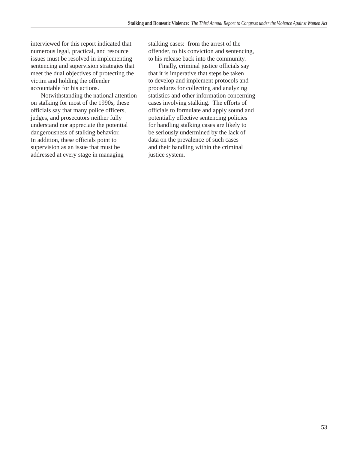interviewed for this report indicated that numerous legal, practical, and resource issues must be resolved in implementing sentencing and supervision strategies that meet the dual objectives of protecting the victim and holding the offender accountable for his actions.

Notwithstanding the national attention on stalking for most of the 1990s, these officials say that many police officers, judges, and prosecutors neither fully understand nor appreciate the potential dangerousness of stalking behavior. In addition, these officials point to supervision as an issue that must be addressed at every stage in managing

stalking cases: from the arrest of the offender, to his conviction and sentencing, to his release back into the community.

Finally, criminal justice officials say that it is imperative that steps be taken to develop and implement protocols and procedures for collecting and analyzing statistics and other information concerning cases involving stalking. The efforts of officials to formulate and apply sound and potentially effective sentencing policies for handling stalking cases are likely to be seriously undermined by the lack of data on the prevalence of such cases and their handling within the criminal justice system.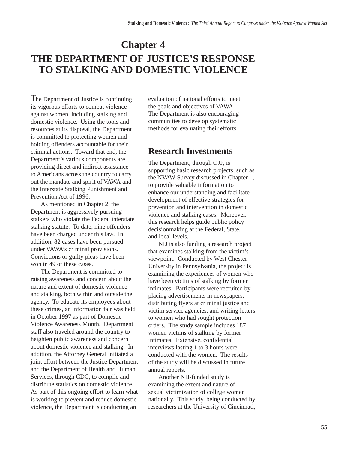# **Chapter 4 THE DEPARTMENT OF JUSTICE'S RESPONSE TO STALKING AND DOMESTIC VIOLENCE**

The Department of Justice is continuing its vigorous efforts to combat violence against women, including stalking and domestic violence. Using the tools and resources at its disposal, the Department is committed to protecting women and holding offenders accountable for their criminal actions. Toward that end, the Department's various components are providing direct and indirect assistance to Americans across the country to carry out the mandate and spirit of VAWA and the Interstate Stalking Punishment and Prevention Act of 1996.

As mentioned in Chapter 2, the Department is aggressively pursuing stalkers who violate the Federal interstate stalking statute. To date, nine offenders have been charged under this law. In addition, 82 cases have been pursued under VAWA's criminal provisions. Convictions or guilty pleas have been won in 49 of these cases.

The Department is committed to raising awareness and concern about the nature and extent of domestic violence and stalking, both within and outside the agency. To educate its employees about these crimes, an information fair was held in October 1997 as part of Domestic Violence Awareness Month. Department staff also traveled around the country to heighten public awareness and concern about domestic violence and stalking. In addition, the Attorney General initiated a joint effort between the Justice Department and the Department of Health and Human Services, through CDC, to compile and distribute statistics on domestic violence. As part of this ongoing effort to learn what is working to prevent and reduce domestic violence, the Department is conducting an

evaluation of national efforts to meet the goals and objectives of VAWA. The Department is also encouraging communities to develop systematic methods for evaluating their efforts.

### **Research Investments**

The Department, through OJP, is supporting basic research projects, such as the NVAW Survey discussed in Chapter 1, to provide valuable information to enhance our understanding and facilitate development of effective strategies for prevention and intervention in domestic violence and stalking cases. Moreover, this research helps guide public policy decisionmaking at the Federal, State, and local levels.

NIJ is also funding a research project that examines stalking from the victim's viewpoint. Conducted by West Chester University in Pennsylvania, the project is examining the experiences of women who have been victims of stalking by former intimates. Participants were recruited by placing advertisements in newspapers, distributing flyers at criminal justice and victim service agencies, and writing letters to women who had sought protection orders. The study sample includes 187 women victims of stalking by former intimates. Extensive, confidential interviews lasting 1 to 3 hours were conducted with the women. The results of the study will be discussed in future annual reports.

Another NIJ-funded study is examining the extent and nature of sexual victimization of college women nationally. This study, being conducted by researchers at the University of Cincinnati,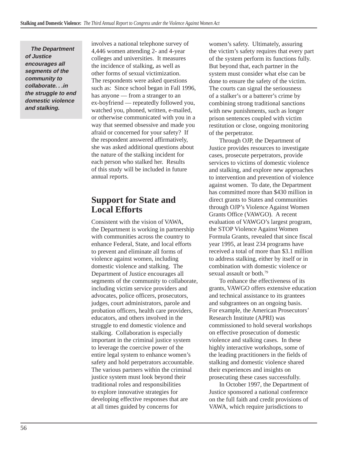**The Department of Justice encourages all segments of the community to collaborate. . .in the struggle to end domestic violence and stalking.** 

involves a national telephone survey of 4,446 women attending 2- and 4-year colleges and universities. It measures the incidence of stalking, as well as other forms of sexual victimization. The respondents were asked questions such as: Since school began in Fall 1996, has anyone — from a stranger to an ex-boyfriend — repeatedly followed you, watched you, phoned, written, e-mailed, or otherwise communicated with you in a way that seemed obsessive and made you afraid or concerned for your safety? If the respondent answered affirmatively, she was asked additional questions about the nature of the stalking incident for each person who stalked her. Results of this study will be included in future annual reports.

### **Support for State and Local Efforts**

Consistent with the vision of VAWA, the Department is working in partnership with communities across the country to enhance Federal, State, and local efforts to prevent and eliminate all forms of violence against women, including domestic violence and stalking. The Department of Justice encourages all segments of the community to collaborate, including victim service providers and advocates, police officers, prosecutors, judges, court administrators, parole and probation officers, health care providers, educators, and others involved in the struggle to end domestic violence and stalking. Collaboration is especially important in the criminal justice system to leverage the coercive power of the entire legal system to enhance women's safety and hold perpetrators accountable. The various partners within the criminal justice system must look beyond their traditional roles and responsibilities to explore innovative strategies for developing effective responses that are at all times guided by concerns for

women's safety. Ultimately, assuring the victim's safety requires that every part of the system perform its functions fully. But beyond that, each partner in the system must consider what else can be done to ensure the safety of the victim. The courts can signal the seriousness of a stalker's or a batterer's crime by combining strong traditional sanctions with new punishments, such as longer prison sentences coupled with victim restitution or close, ongoing monitoring of the perpetrator.

Through OJP, the Department of Justice provides resources to investigate cases, prosecute perpetrators, provide services to victims of domestic violence and stalking, and explore new approaches to intervention and prevention of violence against women. To date, the Department has committed more than \$430 million in direct grants to States and communities through OJP's Violence Against Women Grants Office (VAWGO). A recent evaluation of VAWGO's largest program, the STOP Violence Against Women Formula Grants, revealed that since fiscal year 1995, at least 234 programs have received a total of more than \$3.1 million to address stalking, either by itself or in combination with domestic violence or sexual assault or both.79

To enhance the effectiveness of its grants, VAWGO offers extensive education and technical assistance to its grantees and subgrantees on an ongoing basis. For example, the American Prosecutors' Research Institute (APRI) was commissioned to hold several workshops on effective prosecution of domestic violence and stalking cases. In these highly interactive workshops, some of the leading practitioners in the fields of stalking and domestic violence shared their experiences and insights on prosecuting these cases successfully.

In October 1997, the Department of Justice sponsored a national conference on the full faith and credit provisions of VAWA, which require jurisdictions to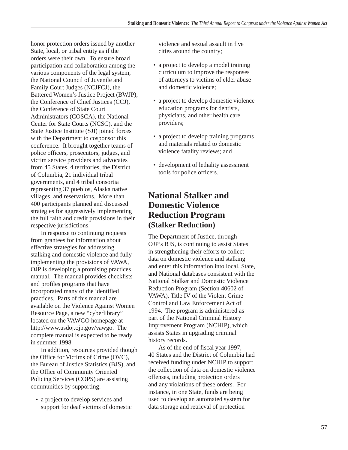honor protection orders issued by another State, local, or tribal entity as if the orders were their own. To ensure broad participation and collaboration among the various components of the legal system, the National Council of Juvenile and Family Court Judges (NCJFCJ), the Battered Women's Justice Project (BWJP), the Conference of Chief Justices (CCJ), the Conference of State Court Administrators (COSCA), the National Center for State Courts (NCSC), and the State Justice Institute (SJI) joined forces with the Department to cosponsor this conference. It brought together teams of police officers, prosecutors, judges, and victim service providers and advocates from 45 States, 4 territories, the District of Columbia, 21 individual tribal governments, and 4 tribal consortia representing 37 pueblos, Alaska native villages, and reservations. More than 400 participants planned and discussed strategies for aggressively implementing the full faith and credit provisions in their respective jurisdictions.

In response to continuing requests from grantees for information about effective strategies for addressing stalking and domestic violence and fully implementing the provisions of VAWA, OJP is developing a promising practices manual. The manual provides checklists and profiles programs that have incorporated many of the identified practices. Parts of this manual are available on the Violence Against Women Resource Page, a new "cyberlibrary" located on the VAWGO homepage at http://www.usdoj.ojp.gov/vawgo. The complete manual is expected to be ready in summer 1998.

In addition, resources provided though the Office for Victims of Crime (OVC), the Bureau of Justice Statistics (BJS), and the Office of Community Oriented Policing Services (COPS) are assisting communities by supporting:

• a project to develop services and support for deaf victims of domestic

violence and sexual assault in five cities around the country;

- a project to develop a model training curriculum to improve the responses of attorneys to victims of elder abuse and domestic violence;
- a project to develop domestic violence education programs for dentists, physicians, and other health care providers;
- a project to develop training programs and materials related to domestic violence fatality reviews; and
- development of lethality assessment tools for police officers.

### **National Stalker and Domestic Violence Reduction Program (Stalker Reduction)**

The Department of Justice, through OJP's BJS, is continuing to assist States in strengthening their efforts to collect data on domestic violence and stalking and enter this information into local, State, and National databases consistent with the National Stalker and Domestic Violence Reduction Program (Section 40602 of VAWA), Title IV of the Violent Crime Control and Law Enforcement Act of 1994. The program is administered as part of the National Criminal History Improvement Program (NCHIP), which assists States in upgrading criminal history records.

As of the end of fiscal year 1997, 40 States and the District of Columbia had received funding under NCHIP to support the collection of data on domestic violence offenses, including protection orders and any violations of these orders. For instance, in one State, funds are being used to develop an automated system for data storage and retrieval of protection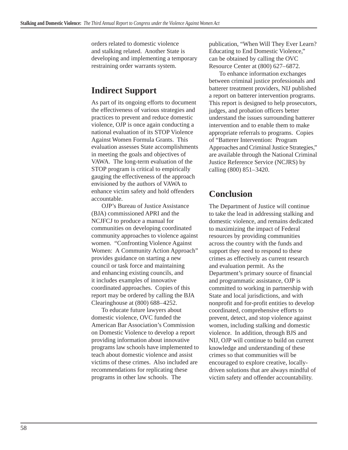orders related to domestic violence and stalking related. Another State is developing and implementing a temporary restraining order warrants system.

## **Indirect Support**

As part of its ongoing efforts to document the effectiveness of various strategies and practices to prevent and reduce domestic violence, OJP is once again conducting a national evaluation of its STOP Violence Against Women Formula Grants. This evaluation assesses State accomplishments in meeting the goals and objectives of VAWA. The long-term evaluation of the STOP program is critical to empirically gauging the effectiveness of the approach envisioned by the authors of VAWA to enhance victim safety and hold offenders accountable.

OJP's Bureau of Justice Assistance (BJA) commissioned APRI and the NCJFCJ to produce a manual for communities on developing coordinated community approaches to violence against women. "Confronting Violence Against Women: A Community Action Approach" provides guidance on starting a new council or task force and maintaining and enhancing existing councils, and it includes examples of innovative coordinated approaches. Copies of this report may be ordered by calling the BJA Clearinghouse at (800) 688–4252.

To educate future lawyers about domestic violence, OVC funded the American Bar Association's Commission on Domestic Violence to develop a report providing information about innovative programs law schools have implemented to teach about domestic violence and assist victims of these crimes. Also included are recommendations for replicating these programs in other law schools. The

publication, "When Will They Ever Learn? Educating to End Domestic Violence," can be obtained by calling the OVC Resource Center at (800) 627–6872.

To enhance information exchanges between criminal justice professionals and batterer treatment providers, NIJ published a report on batterer intervention programs. This report is designed to help prosecutors, judges, and probation officers better understand the issues surrounding batterer intervention and to enable them to make appropriate referrals to programs. Copies of "Batterer Intervention: Program Approaches and Criminal Justice Strategies," are available through the National Criminal Justice Reference Service (NCJRS) by calling (800) 851–3420.

## **Conclusion**

The Department of Justice will continue to take the lead in addressing stalking and domestic violence, and remains dedicated to maximizing the impact of Federal resources by providing communities across the country with the funds and support they need to respond to these crimes as effectively as current research and evaluation permit. As the Department's primary source of financial and programmatic assistance, OJP is committed to working in partnership with State and local jurisdictions, and with nonprofit and for-profit entities to develop coordinated, comprehensive efforts to prevent, detect, and stop violence against women, including stalking and domestic violence. In addition, through BJS and NIJ, OJP will continue to build on current knowledge and understanding of these crimes so that communities will be encouraged to explore creative, locallydriven solutions that are always mindful of victim safety and offender accountability.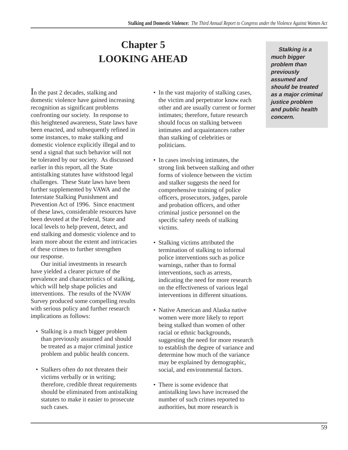# **Chapter 5 LOOKING AHEAD**

In the past 2 decades, stalking and domestic violence have gained increasing recognition as significant problems confronting our society. In response to this heightened awareness, State laws have been enacted, and subsequently refined in some instances, to make stalking and domestic violence explicitly illegal and to send a signal that such behavior will not be tolerated by our society. As discussed earlier in this report, all the State antistalking statutes have withstood legal challenges. These State laws have been further supplemented by VAWA and the Interstate Stalking Punishment and Prevention Act of 1996. Since enactment of these laws, considerable resources have been devoted at the Federal, State and local levels to help prevent, detect, and end stalking and domestic violence and to learn more about the extent and intricacies of these crimes to further strengthen our response.

Our initial investments in research have yielded a clearer picture of the prevalence and characteristics of stalking, which will help shape policies and interventions. The results of the NVAW Survey produced some compelling results with serious policy and further research implications as follows:

- Stalking is a much bigger problem than previously assumed and should be treated as a major criminal justice problem and public health concern.
- Stalkers often do not threaten their victims verbally or in writing; therefore, credible threat requirements should be eliminated from antistalking statutes to make it easier to prosecute such cases.
- In the vast majority of stalking cases, the victim and perpetrator know each other and are usually current or former intimates; therefore, future research should focus on stalking between intimates and acquaintances rather than stalking of celebrities or politicians.
- In cases involving intimates, the strong link between stalking and other forms of violence between the victim and stalker suggests the need for comprehensive training of police officers, prosecutors, judges, parole and probation officers, and other criminal justice personnel on the specific safety needs of stalking victims.
- Stalking victims attributed the termination of stalking to informal police interventions such as police warnings, rather than to formal interventions, such as arrests, indicating the need for more research on the effectiveness of various legal interventions in different situations.
- Native American and Alaska native women were more likely to report being stalked than women of other racial or ethnic backgrounds, suggesting the need for more research to establish the degree of variance and determine how much of the variance may be explained by demographic, social, and environmental factors.
- There is some evidence that antistalking laws have increased the number of such crimes reported to authorities, but more research is

**Stalking is a much bigger problem than previously assumed and should be treated as a major criminal justice problem and public health concern.**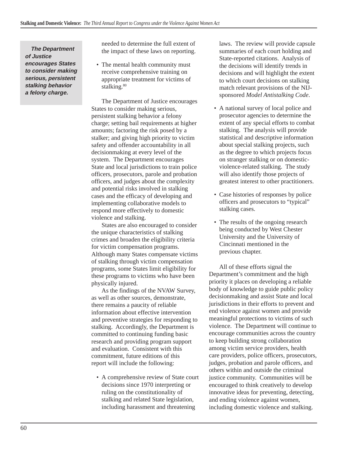**The Department of Justice encourages States to consider making serious, persistent stalking behavior a felony charge.** 

needed to determine the full extent of the impact of these laws on reporting.

• The mental health community must receive comprehensive training on appropriate treatment for victims of stalking.<sup>80</sup>

The Department of Justice encourages States to consider making serious, persistent stalking behavior a felony charge; setting bail requirements at higher amounts; factoring the risk posed by a stalker; and giving high priority to victim safety and offender accountability in all decisionmaking at every level of the system. The Department encourages State and local jurisdictions to train police officers, prosecutors, parole and probation officers, and judges about the complexity and potential risks involved in stalking cases and the efficacy of developing and implementing collaborative models to respond more effectively to domestic violence and stalking.

States are also encouraged to consider the unique characteristics of stalking crimes and broaden the eligibility criteria for victim compensation programs. Although many States compensate victims of stalking through victim compensation programs, some States limit eligibility for these programs to victims who have been physically injured.

As the findings of the NVAW Survey, as well as other sources, demonstrate, there remains a paucity of reliable information about effective intervention and preventive strategies for responding to stalking. Accordingly, the Department is committed to continuing funding basic research and providing program support and evaluation. Consistent with this commitment, future editions of this report will include the following:

• A comprehensive review of State court decisions since 1970 interpreting or ruling on the constitutionality of stalking and related State legislation, including harassment and threatening

laws. The review will provide capsule summaries of each court holding and State-reported citations. Analysis of the decisions will identify trends in decisions and will highlight the extent to which court decisions on stalking match relevant provisions of the NIJsponsored *Model Antistalking Code*.

- • A national survey of local police and prosecutor agencies to determine the extent of any special efforts to combat stalking. The analysis will provide statistical and descriptive information about special stalking projects, such as the degree to which projects focus on stranger stalking or on domesticviolence-related stalking. The study will also identify those projects of greatest interest to other practitioners.
- Case histories of responses by police officers and prosecutors to "typical" stalking cases.
- The results of the ongoing research being conducted by West Chester University and the University of Cincinnati mentioned in the previous chapter.

All of these efforts signal the Department's commitment and the high priority it places on developing a reliable body of knowledge to guide public policy decisionmaking and assist State and local jurisdictions in their efforts to prevent and end violence against women and provide meaningful protections to victims of such violence. The Department will continue to encourage communities across the country to keep building strong collaboration among victim service providers, health care providers, police officers, prosecutors, judges, probation and parole officers, and others within and outside the criminal justice community. Communities will be encouraged to think creatively to develop innovative ideas for preventing, detecting, and ending violence against women, including domestic violence and stalking.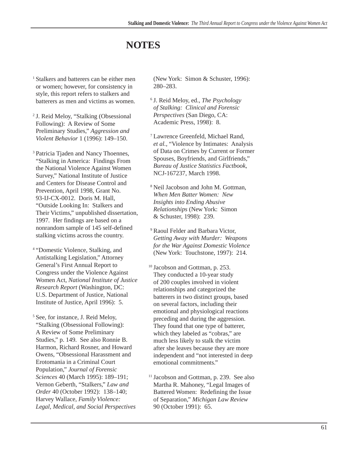# **NOTES**

- <sup>1</sup> Stalkers and batterers can be either men or women; however, for consistency in style, this report refers to stalkers and batterers as men and victims as women.
- 2 J. Reid Meloy, "Stalking (Obsessional Following): A Review of Some Preliminary Studies," *Aggression and Violent Behavior* 1 (1996): 149–150.
- <sup>3</sup> Patricia Tjaden and Nancy Thoennes, "Stalking in America: Findings From the National Violence Against Women Survey," National Institute of Justice and Centers for Disease Control and Prevention, April 1998, Grant No. 93-IJ-CX-0012. Doris M. Hall, "Outside Looking In: Stalkers and Their Victims," unpublished dissertation, 1997. Her findings are based on a nonrandom sample of 145 self-defined stalking victims across the country.
- 4 "Domestic Violence, Stalking, and Antistalking Legislation," Attorney General's First Annual Report to Congress under the Violence Against Women Act, *National Institute of Justice Research Report* (Washington, DC: U.S. Department of Justice, National Institute of Justice, April 1996): 5.
- 5 See, for instance, J. Reid Meloy, "Stalking (Obsessional Following): A Review of Some Preliminary Studies," p. 149. See also Ronnie B. Harmon, Richard Rosner, and Howard Owens, "Obsessional Harassment and Erotomania in a Criminal Court Population," *Journal of Forensic Sciences* 40 (March 1995): 189–191; Vernon Geberth, "Stalkers," *Law and Order* 40 (October 1992): 138–140; Harvey Wallace, *Family Violence: Legal, Medical, and Social Perspectives*

(New York: Simon & Schuster, 1996): 280–283.

- 6 J. Reid Meloy, ed., *The Psychology of Stalking: Clinical and Forensic Perspectives* (San Diego, CA: Academic Press, 1998): 8.
- 7 Lawrence Greenfeld, Michael Rand, *et al.*, "Violence by Intimates: Analysis of Data on Crimes by Current or Former Spouses, Boyfriends, and Girlfriends," *Bureau of Justice Statistics Factbook*, NCJ-167237, March 1998.
- <sup>8</sup> Neil Jacobson and John M. Gottman, *When Men Batter Women: New Insights into Ending Abusive Relationships* (New York: Simon & Schuster, 1998): 239.
- <sup>9</sup> Raoul Felder and Barbara Victor, *Getting Away with Murder: Weapons for the War Against Domestic Violence*  (New York: Touchstone, 1997): 214.
- 10 Jacobson and Gottman, p. 253. They conducted a 10-year study of 200 couples involved in violent relationships and categorized the batterers in two distinct groups, based on several factors, including their emotional and physiological reactions preceding and during the aggression. They found that one type of batterer, which they labeled as "cobras," are much less likely to stalk the victim after she leaves because they are more independent and "not interested in deep emotional commitments."
- <sup>11</sup> Jacobson and Gottman, p. 239. See also Martha R. Mahoney, "Legal Images of Battered Women: Redefining the Issue of Separation," *Michigan Law Review*  90 (October 1991): 65.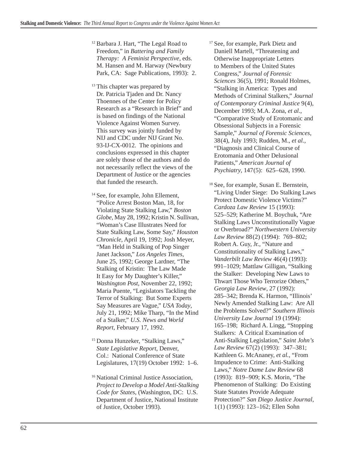- <sup>12</sup> Barbara J. Hart, "The Legal Road to Freedom," in *Battering and Family Therapy: A Feminist Perspective*, eds. M. Hansen and M. Harway (Newbury Park, CA: Sage Publications, 1993): 2.
- <sup>13</sup> This chapter was prepared by Dr. Patricia Tjaden and Dr. Nancy Thoennes of the Center for Policy Research as a "Research in Brief" and is based on findings of the National Violence Against Women Survey. This survey was jointly funded by NIJ and CDC under NIJ Grant No. 93-IJ-CX-0012. The opinions and conclusions expressed in this chapter are solely those of the authors and do not necessarily reflect the views of the Department of Justice or the agencies that funded the research.
- <sup>14</sup> See, for example, John Ellement, "Police Arrest Boston Man, 18, for Violating State Stalking Law," *Boston Globe*, May 28, 1992; Kristin N. Sullivan, "Woman's Case Illustrates Need for State Stalking Law, Some Say," *Houston Chronicle*, April 19, 1992; Josh Meyer, "Man Held in Stalking of Pop Singer Janet Jackson," *Los Angeles Times*, June 25, 1992; George Lardner, "The Stalking of Kristin: The Law Made It Easy for My Daughter's Killer," *Washington Post*, November 22, 1992; Maria Puente, "Legislators Tackling the Terror of Stalking: But Some Experts Say Measures are Vague," *USA Today*, July 21, 1992; Mike Tharp, "In the Mind of a Stalker," *U.S. News and World Report*, February 17, 1992.
- 15 Donna Hunzeker, "Stalking Laws," *State Legislative Report*, Denver, Col.: National Conference of State Legislatures, 17(19) October 1992: 1–6.
- 16 National Criminal Justice Association, *Project to Develop a Model Anti-Stalking Code for States*, (Washington, DC: U.S. Department of Justice, National Institute of Justice, October 1993).
- 17 See, for example, Park Dietz and Daniell Martell, "Threatening and Otherwise Inappropriate Letters to Members of the United States Congress," *Journal of Forensic Sciences* 36(5), 1991; Ronald Holmes, "Stalking in America: Types and Methods of Criminal Stalkers," *Journal of Contemporary Criminal Justice* 9(4), December 1993; M.A. Zona, *et al.*, "Comparative Study of Erotomanic and Obsessional Subjects in a Forensic Sample," *Journal of Forensic Sciences*, 38(4), July 1993; Rudden, M., *et al.*, "Diagnosis and Clinical Course of Erotomania and Other Delusional Patients," *American Journal of Psychiatry*, 147(5): 625–628, 1990.
- <sup>18</sup> See, for example, Susan E. Bernstein, "Living Under Siege: Do Stalking Laws Protect Domestic Violence Victims?" *Cardoza Law Review* 15 (1993): 525–529; Katherine M. Boychuk, "Are Stalking Laws Unconstitutionally Vague or Overbroad?" *Northwestern University Law Review* 88(2) (1994): 769–802; Robert A. Guy, Jr., "Nature and Constitutionality of Stalking Laws," *Vanderbilt Law Review* 46(4) (1993): 991–1029; Mattlaw Gilligan, "Stalking the Stalker: Developing New Laws to Thwart Those Who Terrorize Others," *Georgia Law Review*, 27 (1992): 285–342; Brenda K. Harmon, "Illinois' Newly Amended Stalking Law: Are All the Problems Solved?" *Southern Illinois University Law Journal* 19 (1994): 165–198; Richard A. Lingg, "Stopping Stalkers: A Critical Examination of Anti-Stalking Legislation," *Saint John's Law Review* 67(2) (1993): 347–381; Kathleen G. McAnaney, *et al.*, "From Impudence to Crime: Anti-Stalking Laws," *Notre Dame Law Review* 68 (1993): 819–909; K.S. Morin, "The Phenomenon of Stalking: Do Existing State Statutes Provide Adequate Protection?" *San Diego Justice Journal*, 1(1) (1993): 123–162; Ellen Sohn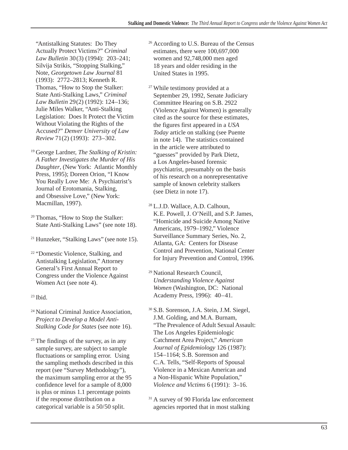"Antistalking Statutes: Do They Actually Protect Victims?" *Criminal Law Bulletin* 30(3) (1994): 203–241; Silvija Strikis, "Stopping Stalking," Note, *Georgetown Law Journal* 81 (1993): 2772–2813; Kenneth R. Thomas, "How to Stop the Stalker: State Anti-Stalking Laws," *Criminal Law Bulletin* 29(2) (1992): 124–136; Julie Miles Walker, "Anti-Stalking Legislation: Does It Protect the Victim Without Violating the Rights of the Accused?" *Denver University of Law Review* 71(2) (1993): 273–302.

- 19 George Lardner, *The Stalking of Kristin: A Father Investigates the Murder of His Daughter*, (New York: Atlantic Monthly Press, 1995); Doreen Orion, "I Know You Really Love Me: A Psychiatrist's Journal of Erotomania, Stalking, and Obsessive Love," (New York: Macmillan, 1997).
- <sup>20</sup> Thomas, "How to Stop the Stalker: State Anti-Stalking Laws" (see note 18).
- <sup>21</sup> Hunzeker, "Stalking Laws" (see note 15).
- <sup>22</sup> "Domestic Violence, Stalking, and Antistalking Legislation," Attorney General's First Annual Report to Congress under the Violence Against Women Act (see note 4).

 $23$  Ibid.

- 24 National Criminal Justice Association, *Project to Develop a Model Anti-Stalking Code for States* (see note 16).
- $25$  The findings of the survey, as in any sample survey, are subject to sample fluctuations or sampling error. Using the sampling methods described in this report (see "Survey Methodology"), the maximum sampling error at the 95 confidence level for a sample of 8,000 is plus or minus 1.1 percentage points if the response distribution on a categorical variable is a 50/50 split.
- <sup>26</sup> According to U.S. Bureau of the Census estimates, there were 100,697,000 women and 92,748,000 men aged 18 years and older residing in the United States in 1995.
- 27 While testimony provided at a September 29, 1992, Senate Judiciary Committee Hearing on S.B. 2922 (Violence Against Women) is generally cited as the source for these estimates, the figures first appeared in a *USA Today* article on stalking (see Puente in note 14). The statistics contained in the article were attributed to "guesses" provided by Park Dietz, a Los Angeles-based forensic psychiatrist, presumably on the basis of his research on a nonrepresentative sample of known celebrity stalkers (see Dietz in note 17).
- 28 L.J.D. Wallace, A.D. Calhoun, K.E. Powell, J. O'Neill, and S.P. James, "Homicide and Suicide Among Native Americans, 1979–1992," Violence Surveillance Summary Series, No. 2, Atlanta, GA: Centers for Disease Control and Prevention, National Center for Injury Prevention and Control, 1996.
- 29 National Research Council, *Understanding Violence Against Women* (Washington, DC: National Academy Press, 1996): 40–41.
- 30 S.B. Sorenson, J.A. Stein, J.M. Siegel, J.M. Golding, and M.A. Burnam, "The Prevalence of Adult Sexual Assault: The Los Angeles Epidemiologic Catchment Area Project," *American Journal of Epidemiology* 126 (1987): 154–1164; S.B. Sorenson and C.A. Tells, "Self-Reports of Spousal Violence in a Mexican American and a Non-Hispanic White Population," *Violence and Victims* 6 (1991): 3–16.
- <sup>31</sup> A survey of 90 Florida law enforcement agencies reported that in most stalking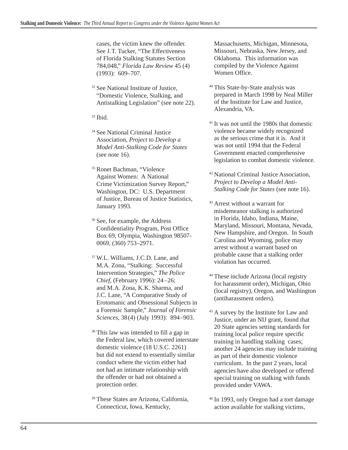cases, the victim knew the offender. See J.T. Tucker, "The Effectiveness of Florida Stalking Statutes Section 784,048," *Florida Law Review* 45 (4) (1993): 609–707.

- <sup>32</sup> See National Institute of Justice, "Domestic Violence, Stalking, and Antistalking Legislation" (see note 22).
- 33 Ibid.
- 34 See National Criminal Justice Association, *Project to Develop a Model Anti-Stalking Code for States*  (see note 16).
- 35 Ronet Bachman, "Violence Against Women: A National Crime Victimization Survey Report," Washington, DC: U.S. Department of Justice, Bureau of Justice Statistics, January 1993.
- 36 See, for example, the Address Confidentiality Program, Post Office Box 69, Olympia, Washington 98507 0069, (360) 753–2971.
- 37 W.L. Williams, J.C.D. Lane, and M.A. Zona, "Stalking: Successful Intervention Strategies," *The Police Chief*, (February 1996): 24–26; and M.A. Zona, K.K. Sharma, and J.C. Lane, "A Comparative Study of Erotomanic and Obsessional Subjects in a Forensic Sample," *Journal of Forensic Sciences*, 38(4) (July 1993): 894–903.
- 38 This law was intended to fill a gap in the Federal law, which covered interstate domestic violence (18 U.S.C. 2261) but did not extend to essentially similar conduct where the victim either had not had an intimate relationship with the offender or had not obtained a protection order.
- 39 These States are Arizona, California, Connecticut, Iowa, Kentucky,

Massachusetts, Michigan, Minnesota, Missouri, Nebraska, New Jersey, and Oklahoma. This information was compiled by the Violence Against Women Office.

- 40 This State-by-State analysis was prepared in March 1998 by Neal Miller of the Institute for Law and Justice, Alexandria, VA.
- 41 It was not until the 1980s that domestic violence became widely recognized as the serious crime that it is. And it was not until 1994 that the Federal Government enacted comprehensive legislation to combat domestic violence.
- 42 National Criminal Justice Association, *Project to Develop a Model Anti-Stalking Code for States* (see note 16).
- 43 Arrest without a warrant for misdemeanor stalking is authorized in Florida, Idaho, Indiana, Maine, Maryland, Missouri, Montana, Nevada, New Hampshire, and Oregon. In South Carolina and Wyoming, police may arrest without a warrant based on probable cause that a stalking order violation has occurred.
- 44 These include Arizona (local registry for harassment order), Michigan, Ohio (local registry), Oregon, and Washington (antiharassment orders).
- 45 A survey by the Institute for Law and Justice, under an NIJ grant, found that 20 State agencies setting standards for training local police require specific training in handling stalking cases; another 24 agencies may include training as part of their domestic violence curriculum. In the past 2 years, local agencies have also developed or offered special training on stalking with funds provided under VAWA.
- 46 In 1993, only Oregon had a tort damage action available for stalking victims,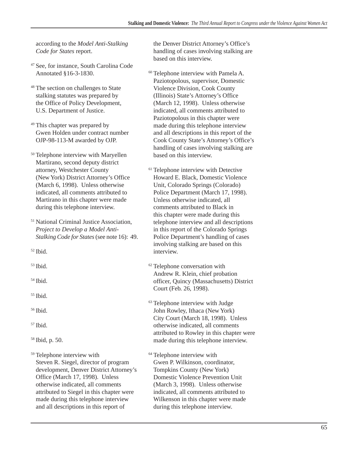according to the *Model Anti-Stalking Code for States* report.

- 47 See, for instance, South Carolina Code Annotated §16-3-1830.
- 48 The section on challenges to State stalking statutes was prepared by the Office of Policy Development, U.S. Department of Justice.
- 49 This chapter was prepared by Gwen Holden under contract number OJP-98-113-M awarded by OJP.

50 Telephone interview with Maryellen Martirano, second deputy district attorney, Westchester County (New York) District Attorney's Office (March 6, 1998). Unless otherwise indicated, all comments attributed to Martirano in this chapter were made during this telephone interview.

51 National Criminal Justice Association, *Project to Develop a Model Anti-Stalking Code for States* (see note 16): 49.

52 Ibid.

- $53$  Ibid.
- 54 Ibid.
- 55 Ibid.
- 56 Ibid.
- 57 Ibid.
- 58 Ibid, p. 50.

59 Telephone interview with Steven R. Siegel, director of program development, Denver District Attorney's Office (March 17, 1998). Unless otherwise indicated, all comments attributed to Siegel in this chapter were made during this telephone interview and all descriptions in this report of

the Denver District Attorney's Office's handling of cases involving stalking are based on this interview.

- 60 Telephone interview with Pamela A. Paziotopolous, supervisor, Domestic Violence Division, Cook County (Illinois) State's Attorney's Office (March 12, 1998). Unless otherwise indicated, all comments attributed to Paziotopolous in this chapter were made during this telephone interview and all descriptions in this report of the Cook County State's Attorney's Office's handling of cases involving stalking are based on this interview.
- <sup>61</sup> Telephone interview with Detective Howard E. Black, Domestic Violence Unit, Colorado Springs (Colorado) Police Department (March 17, 1998). Unless otherwise indicated, all comments attributed to Black in this chapter were made during this telephone interview and all descriptions in this report of the Colorado Springs Police Department's handling of cases involving stalking are based on this interview.
- <sup>62</sup> Telephone conversation with Andrew R. Klein, chief probation officer, Quincy (Massachusetts) District Court (Feb. 26, 1998).
- <sup>63</sup> Telephone interview with Judge John Rowley, Ithaca (New York) City Court (March 18, 1998). Unless otherwise indicated, all comments attributed to Rowley in this chapter were made during this telephone interview.
- 64 Telephone interview with Gwen P. Wilkinson, coordinator, Tompkins County (New York) Domestic Violence Prevention Unit (March 3, 1998). Unless otherwise indicated, all comments attributed to Wilkenson in this chapter were made during this telephone interview.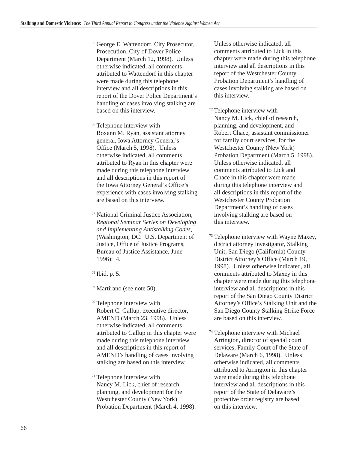- 65 George E. Wattendorf, City Prosecutor, Prosecution, City of Dover Police Department (March 12, 1998). Unless otherwise indicated, all comments attributed to Wattendorf in this chapter were made during this telephone interview and all descriptions in this report of the Dover Police Department's handling of cases involving stalking are based on this interview.
- 66 Telephone interview with Roxann M. Ryan, assistant attorney general, Iowa Attorney General's Office (March 5, 1998). Unless otherwise indicated, all comments attributed to Ryan in this chapter were made during this telephone interview and all descriptions in this report of the Iowa Attorney General's Office's experience with cases involving stalking are based on this interview.
- 67 National Criminal Justice Association, *Regional Seminar Series on Developing and Implementing Antistalking Codes*, (Washington, DC: U.S. Department of Justice, Office of Justice Programs, Bureau of Justice Assistance, June 1996): 4.

68 Ibid, p. 5.

69 Martirano (see note 50).

- 70 Telephone interview with Robert C. Gallup, executive director, AMEND (March 23, 1998). Unless otherwise indicated, all comments attributed to Gallup in this chapter were made during this telephone interview and all descriptions in this report of AMEND's handling of cases involving stalking are based on this interview.
- 71 Telephone interview with Nancy M. Lick, chief of research, planning, and development for the Westchester County (New York) Probation Department (March 4, 1998).

Unless otherwise indicated, all comments attributed to Lick in this chapter were made during this telephone interview and all descriptions in this report of the Westchester County Probation Department's handling of cases involving stalking are based on this interview.

- 72 Telephone interview with Nancy M. Lick, chief of research, planning, and development, and Robert Chace, assistant commissioner for family court services, for the Westchester County (New York) Probation Department (March 5, 1998). Unless otherwise indicated, all comments attributed to Lick and Chace in this chapter were made during this telephone interview and all descriptions in this report of the Westchester County Probation Department's handling of cases involving stalking are based on this interview.
- 73 Telephone interview with Wayne Maxey, district attorney investigator, Stalking Unit, San Diego (California) County District Attorney's Office (March 19, 1998). Unless otherwise indicated, all comments attributed to Maxey in this chapter were made during this telephone interview and all descriptions in this report of the San Diego County District Attorney's Office's Stalking Unit and the San Diego County Stalking Strike Force are based on this interview.
- 74 Telephone interview with Michael Arrington, director of special court services, Family Court of the State of Delaware (March 6, 1998). Unless otherwise indicated, all comments attributed to Arrington in this chapter were made during this telephone interview and all descriptions in this report of the State of Delaware's protective order registry are based on this interview.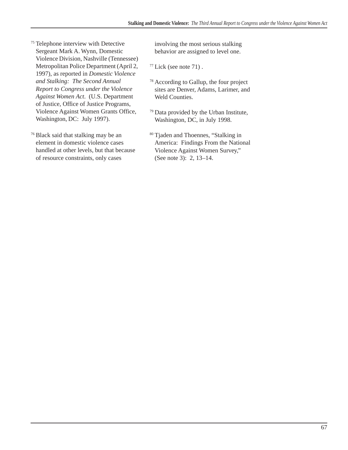- <sup>75</sup> Telephone interview with Detective Sergeant Mark A. Wynn, Domestic Violence Division, Nashville (Tennessee) Metropolitan Police Department (April 2, 1997), as reported in *Domestic Violence and Stalking: The Second Annual Report to Congress under the Violence Against Women Act*. (U.S. Department of Justice, Office of Justice Programs, Violence Against Women Grants Office, Washington, DC: July 1997).
- 76 Black said that stalking may be an element in domestic violence cases handled at other levels, but that because of resource constraints, only cases

involving the most serious stalking behavior are assigned to level one.

 $77$  Lick (see note 71).

- 78 According to Gallup, the four project sites are Denver, Adams, Larimer, and Weld Counties.
- 79 Data provided by the Urban Institute, Washington, DC, in July 1998.
- 80 Tjaden and Thoennes, "Stalking in America: Findings From the National Violence Against Women Survey," (See note 3): 2, 13–14.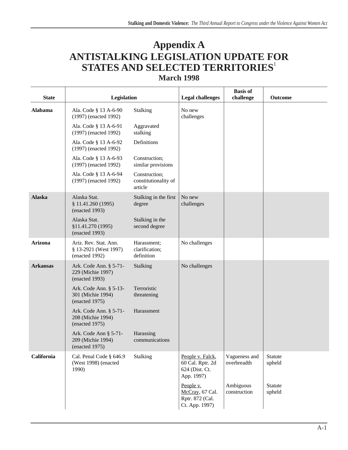| <b>State</b>    | <b>Legislation</b>                                               |                                                  | <b>Legal challenges</b>                                              | <b>Basis of</b><br>challenge | Outcome           |
|-----------------|------------------------------------------------------------------|--------------------------------------------------|----------------------------------------------------------------------|------------------------------|-------------------|
| <b>Alabama</b>  | Ala. Code § 13 A-6-90<br>(1997) (enacted 1992)                   | Stalking                                         | No new<br>challenges                                                 |                              |                   |
|                 | Ala. Code § 13 A-6-91<br>(1997) (enacted 1992)                   | Aggravated<br>stalking                           |                                                                      |                              |                   |
|                 | Ala. Code § 13 A-6-92<br>(1997) (enacted 1992)                   | Definitions                                      |                                                                      |                              |                   |
|                 | Ala. Code § 13 A-6-93<br>(1997) (enacted 1992)                   | Construction;<br>similar provisions              |                                                                      |                              |                   |
|                 | Ala. Code § 13 A-6-94<br>(1997) (enacted 1992)                   | Construction;<br>constitutionality of<br>article |                                                                      |                              |                   |
| <b>Alaska</b>   | Alaska Stat.<br>§ 11.41.260 (1995)<br>(enacted 1993)             | Stalking in the first<br>degree                  | No new<br>challenges                                                 |                              |                   |
|                 | Alaska Stat.<br>§11.41.270 (1995)<br>(enacted 1993)              | Stalking in the<br>second degree                 |                                                                      |                              |                   |
| Arizona         | Ariz. Rev. Stat. Ann.<br>§ 13-2921 (West 1997)<br>(enacted 1992) | Harassment;<br>clarification;<br>definition      | No challenges                                                        |                              |                   |
| <b>Arkansas</b> | Ark. Code Ann. § 5-71-<br>229 (Michie 1997)<br>(enacted 1993)    | Stalking                                         | No challenges                                                        |                              |                   |
|                 | Ark. Code Ann. § 5-13-<br>301 (Michie 1994)<br>(enacted 1975)    | Terroristic<br>threatening                       |                                                                      |                              |                   |
|                 | Ark. Code Ann. § 5-71-<br>208 (Michie 1994)<br>(enacted 1975)    | Harassment                                       |                                                                      |                              |                   |
|                 | Ark. Code Ann § 5-71-<br>209 (Michie 1994)<br>(enacted 1975)     | Harassing<br>communications                      |                                                                      |                              |                   |
| California      | Cal. Penal Code § 646.9<br>(West 1998) (enacted<br>1990)         | <b>Stalking</b>                                  | People v. Falck,<br>60 Cal. Rptr. 2d<br>624 (Dist. Ct.<br>App. 1997) | Vagueness and<br>overbreadth | Statute<br>upheld |
|                 |                                                                  |                                                  | People v.<br>McCray, 67 Cal.<br>Rptr. 872 (Cal.<br>Ct. App. 1997)    | Ambiguous<br>construction    | Statute<br>upheld |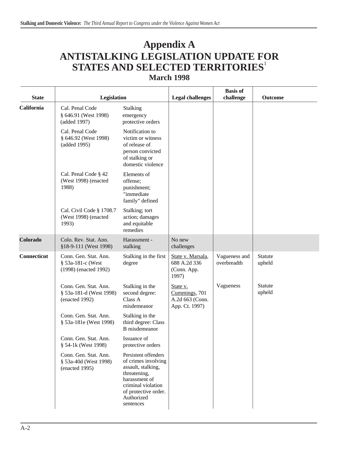| <b>State</b> | Legislation                                                         |                                                                                                                                                                             | <b>Legal challenges</b>                                        | <b>Basis of</b><br>challenge | Outcome           |
|--------------|---------------------------------------------------------------------|-----------------------------------------------------------------------------------------------------------------------------------------------------------------------------|----------------------------------------------------------------|------------------------------|-------------------|
| California   | Cal. Penal Code<br>§ 646.91 (West 1998)<br>(added 1997)             | Stalking<br>emergency<br>protective orders                                                                                                                                  |                                                                |                              |                   |
|              | Cal. Penal Code<br>§ 646.92 (West 1998)<br>(added 1995)             | Notification to<br>victim or witness<br>of release of<br>person convicted<br>of stalking or<br>domestic violence                                                            |                                                                |                              |                   |
|              | Cal. Penal Code § 42<br>(West 1998) (enacted<br>1988)               | Elements of<br>offense;<br>punishment;<br>"immediate<br>family" defined                                                                                                     |                                                                |                              |                   |
|              | Cal. Civil Code § 1708.7<br>(West 1998) (enacted<br>1993)           | Stalking; tort<br>action; damages<br>and equitable<br>remedies                                                                                                              |                                                                |                              |                   |
| Colorado     | Colo. Rev. Stat. Ann.<br>§18-9-111 (West 1998)                      | Harassment -<br>stalking                                                                                                                                                    | No new<br>challenges                                           |                              |                   |
| Connecticut  | Conn. Gen. Stat. Ann.<br>§ 53a-181-c (West<br>(1998) (enacted 1992) | Stalking in the first<br>degree                                                                                                                                             | State v. Marsala,<br>688 A.2d 336<br>(Conn. App.<br>1997)      | Vagueness and<br>overbreadth | Statute<br>upheld |
|              | Conn. Gen. Stat. Ann.<br>§ 53a-181-d (West 1998)<br>(enacted 1992)  | Stalking in the<br>second degree:<br>Class A<br>misdemeanor                                                                                                                 | State v.<br>Cummings, 701<br>A.2d 663 (Conn.<br>App. Ct. 1997) | Vagueness                    | Statute<br>upheld |
|              | Conn. Gen. Stat. Ann.<br>§ 53a-181e (West 1998)                     | Stalking in the<br>third degree: Class<br><b>B</b> misdemeanor                                                                                                              |                                                                |                              |                   |
|              | Conn. Gen. Stat. Ann.<br>§ 54-1k (West 1998)                        | Issuance of<br>protective orders                                                                                                                                            |                                                                |                              |                   |
|              | Conn. Gen. Stat. Ann.<br>§ 53a-40d (West 1998)<br>(enacted 1995)    | Persistent offenders<br>of crimes involving<br>assault, stalking,<br>threatening,<br>harassment of<br>criminal violation<br>of protective order.<br>Authorized<br>sentences |                                                                |                              |                   |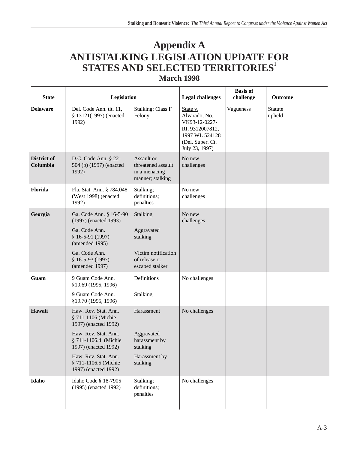| <b>State</b>                   | Legislation                                                                                                                                                                                                        |                                                                                               | <b>Legal challenges</b>                                                                                               | <b>Basis of</b><br>challenge | Outcome           |
|--------------------------------|--------------------------------------------------------------------------------------------------------------------------------------------------------------------------------------------------------------------|-----------------------------------------------------------------------------------------------|-----------------------------------------------------------------------------------------------------------------------|------------------------------|-------------------|
| <b>Delaware</b>                | Del. Code Ann. tit. 11,<br>§ 13121(1997) (enacted<br>1992)                                                                                                                                                         | Stalking; Class F<br>Felony                                                                   | State v.<br>Alvarado, No.<br>VK93-12-0227-<br>RI, 9312007812,<br>1997 WL 524128<br>(Del. Super. Ct.<br>July 23, 1997) | Vagueness                    | Statute<br>upheld |
| <b>District of</b><br>Columbia | D.C. Code Ann. § 22-<br>504 (b) (1997) (enacted<br>1992)                                                                                                                                                           | Assault or<br>threatened assault<br>in a menacing<br>manner; stalking                         | No new<br>challenges                                                                                                  |                              |                   |
| Florida                        | Fla. Stat. Ann. § 784.048<br>(West 1998) (enacted<br>1992)                                                                                                                                                         | Stalking;<br>definitions;<br>penalties                                                        | No new<br>challenges                                                                                                  |                              |                   |
| Georgia                        | Ga. Code Ann. § 16-5-90<br>(1997) (enacted 1993)<br>Ga. Code Ann.<br>$§ 16-5-91(1997)$<br>(amended 1995)<br>Ga. Code Ann.<br>$$16-5-93(1997)$<br>(amended 1997)                                                    | Stalking<br>Aggravated<br>stalking<br>Victim notification<br>of release or<br>escaped stalker | No new<br>challenges                                                                                                  |                              |                   |
| Guam                           | 9 Guam Code Ann.<br>§19.69 (1995, 1996)<br>9 Guam Code Ann.<br>§19.70 (1995, 1996)                                                                                                                                 | Definitions<br><b>Stalking</b>                                                                | No challenges                                                                                                         |                              |                   |
| Hawaii                         | Haw. Rev. Stat. Ann.<br>§ 711-1106 (Michie<br>1997) (enacted 1992)<br>Haw. Rev. Stat. Ann.<br>§ 711-1106.4 (Michie<br>1997) (enacted 1992)<br>Haw. Rev. Stat. Ann.<br>§ 711-1106.5 (Michie<br>1997) (enacted 1992) | Harassment<br>Aggravated<br>harassment by<br>stalking<br>Harassment by<br>stalking            | No challenges                                                                                                         |                              |                   |
| Idaho                          | Idaho Code § 18-7905<br>(1995) (enacted 1992)                                                                                                                                                                      | Stalking;<br>definitions;<br>penalties                                                        | No challenges                                                                                                         |                              |                   |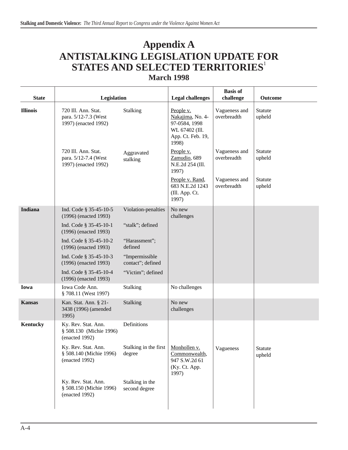| <b>State</b>    | Legislation                                                         |                                     | <b>Legal challenges</b>                                                                        | <b>Basis of</b><br>challenge | Outcome                  |
|-----------------|---------------------------------------------------------------------|-------------------------------------|------------------------------------------------------------------------------------------------|------------------------------|--------------------------|
| <b>Illinois</b> | 720 Ill. Ann. Stat.<br>para. 5/12-7.3 (West<br>1997) (enacted 1992) | <b>Stalking</b>                     | People v.<br>Nakajima, No. 4-<br>97-0584, 1998<br>WL 67402 (Ill.<br>App. Ct. Feb. 19,<br>1998) | Vagueness and<br>overbreadth | Statute<br>upheld        |
|                 | 720 Ill. Ann. Stat.<br>para. 5/12-7.4 (West<br>1997) (enacted 1992) | Aggravated<br>stalking              | People v.<br>Zamudio, 689<br>N.E.2d 254 (Ill.<br>1997)                                         | Vagueness and<br>overbreadth | Statute<br>upheld        |
|                 |                                                                     |                                     | People v. Rand,<br>683 N.E.2d 1243<br>(Ill. App. Ct.<br>1997)                                  | Vagueness and<br>overbreadth | <b>Statute</b><br>upheld |
| <b>Indiana</b>  | Ind. Code § 35-45-10-5<br>(1996) (enacted 1993)                     | Violation-penalties                 | No new<br>challenges                                                                           |                              |                          |
|                 | Ind. Code § 35-45-10-1<br>(1996) (enacted 1993)                     | "stalk"; defined                    |                                                                                                |                              |                          |
|                 | Ind. Code § 35-45-10-2<br>(1996) (enacted 1993)                     | "Harassment";<br>defined            |                                                                                                |                              |                          |
|                 | Ind. Code § 35-45-10-3<br>(1996) (enacted 1993)                     | "Impermissible<br>contact"; defined |                                                                                                |                              |                          |
|                 | Ind. Code § 35-45-10-4<br>(1996) (enacted 1993)                     | "Victim"; defined                   |                                                                                                |                              |                          |
| Iowa            | Iowa Code Ann.<br>§ 708.11 (West 1997)                              | <b>Stalking</b>                     | No challenges                                                                                  |                              |                          |
| <b>Kansas</b>   | Kan. Stat. Ann. § 21-<br>3438 (1996) (amended<br>1995)              | <b>Stalking</b>                     | No new<br>challenges                                                                           |                              |                          |
| <b>Kentucky</b> | Ky. Rev. Stat. Ann.<br>§ 508.130 (Michie 1996)<br>(enacted 1992)    | Definitions                         |                                                                                                |                              |                          |
|                 | Ky. Rev. Stat. Ann.<br>§ 508.140 (Michie 1996)<br>(enacted 1992)    | Stalking in the first<br>degree     | Monhollen v.<br>Commonwealth,<br>947 S.W.2d 61<br>(Ky. Ct. App.<br>1997)                       | Vagueness                    | Statute<br>upheld        |
|                 | Ky. Rev. Stat. Ann.<br>§ 508.150 (Michie 1996)<br>(enacted 1992)    | Stalking in the<br>second degree    |                                                                                                |                              |                          |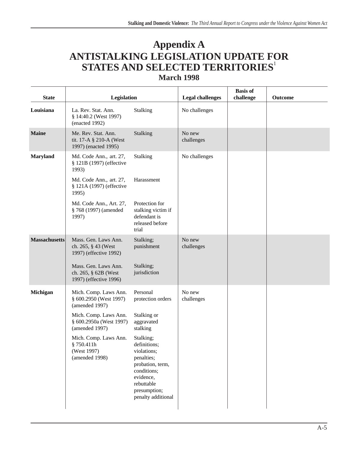| <b>State</b>         | Legislation                                                            |                                                                                                                                                            | <b>Legal challenges</b> | <b>Basis</b> of<br>challenge | Outcome |
|----------------------|------------------------------------------------------------------------|------------------------------------------------------------------------------------------------------------------------------------------------------------|-------------------------|------------------------------|---------|
| Louisiana            | La. Rev. Stat. Ann.<br>§ 14:40.2 (West 1997)<br>(enacted 1992)         | Stalking                                                                                                                                                   | No challenges           |                              |         |
| <b>Maine</b>         | Me. Rev. Stat. Ann.<br>tit. 17-A § 210-A (West<br>1997) (enacted 1995) | Stalking                                                                                                                                                   | No new<br>challenges    |                              |         |
| <b>Maryland</b>      | Md. Code Ann., art. 27,<br>§ 121B (1997) (effective<br>1993)           | Stalking                                                                                                                                                   | No challenges           |                              |         |
|                      | Md. Code Ann., art. 27,<br>§ 121A (1997) (effective<br>1995)           | Harassment                                                                                                                                                 |                         |                              |         |
|                      | Md. Code Ann., Art. 27,<br>§ 768 (1997) (amended<br>1997)              | Protection for<br>stalking victim if<br>defendant is<br>released before<br>trial                                                                           |                         |                              |         |
| <b>Massachusetts</b> | Mass. Gen. Laws Ann.<br>ch. 265, § 43 (West<br>1997) (effective 1992)  | Stalking;<br>punishment                                                                                                                                    | No new<br>challenges    |                              |         |
|                      | Mass. Gen. Laws Ann.<br>ch. 265, § 62B (West<br>1997) (effective 1996) | Stalking;<br>jurisdiction                                                                                                                                  |                         |                              |         |
| Michigan             | Mich. Comp. Laws Ann.<br>§ 600.2950 (West 1997)<br>(amended 1997)      | Personal<br>protection orders                                                                                                                              | No new<br>challenges    |                              |         |
|                      | Mich. Comp. Laws Ann.<br>§ 600.2950a (West 1997)<br>(amended 1997)     | Stalking or<br>aggravated<br>stalking                                                                                                                      |                         |                              |         |
|                      | Mich. Comp. Laws Ann.<br>§ 750.411h<br>(West 1997)<br>(amended 1998)   | Stalking;<br>definitions;<br>violations;<br>penalties;<br>probation, term,<br>conditions;<br>evidence,<br>rebuttable<br>presumption;<br>penalty additional |                         |                              |         |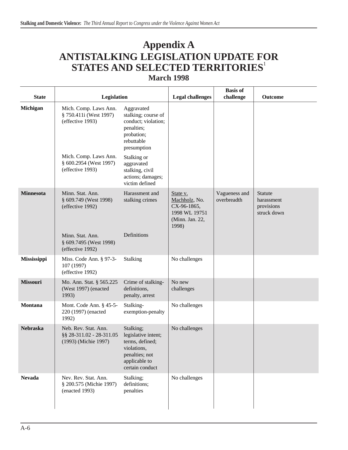| <b>State</b>     | Legislation                                                              |                                                                                                                          | <b>Legal challenges</b>                                                               | <b>Basis of</b><br>challenge | Outcome                                                   |
|------------------|--------------------------------------------------------------------------|--------------------------------------------------------------------------------------------------------------------------|---------------------------------------------------------------------------------------|------------------------------|-----------------------------------------------------------|
| Michigan         | Mich. Comp. Laws Ann.<br>§ 750.411i (West 1997)<br>(effective 1993)      | Aggravated<br>stalking; course of<br>conduct; violation;<br>penalties;<br>probation;<br>rebuttable<br>presumption        |                                                                                       |                              |                                                           |
|                  | Mich. Comp. Laws Ann.<br>§ 600.2954 (West 1997)<br>(effective 1993)      | Stalking or<br>aggravated<br>stalking, civil<br>actions; damages;<br>victim defined                                      |                                                                                       |                              |                                                           |
| <b>Minnesota</b> | Minn. Stat. Ann.<br>§ 609.749 (West 1998)<br>(effective 1992)            | Harassment and<br>stalking crimes                                                                                        | State v.<br>Machholz, No.<br>CX-96-1865,<br>1998 WL 19751<br>(Minn. Jan. 22,<br>1998) | Vagueness and<br>overbreadth | <b>Statute</b><br>harassment<br>provisions<br>struck down |
|                  | Minn. Stat. Ann.<br>§ 609.7495 (West 1998)<br>(effective 1992)           | Definitions                                                                                                              |                                                                                       |                              |                                                           |
| Mississippi      | Miss. Code Ann. § 97-3-<br>107 (1997)<br>(effective 1992)                | Stalking                                                                                                                 | No challenges                                                                         |                              |                                                           |
| Missouri         | Mo. Ann. Stat. § 565.225<br>(West 1997) (enacted<br>1993)                | Crime of stalking-<br>definitions,<br>penalty, arrest                                                                    | No new<br>challenges                                                                  |                              |                                                           |
| Montana          | Mont. Code Ann. § 45-5-<br>220 (1997) (enacted<br>1992)                  | Stalking-<br>exemption-penalty                                                                                           | No challenges                                                                         |                              |                                                           |
| <b>Nebraska</b>  | Neb. Rev. Stat. Ann.<br>§§ 28-311.02 - 28-311.05<br>(1993) (Michie 1997) | Stalking;<br>legislative intent;<br>terms, defined;<br>violations,<br>penalties; not<br>applicable to<br>certain conduct | No challenges                                                                         |                              |                                                           |
| <b>Nevada</b>    | Nev. Rev. Stat. Ann.<br>§ 200.575 (Michie 1997)<br>(enacted 1993)        | Stalking;<br>definitions;<br>penalties                                                                                   | No challenges                                                                         |                              |                                                           |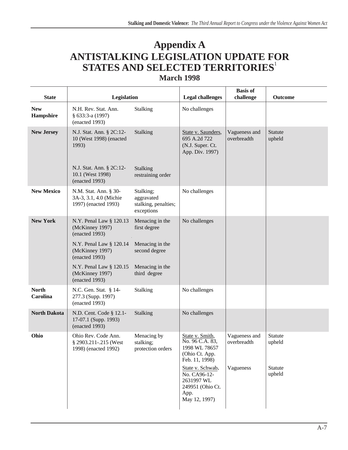| <b>State</b>             | Legislation                                                                              |                                                               | <b>Legal challenges</b>                                                                     | <b>Basis of</b><br>challenge | Outcome                  |
|--------------------------|------------------------------------------------------------------------------------------|---------------------------------------------------------------|---------------------------------------------------------------------------------------------|------------------------------|--------------------------|
| <b>New</b><br>Hampshire  | N.H. Rev. Stat. Ann.<br>§ 633:3-a (1997)<br>(enacted 1993)                               | Stalking                                                      | No challenges                                                                               |                              |                          |
| <b>New Jersey</b>        | N.J. Stat. Ann. § 2C:12-<br>10 (West 1998) (enacted<br>1993)<br>N.J. Stat. Ann. § 2C:12- | Stalking<br>Stalking                                          | State v. Saunders,<br>695 A.2d 722<br>(N.J. Super. Ct.<br>App. Div. 1997)                   | Vagueness and<br>overbreadth | Statute<br>upheld        |
|                          | 10.1 (West 1998)<br>(enacted 1993)                                                       | restraining order                                             |                                                                                             |                              |                          |
| <b>New Mexico</b>        | N.M. Stat. Ann. § 30-<br>3A-3, 3.1, 4.0 (Michie<br>1997) (enacted 1993)                  | Stalking;<br>aggravated<br>stalking, penalties;<br>exceptions | No challenges                                                                               |                              |                          |
| <b>New York</b>          | N.Y. Penal Law § 120.13<br>(McKinney 1997)<br>(enacted 1993)                             | Menacing in the<br>first degree                               | No challenges                                                                               |                              |                          |
|                          | N.Y. Penal Law § 120.14<br>(McKinney 1997)<br>(enacted 1993)                             | Menacing in the<br>second degree                              |                                                                                             |                              |                          |
|                          | N.Y. Penal Law § 120.15<br>(McKinney 1997)<br>(enacted 1993)                             | Menacing in the<br>third degree                               |                                                                                             |                              |                          |
| <b>North</b><br>Carolina | N.C. Gen. Stat. § 14-<br>277.3 (Supp. 1997)<br>(enacted 1993)                            | Stalking                                                      | No challenges                                                                               |                              |                          |
| <b>North Dakota</b>      | N.D. Cent. Code § 12.1-<br>17-07.1 (Supp. 1993)<br>(enacted 1993)                        | Stalking                                                      | No challenges                                                                               |                              |                          |
| Ohio                     | Ohio Rev. Code Ann.<br>$§$ 2903.211-.215 (West<br>1998) (enacted 1992)                   | Menacing by<br>stalking;<br>protection orders                 | State v. Smith,<br>No. 96 C.A. 83,<br>1998 WL 78657<br>(Ohio Ct. App.<br>Feb. 11, 1998)     | Vagueness and<br>overbreadth | Statute<br>upheld        |
|                          |                                                                                          |                                                               | State v. Schwab,<br>No. CA96-12-<br>2631997 WL<br>249951 (Ohio Ct.<br>App.<br>May 12, 1997) | Vagueness                    | <b>Statute</b><br>upheld |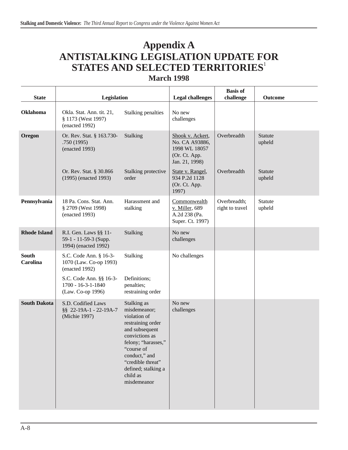| <b>State</b>        | Legislation                                                            |                                                                                                                                                                                                                                   | <b>Legal challenges</b>                                                                | <b>Basis of</b><br>challenge    | Outcome                  |
|---------------------|------------------------------------------------------------------------|-----------------------------------------------------------------------------------------------------------------------------------------------------------------------------------------------------------------------------------|----------------------------------------------------------------------------------------|---------------------------------|--------------------------|
| Oklahoma            | Okla. Stat. Ann. tit. 21,<br>§ 1173 (West 1997)<br>(enacted 1992)      | Stalking penalties                                                                                                                                                                                                                | No new<br>challenges                                                                   |                                 |                          |
| Oregon              | Or. Rev. Stat. § 163.730-<br>.750(1995)<br>(enacted 1993)              | <b>Stalking</b>                                                                                                                                                                                                                   | Shook v. Ackert,<br>No. CA A93886,<br>1998 WL 18057<br>(Or. Ct. App.<br>Jan. 21, 1998) | Overbreadth                     | Statute<br>upheld        |
|                     | Or. Rev. Stat. § 30.866<br>(1995) (enacted 1993)                       | Stalking protective<br>order                                                                                                                                                                                                      | State v. Rangel,<br>934 P.2d 1128<br>(Or. Ct. App.<br>1997)                            | Overbreadth                     | <b>Statute</b><br>upheld |
| Pennsylvania        | 18 Pa. Cons. Stat. Ann.<br>§ 2709 (West 1998)<br>(enacted 1993)        | Harassment and<br>stalking                                                                                                                                                                                                        | Commonwealth<br>v. Miller, 689<br>A.2d 238 (Pa.<br>Super. Ct. 1997)                    | Overbreadth;<br>right to travel | Statute<br>upheld        |
| <b>Rhode Island</b> | R.I. Gen. Laws §§ 11-<br>59-1 - 11-59-3 (Supp.<br>1994) (enacted 1992) | <b>Stalking</b>                                                                                                                                                                                                                   | No new<br>challenges                                                                   |                                 |                          |
| South<br>Carolina   | S.C. Code Ann. § 16-3-<br>1070 (Law. Co-op 1993)<br>(enacted 1992)     | Stalking                                                                                                                                                                                                                          | No challenges                                                                          |                                 |                          |
|                     | S.C. Code Ann. §§ 16-3-<br>1700 - 16-3-1-1840<br>(Law. Co-op 1996)     | Definitions;<br>penalties;<br>restraining order                                                                                                                                                                                   |                                                                                        |                                 |                          |
| <b>South Dakota</b> | S.D. Codified Laws<br>§§ 22-19A-1 - 22-19A-7<br>(Michie 1997)          | Stalking as<br>misdemeanor;<br>violation of<br>restraining order<br>and subsequent<br>convictions as<br>felony; "harasses,"<br>"course of<br>conduct," and<br>"credible threat"<br>defined; stalking a<br>child as<br>misdemeanor | No new<br>challenges                                                                   |                                 |                          |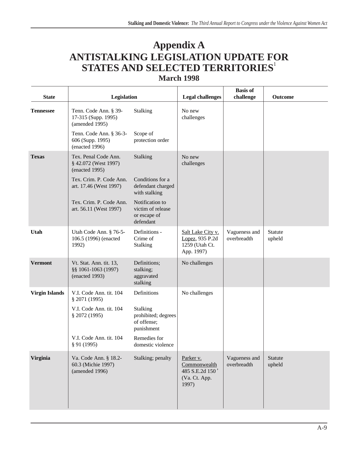| <b>State</b>          | Legislation                                                      |                                                                     | <b>Legal challenges</b>                                                | <b>Basis of</b><br>challenge | Outcome                  |
|-----------------------|------------------------------------------------------------------|---------------------------------------------------------------------|------------------------------------------------------------------------|------------------------------|--------------------------|
| <b>Tennessee</b>      | Tenn. Code Ann. § 39-<br>17-315 (Supp. 1995)<br>(amended 1995)   | <b>Stalking</b>                                                     | No new<br>challenges                                                   |                              |                          |
|                       | Tenn. Code Ann. § 36-3-<br>606 (Supp. 1995)<br>(enacted 1996)    | Scope of<br>protection order                                        |                                                                        |                              |                          |
| <b>Texas</b>          | Tex. Penal Code Ann.<br>§ 42.072 (West 1997)<br>(enacted 1995)   | <b>Stalking</b>                                                     | No new<br>challenges                                                   |                              |                          |
|                       | Tex. Crim. P. Code Ann.<br>art. 17.46 (West 1997)                | Conditions for a<br>defendant charged<br>with stalking              |                                                                        |                              |                          |
|                       | Tex. Crim. P. Code Ann.<br>art. 56.11 (West 1997)                | Notification to<br>victim of release<br>or escape of<br>defendant   |                                                                        |                              |                          |
| Utah                  | Utah Code Ann. § 76-5-<br>106.5 (1996) (enacted<br>1992)         | Definitions -<br>Crime of<br><b>Stalking</b>                        | Salt Lake City v.<br>Lopez, 935 P.2d<br>1259 (Utah Ct.<br>App. 1997)   | Vagueness and<br>overbreadth | Statute<br>upheld        |
| <b>Vermont</b>        | Vt. Stat. Ann. tit. 13,<br>§§ 1061-1063 (1997)<br>(enacted 1993) | Definitions;<br>stalking;<br>aggravated<br>stalking                 | No challenges                                                          |                              |                          |
| <b>Virgin Islands</b> | V.I. Code Ann. tit. 104<br>\$2071(1995)                          | Definitions                                                         | No challenges                                                          |                              |                          |
|                       | V.I. Code Ann. tit. 104<br>§ 2072 (1995)                         | <b>Stalking</b><br>prohibited; degrees<br>of offense;<br>punishment |                                                                        |                              |                          |
|                       | V.I. Code Ann. tit. 104<br>§ 91(1995)                            | Remedies for<br>domestic violence                                   |                                                                        |                              |                          |
| <b>Virginia</b>       | Va. Code Ann. § 18.2-<br>60.3 (Michie 1997)<br>(amended 1996)    | Stalking; penalty                                                   | Parker v.<br>Commonwealth<br>485 S.E.2d 150'<br>(Va. Ct. App.<br>1997) | Vagueness and<br>overbreadth | <b>Statute</b><br>upheld |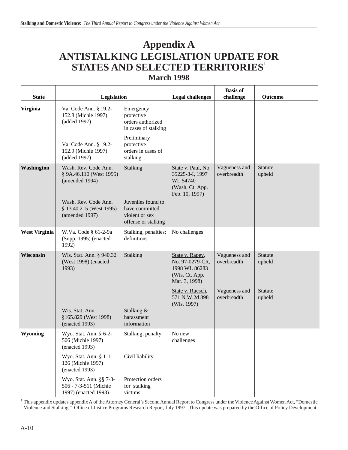| <b>State</b>         | Legislation                                                              |                                                                               | <b>Legal challenges</b>                                                                | <b>Basis of</b><br>challenge | Outcome                  |
|----------------------|--------------------------------------------------------------------------|-------------------------------------------------------------------------------|----------------------------------------------------------------------------------------|------------------------------|--------------------------|
| <b>Virginia</b>      | Va. Code Ann. § 19.2-<br>152.8 (Michie 1997)<br>(added 1997)             | Emergency<br>protective<br>orders authorized<br>in cases of stalking          |                                                                                        |                              |                          |
|                      | Va. Code Ann. § 19.2-<br>152.9 (Michie 1997)<br>(added 1997)             | Preliminary<br>protective<br>orders in cases of<br>stalking                   |                                                                                        |                              |                          |
| Washington           | Wash. Rev. Code Ann.<br>§ 9A.46.110 (West 1995)<br>(amended 1994)        | Stalking                                                                      | State v. Paul, No.<br>35225-3-I, 1997<br>WL 54740<br>(Wash. Ct. App.<br>Feb. 10, 1997) | Vagueness and<br>overbreadth | Statute<br>upheld        |
|                      | Wash. Rev. Code Ann.<br>§ 13.40.215 (West 1995)<br>(amended 1997)        | Juveniles found to<br>have committed<br>violent or sex<br>offense or stalking |                                                                                        |                              |                          |
| <b>West Virginia</b> | W.Va. Code § 61-2-9a<br>(Supp. 1995) (enacted<br>1992)                   | Stalking, penalties;<br>definitions                                           | No challenges                                                                          |                              |                          |
| Wisconsin            | Wis. Stat. Ann. § 940.32<br>(West 1998) (enacted<br>1993)                | Stalking                                                                      | State v. Rapey,<br>No. 97-0279-CR,<br>1998 WL 86283<br>(Wis. Ct. App.<br>Mar. 3, 1998) | Vagueness and<br>overbreadth | <b>Statute</b><br>upheld |
|                      |                                                                          |                                                                               | State v. Ruesch,<br>571 N.W.2d 898<br>(Wis. 1997)                                      | Vagueness and<br>overbreadth | Statute<br>upheld        |
|                      | Wis. Stat. Ann.<br>§165.829 (West 1998)<br>(enacted 1993)                | Stalking &<br>harassment<br>information                                       |                                                                                        |                              |                          |
| Wyoming              | Wyo. Stat. Ann. § 6-2-<br>506 (Michie 1997)<br>(enacted 1993)            | Stalking; penalty                                                             | No new<br>challenges                                                                   |                              |                          |
|                      | Wyo. Stat. Ann. § 1-1-<br>126 (Michie 1997)<br>(enacted 1993)            | Civil liability                                                               |                                                                                        |                              |                          |
|                      | Wyo. Stat. Ann. §§ 7-3-<br>506 - 7-3-511 (Michie<br>1997) (enacted 1993) | Protection orders<br>for stalking<br>victims                                  |                                                                                        |                              |                          |

<sup>1</sup> This appendix updates appendix A of the Attorney General's Second Annual Report to Congress under the Violence Against Women Act, "Domestic Violence and Stalking." Office of Justice Programs Research Report, July 1997. This update was prepared by the Office of Policy Development.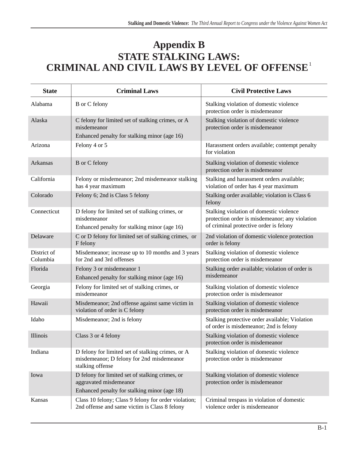| <b>State</b>            | <b>Criminal Laws</b>                                                                                                      | <b>Civil Protective Laws</b>                                                                                                        |
|-------------------------|---------------------------------------------------------------------------------------------------------------------------|-------------------------------------------------------------------------------------------------------------------------------------|
| Alabama                 | <b>B</b> or C felony                                                                                                      | Stalking violation of domestic violence<br>protection order is misdemeanor                                                          |
| Alaska                  | C felony for limited set of stalking crimes, or A<br>misdemeanor<br>Enhanced penalty for stalking minor (age 16)          | Stalking violation of domestic violence<br>protection order is misdemeanor                                                          |
| Arizona                 | Felony 4 or 5                                                                                                             | Harassment orders available; contempt penalty<br>for violation                                                                      |
| Arkansas                | <b>B</b> or C felony                                                                                                      | Stalking violation of domestic violence<br>protection order is misdemeanor                                                          |
| California              | Felony or misdemeanor; 2nd misdemeanor stalking<br>has 4 year maximum                                                     | Stalking and harassment orders available;<br>violation of order has 4 year maximum                                                  |
| Colorado                | Felony 6; 2nd is Class 5 felony                                                                                           | Stalking order available; violation is Class 6<br>felony                                                                            |
| Connecticut             | D felony for limited set of stalking crimes, or<br>misdemeanor<br>Enhanced penalty for stalking minor (age 16)            | Stalking violation of domestic violence<br>protection order is misdemeanor; any violation<br>of criminal protective order is felony |
| Delaware                | C or D felony for limited set of stalking crimes, or<br>F felony                                                          | 2nd violation of domestic violence protection<br>order is felony                                                                    |
| District of<br>Columbia | Misdemeanor; increase up to 10 months and 3 years<br>for 2nd and 3rd offenses                                             | Stalking violation of domestic violence<br>protection order is misdemeanor                                                          |
| Florida                 | Felony 3 or misdemeanor 1<br>Enhanced penalty for stalking minor (age 16)                                                 | Stalking order available; violation of order is<br>misdemeanor                                                                      |
| Georgia                 | Felony for limited set of stalking crimes, or<br>misdemeanor                                                              | Stalking violation of domestic violence<br>protection order is misdemeanor                                                          |
| Hawaii                  | Misdemeanor; 2nd offense against same victim in<br>violation of order is C felony                                         | Stalking violation of domestic violence<br>protection order is misdemeanor                                                          |
| Idaho                   | Misdemeanor; 2nd is felony                                                                                                | Stalking protective order available; Violation<br>of order is misdemeanor; 2nd is felony                                            |
| Illinois                | Class 3 or 4 felony                                                                                                       | Stalking violation of domestic violence<br>protection order is misdemeanor                                                          |
| Indiana                 | D felony for limited set of stalking crimes, or A<br>misdemeanor; D felony for 2nd misdemeanor<br>stalking offense        | Stalking violation of domestic violence<br>protection order is misdemeanor                                                          |
| Iowa                    | D felony for limited set of stalking crimes, or<br>aggravated misdemeanor<br>Enhanced penalty for stalking minor (age 18) | Stalking violation of domestic violence<br>protection order is misdemeanor                                                          |
| Kansas                  | Class 10 felony; Class 9 felony for order violation;<br>2nd offense and same victim is Class 8 felony                     | Criminal trespass in violation of domestic<br>violence order is misdemeanor                                                         |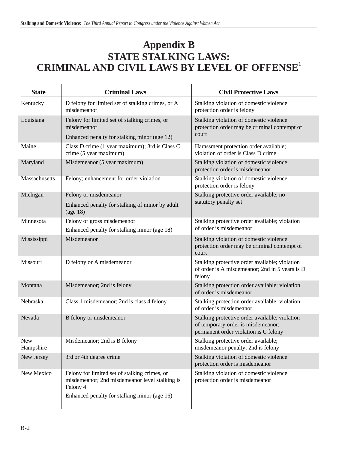| <b>State</b>     | <b>Criminal Laws</b>                                                                                        | <b>Civil Protective Laws</b>                                                                                                  |
|------------------|-------------------------------------------------------------------------------------------------------------|-------------------------------------------------------------------------------------------------------------------------------|
| Kentucky         | D felony for limited set of stalking crimes, or A<br>misdemeanor                                            | Stalking violation of domestic violence<br>protection order is felony                                                         |
| Louisiana        | Felony for limited set of stalking crimes, or<br>misdemeanor                                                | Stalking violation of domestic violence<br>protection order may be criminal contempt of<br>court                              |
|                  | Enhanced penalty for stalking minor (age 12)                                                                |                                                                                                                               |
| Maine            | Class D crime (1 year maximum); 3rd is Class C<br>crime (5 year maximum)                                    | Harassment protection order available;<br>violation of order is Class D crime                                                 |
| Maryland         | Misdemeanor (5 year maximum)                                                                                | Stalking violation of domestic violence<br>protection order is misdemeanor                                                    |
| Massachusetts    | Felony; enhancement for order violation                                                                     | Stalking violation of domestic violence<br>protection order is felony                                                         |
| Michigan         | Felony or misdemeanor                                                                                       | Stalking protective order available; no                                                                                       |
|                  | Enhanced penalty for stalking of minor by adult<br>(age 18)                                                 | statutory penalty set                                                                                                         |
| Minnesota        | Felony or gross misdemeanor                                                                                 | Stalking protective order available; violation                                                                                |
|                  | Enhanced penalty for stalking minor (age 18)                                                                | of order is misdemeanor                                                                                                       |
| Mississippi      | Misdemeanor                                                                                                 | Stalking violation of domestic violence<br>protection order may be criminal contempt of<br>court                              |
| Missouri         | D felony or A misdemeanor                                                                                   | Stalking protective order available; violation<br>of order is A misdemeanor; 2nd in 5 years is D<br>felony                    |
| Montana          | Misdemeanor; 2nd is felony                                                                                  | Stalking protection order available; violation<br>of order is misdemeanor                                                     |
| Nebraska         | Class 1 misdemeanor; 2nd is class 4 felony                                                                  | Stalking protection order available; violation<br>of order is misdemeanor                                                     |
| Nevada           | B felony or misdemeanor                                                                                     | Stalking protective order available; violation<br>of temporary order is misdemeanor;<br>permanent order violation is C felony |
| New<br>Hampshire | Misdemeanor; 2nd is B felony                                                                                | Stalking protective order available;<br>misdemeanor penalty; 2nd is felony                                                    |
| New Jersey       | 3rd or 4th degree crime                                                                                     | Stalking violation of domestic violence<br>protection order is misdemeanor                                                    |
| New Mexico       | Felony for limited set of stalking crimes, or<br>misdemeanor; 2nd misdemeanor level stalking is<br>Felony 4 | Stalking violation of domestic violence<br>protection order is misdemeanor                                                    |
|                  | Enhanced penalty for stalking minor (age 16)                                                                |                                                                                                                               |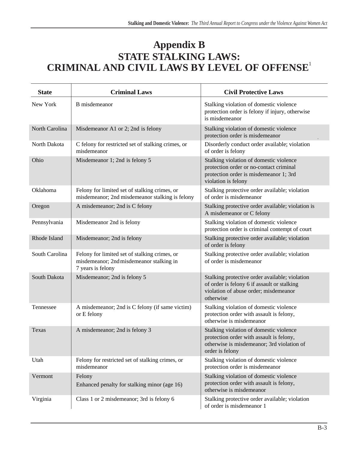| <b>State</b>   | <b>Criminal Laws</b>                                                                                           | <b>Civil Protective Laws</b>                                                                                                                         |
|----------------|----------------------------------------------------------------------------------------------------------------|------------------------------------------------------------------------------------------------------------------------------------------------------|
| New York       | B misdemeanor                                                                                                  | Stalking violation of domestic violence<br>protection order is felony if injury, otherwise<br>is misdemeanor                                         |
| North Carolina | Misdemeanor A1 or 2; 2nd is felony                                                                             | Stalking violation of domestic violence<br>protection order is misdemeanor                                                                           |
| North Dakota   | C felony for restricted set of stalking crimes, or<br>misdemeanor                                              | Disorderly conduct order available; violation<br>of order is felony                                                                                  |
| Ohio           | Misdemeanor 1; 2nd is felony 5                                                                                 | Stalking violation of domestic violence<br>protection order or no-contact criminal<br>protection order is misdemeanor 1; 3rd<br>violation is felony  |
| Oklahoma       | Felony for limited set of stalking crimes, or<br>misdemeanor; 2nd misdemeanor stalking is felony               | Stalking protective order available; violation<br>of order is misdemeanor                                                                            |
| Oregon         | A misdemeanor; 2nd is C felony                                                                                 | Stalking protective order available; violation is<br>A misdemeanor or C felony                                                                       |
| Pennsylvania   | Misdemeanor 2nd is felony                                                                                      | Stalking violation of domestic violence<br>protection order is criminal contempt of court                                                            |
| Rhode Island   | Misdemeanor; 2nd is felony                                                                                     | Stalking protective order available; violation<br>of order is felony                                                                                 |
| South Carolina | Felony for limited set of stalking crimes, or<br>misdemeanor; 2nd misdemeanor stalking in<br>7 years is felony | Stalking protective order available; violation<br>of order is misdemeanor                                                                            |
| South Dakota   | Misdemeanor; 2nd is felony 5                                                                                   | Stalking protective order available; violation<br>of order is felony 6 if assault or stalking<br>violation of abuse order; misdemeanor<br>otherwise  |
| Tennessee      | A misdemeanor; 2nd is C felony (if same victim)<br>or E felony                                                 | Stalking violation of domestic violence<br>protection order with assault is felony,<br>otherwise is misdemeanor                                      |
| Texas          | A misdemeanor; 2nd is felony 3                                                                                 | Stalking violation of domestic violence<br>protection order with assault is felony,<br>otherwise is misdemeanor; 3rd violation of<br>order is felony |
| Utah           | Felony for restricted set of stalking crimes, or<br>misdemeanor                                                | Stalking violation of domestic violence<br>protection order is misdemeanor                                                                           |
| Vermont        | Felony<br>Enhanced penalty for stalking minor (age 16)                                                         | Stalking violation of domestic violence<br>protection order with assault is felony,<br>otherwise is misdemeanor                                      |
| Virginia       | Class 1 or 2 misdemeanor; 3rd is felony 6                                                                      | Stalking protective order available; violation<br>of order is misdemeanor 1                                                                          |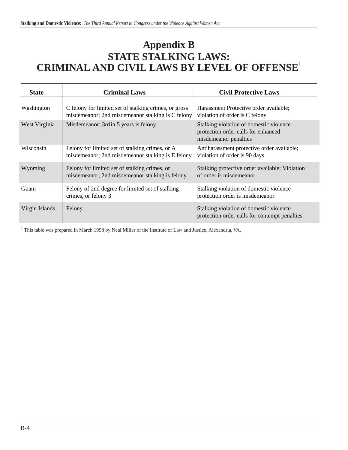| <b>State</b>   | <b>Criminal Laws</b>                                                                                       | <b>Civil Protective Laws</b>                                                                            |
|----------------|------------------------------------------------------------------------------------------------------------|---------------------------------------------------------------------------------------------------------|
| Washington     | C felony for limited set of stalking crimes, or gross<br>misdemeanor; 2nd misdemeanor stalking is C felony | Harassment Protective order available;<br>violation of order is C felony                                |
| West Virginia  | Misdemeanor; 3rd in 5 years is felony                                                                      | Stalking violation of domestic violence<br>protection order calls for enhanced<br>misdemeanor penalties |
| Wisconsin      | Felony for limited set of stalking crimes, or A<br>misdemeanor; 2nd misdemeanor stalking is E felony       | Antiharassment protective order available;<br>violation of order is 90 days                             |
| Wyoming        | Felony for limited set of stalking crimes, or<br>misdemeanor; 2nd misdemeanor stalking is felony           | Stalking protective order available; Violation<br>of order is misdemeanor                               |
| Guam           | Felony of 2nd degree for limited set of stalking<br>crimes, or felony 3                                    | Stalking violation of domestic violence<br>protection order is misdemeanor                              |
| Virgin Islands | Felony                                                                                                     | Stalking violation of domestic violence<br>protection order calls for contempt penalties                |

<sup>1</sup> This table was prepared in March 1998 by Neal Miller of the Institute of Law and Justice, Alexandria, VA.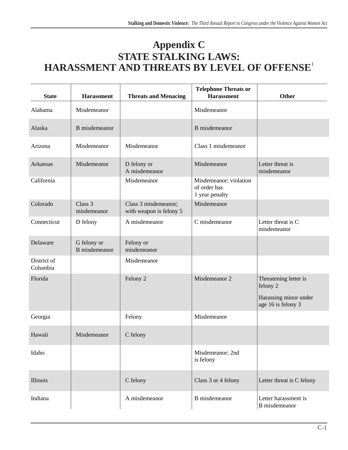| <b>State</b>            | <b>Harassment</b>                   | <b>Threats and Menacing</b>                     | <b>Telephone Threats or</b><br><b>Harassment</b>         | Other                                        |
|-------------------------|-------------------------------------|-------------------------------------------------|----------------------------------------------------------|----------------------------------------------|
| Alabama                 | Misdemeanor                         |                                                 | Misdemeanor                                              |                                              |
| Alaska                  | <b>B</b> misdemeanor                |                                                 | <b>B</b> misdemeanor                                     |                                              |
| Arizona                 | Misdemeanor                         | Misdemeanor                                     | Class 1 misdemeanor                                      |                                              |
| <b>Arkansas</b>         | Misdemeanor                         | D felony or<br>A misdemeanor                    | Misdemeanor                                              | Letter threat is<br>misdemeanor              |
| California              |                                     | Misdemeanor                                     | Misdemeanor; violation<br>of order has<br>1 year penalty |                                              |
| Colorado                | Class 3<br>misdemeanor              | Class 3 misdemeanor;<br>with weapon is felony 5 | Misdemeanor                                              |                                              |
| Connecticut             | D felony                            | A misdemeanor                                   | C misdemeanor                                            | Letter threat is C<br>misdemeanor            |
| Delaware                | G felony or<br><b>B</b> misdemeanor | Felony or<br>misdemeanor                        |                                                          |                                              |
| District of<br>Columbia |                                     | Misdemeanor                                     |                                                          |                                              |
| Florida                 |                                     | Felony <sub>2</sub>                             | Misdemeanor 2                                            | Threatening letter is<br>felony 2            |
|                         |                                     |                                                 |                                                          | Harassing minor under<br>age 16 is felony 3  |
| Georgia                 |                                     | Felony                                          | Misdemeanor                                              |                                              |
| Hawaii                  | Misdemeanor                         | C felony                                        |                                                          |                                              |
| Idaho                   |                                     |                                                 | Misdemeanor; 2nd<br>is felony                            |                                              |
| Illinois                |                                     | C felony                                        | Class 3 or 4 felony                                      | Letter threat is C felony                    |
| Indiana                 |                                     | A misdemeanor                                   | <b>B</b> misdemeanor                                     | Letter harassment is<br><b>B</b> misdemeanor |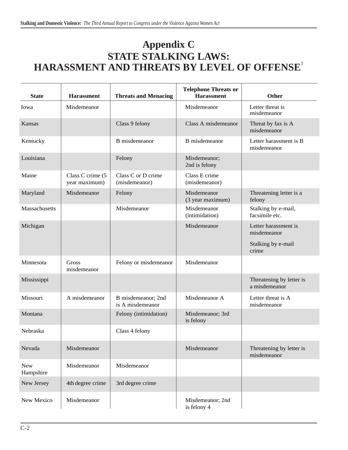| <b>State</b>            | <b>Harassment</b>                 | <b>Threats and Menacing</b>            | <b>Telephone Threats or</b><br><b>Harassment</b> | Other                                     |
|-------------------------|-----------------------------------|----------------------------------------|--------------------------------------------------|-------------------------------------------|
| Iowa                    | Misdemeanor                       |                                        | Misdemeanor                                      | Letter threat is<br>misdemeanor           |
| Kansas                  |                                   | Class 9 felony                         | Class A misdemeanor                              | Threat by fax is A<br>misdemeanor         |
| Kentucky                |                                   | B misdemeanor                          | <b>B</b> misdemeanor                             | Letter harassment is B<br>misdemeanor     |
| Louisiana               |                                   | Felony                                 | Misdemeanor;<br>2nd is felony                    |                                           |
| Maine                   | Class C crime (5<br>year maximum) | Class C or D crime<br>(misdemeanor)    | Class E crime<br>(misdemeanor)                   |                                           |
| Maryland                | Misdemeanor                       | Felony                                 | Misdemeanor<br>(3 year maximum)                  | Threatening letter is a<br>felony         |
| Massachusetts           |                                   | Misdemeanor                            | Misdemeanor<br>(intimidation)                    | Stalking by e-mail,<br>facsimile etc.     |
| Michigan                |                                   |                                        | Misdemeanor                                      | Letter harassment is<br>misdemeanor       |
|                         |                                   |                                        |                                                  | Stalking by e-mail<br>crime               |
| Minnesota               | <b>Gross</b><br>misdemeanor       | Felony or misdemeanor                  | Misdemeanor                                      |                                           |
| Mississippi             |                                   |                                        |                                                  | Threatening by letter is<br>a misdemeanor |
| Missouri                | A misdemeanor                     | B misdemeanor; 2nd<br>is A misdemeanor | Misdemeanor A                                    | Letter threat is A<br>misdemeanor         |
| Montana                 |                                   | Felony (intimidation)                  | Misdemeanor; 3rd<br>is felony                    |                                           |
| Nebraska                |                                   | Class 4 felony                         |                                                  |                                           |
| Nevada                  | Misdemeanor                       |                                        | Misdemeanor                                      | Threatening by letter is<br>misdemeanor   |
| <b>New</b><br>Hampshire | Misdemeanor                       | Misdemeanor                            |                                                  |                                           |
| New Jersey              | 4th degree crime                  | 3rd degree crime                       |                                                  |                                           |
| New Mexico              | Misdemeanor                       |                                        | Misdemeanor; 2nd<br>is felony 4                  |                                           |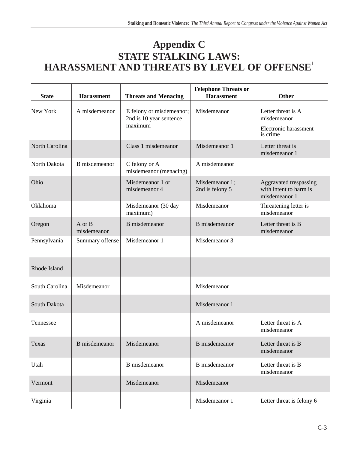| <b>State</b>   | <b>Harassment</b>     | <b>Threats and Menacing</b>                                    | <b>Telephone Threats or</b><br><b>Harassment</b> | <b>Other</b>                                                      |
|----------------|-----------------------|----------------------------------------------------------------|--------------------------------------------------|-------------------------------------------------------------------|
| New York       | A misdemeanor         | E felony or misdemeanor;<br>2nd is 10 year sentence<br>maximum | Misdemeanor                                      | Letter threat is A<br>misdemeanor                                 |
|                |                       |                                                                |                                                  | Electronic harassment<br>is crime                                 |
| North Carolina |                       | Class 1 misdemeanor                                            | Misdemeanor 1                                    | Letter threat is<br>misdemeanor 1                                 |
| North Dakota   | <b>B</b> misdemeanor  | C felony or A<br>misdemeanor (menacing)                        | A misdemeanor                                    |                                                                   |
| Ohio           |                       | Misdemeanor 1 or<br>misdemeanor 4                              | Misdemeanor 1;<br>2nd is felony 5                | Aggravated trespassing<br>with intent to harm is<br>misdemeanor 1 |
| Oklahoma       |                       | Misdemeanor (30 day<br>maximum)                                | Misdemeanor                                      | Threatening letter is<br>misdemeanor                              |
| Oregon         | A or B<br>misdemeanor | <b>B</b> misdemeanor                                           | <b>B</b> misdemeanor                             | Letter threat is B<br>misdemeanor                                 |
| Pennsylvania   | Summary offense       | Misdemeanor 1                                                  | Misdemeanor 3                                    |                                                                   |
| Rhode Island   |                       |                                                                |                                                  |                                                                   |
| South Carolina | Misdemeanor           |                                                                | Misdemeanor                                      |                                                                   |
| South Dakota   |                       |                                                                | Misdemeanor 1                                    |                                                                   |
| Tennessee      |                       |                                                                | A misdemeanor                                    | Letter threat is A<br>misdemeanor                                 |
| Texas          | <b>B</b> misdemeanor  | Misdemeanor                                                    | <b>B</b> misdemeanor                             | Letter threat is B<br>misdemeanor                                 |
| Utah           |                       | <b>B</b> misdemeanor                                           | <b>B</b> misdemeanor                             | Letter threat is B<br>misdemeanor                                 |
| Vermont        |                       | Misdemeanor                                                    | Misdemeanor                                      |                                                                   |
| Virginia       |                       |                                                                | Misdemeanor 1                                    | Letter threat is felony 6                                         |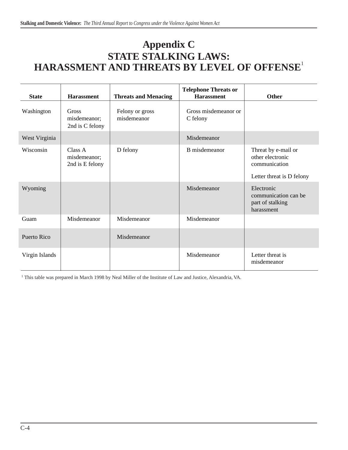| <b>State</b>   | <b>Harassment</b>                          | <b>Threats and Menacing</b>    | <b>Telephone Threats or</b><br><b>Harassment</b> | <b>Other</b>                                                         |
|----------------|--------------------------------------------|--------------------------------|--------------------------------------------------|----------------------------------------------------------------------|
| Washington     | Gross<br>misdemeanor;<br>2nd is C felony   | Felony or gross<br>misdemeanor | Gross misdemeanor or<br>C felony                 |                                                                      |
| West Virginia  |                                            |                                | Misdemeanor                                      |                                                                      |
| Wisconsin      | Class A<br>misdemeanor;<br>2nd is E felony | D felony                       | B misdemeanor                                    | Threat by e-mail or<br>other electronic<br>communication             |
|                |                                            |                                |                                                  | Letter threat is D felony                                            |
| Wyoming        |                                            |                                | Misdemeanor                                      | Electronic<br>communication can be<br>part of stalking<br>harassment |
| Guam           | Misdemeanor                                | Misdemeanor                    | Misdemeanor                                      |                                                                      |
| Puerto Rico    |                                            | Misdemeanor                    |                                                  |                                                                      |
| Virgin Islands |                                            |                                | Misdemeanor                                      | Letter threat is<br>misdemeanor                                      |

<sup>1</sup> This table was prepared in March 1998 by Neal Miller of the Institute of Law and Justice, Alexandria, VA.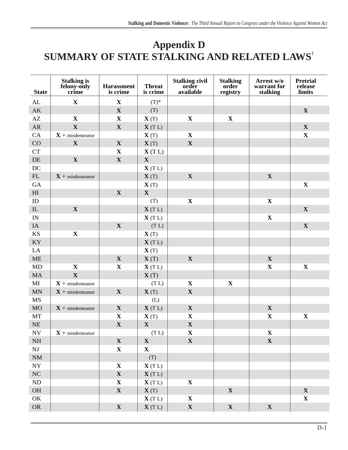## **Appendix D SUMMARY OF STATE STALKING AND RELATED LAWS**<sup>1</sup>

| <b>State</b>               | <b>Stalking is</b><br>felony-only<br>crime | <b>Harassment</b><br>is crime | <b>Threat</b><br>is crime            | <b>Stalking civil</b><br>order<br>available | <b>Stalking</b><br>order<br>registry | Arrest w/o<br>warrant for<br>stalking | <b>Pretrial</b><br>release<br>limits |
|----------------------------|--------------------------------------------|-------------------------------|--------------------------------------|---------------------------------------------|--------------------------------------|---------------------------------------|--------------------------------------|
| AL                         | $\mathbf X$                                | $\mathbf X$                   | $(T)^*$                              |                                             |                                      |                                       |                                      |
| $\mathbf{A}\mathbf{K}$     |                                            | $\mathbf X$                   | (T)                                  |                                             |                                      |                                       | $\mathbf{X}$                         |
| $\mathbf{A}\mathbf{Z}$     | $\mathbf X$                                | $\mathbf X$                   | $\mathbf{X}$ (T)                     | $\mathbf X$                                 | $\mathbf X$                          |                                       |                                      |
| ${\sf AR}$                 | $\mathbf{X}$                               | $\mathbf X$                   | $\mathbf{X}$ (T L)                   |                                             |                                      |                                       | $\boldsymbol{\mathrm{X}}$            |
| CA                         | $X + m$ isdemeanor                         |                               | $\mathbf{X}$ (T)                     | $\mathbf X$                                 |                                      |                                       | $\mathbf X$                          |
| CO                         | $\mathbf X$                                | $\mathbf X$                   | $\mathbf{X}$ (T)                     | $\mathbf X$                                 |                                      |                                       |                                      |
| CT                         |                                            | $\mathbf X$                   | $\mathbf{X}$ (T L)                   |                                             |                                      |                                       |                                      |
| $\rm{DE}$                  | $\mathbf X$                                | $\mathbf X$                   | $\mathbf X$                          |                                             |                                      |                                       |                                      |
| DC                         |                                            |                               | $\mathbf{X}$ (T L)                   |                                             |                                      |                                       |                                      |
| $\mathop{\rm FL}\nolimits$ | $X +$ misdemeanor                          |                               | $\mathbf{X}$ (T)                     | $\mathbf{X}$                                |                                      | $\mathbf X$                           |                                      |
| GA                         |                                            |                               | $\mathbf{X}$ (T)                     |                                             |                                      |                                       | $\mathbf X$                          |
| $\mathop{\rm HI}\nolimits$ |                                            | $\mathbf{X}$                  | $\mathbf X$                          |                                             |                                      |                                       |                                      |
| ID                         |                                            |                               | (T)                                  | $\mathbf X$                                 |                                      | $\mathbf X$                           |                                      |
| ${\rm IL}$                 | $\mathbf X$                                |                               | $\mathbf{X}$ (T L)                   |                                             |                                      |                                       | $\mathbf{X}$                         |
| $\ensuremath{\text{IN}}$   |                                            |                               | $\mathbf{X}$ (T L)                   |                                             |                                      | $\mathbf X$                           |                                      |
| IA                         |                                            | $\mathbf X$                   | (T L)                                |                                             |                                      |                                       | $\mathbf{X}$                         |
| $\mathbf{K}\mathbf{S}$     | $\mathbf X$                                |                               | $\mathbf{X}$ (T)                     |                                             |                                      |                                       |                                      |
| KY                         |                                            |                               | $\mathbf{X}$ (T L)                   |                                             |                                      |                                       |                                      |
| LA                         |                                            |                               | $\mathbf{X}$ (T)                     |                                             |                                      |                                       |                                      |
| $\rm ME$                   |                                            | $\mathbf X$                   | $\mathbf{X}$ (T)                     | $\mathbf X$                                 |                                      | $\mathbf X$                           |                                      |
| <b>MD</b>                  | $\mathbf X$                                | $\mathbf X$                   | $\mathbf{X}$ (T L)                   |                                             |                                      | $\mathbf X$                           | $\mathbf X$                          |
| $\rm MA$                   | $\mathbf X$                                |                               | $\mathbf{X}$ (T)                     |                                             |                                      |                                       |                                      |
| MI                         | $X + m$ isdemeanor                         |                               | (T L)                                | $\mathbf X$                                 | $\mathbf X$                          |                                       |                                      |
| MN                         | $X +$ misdemeanor                          | $\mathbf X$                   | $\mathbf{X}$ (T)                     | $\mathbf X$                                 |                                      |                                       |                                      |
| MS                         |                                            |                               | (L)                                  |                                             |                                      |                                       |                                      |
| <b>MO</b>                  | $X +$ misdemeanor                          | $\mathbf X$                   | X(TL)                                | $\mathbf X$                                 |                                      | $\mathbf X$                           |                                      |
| MT                         |                                            | $\mathbf X$                   | $\mathbf{X}\left( \mathrm{T}\right)$ | $\mathbf X$                                 |                                      | $\mathbf X$                           | $\mathbf X$                          |
| $\rm NE$                   |                                            | $\mathbf X$                   | $\mathbf X$                          | $\mathbf X$                                 |                                      |                                       |                                      |
| $\ensuremath{\text{NV}}$   | $X +$ misdemeanor                          |                               | (T L)                                | $\boldsymbol{\mathrm{X}}$                   |                                      | $\mathbf{X}$                          |                                      |
| $\rm NH$                   |                                            | $\mathbf X$                   | $\mathbf X$                          | $\mathbf X$                                 |                                      | $\mathbf X$                           |                                      |
| NJ                         |                                            | $\mathbf X$                   | $\mathbf X$                          |                                             |                                      |                                       |                                      |
| $\rm{NM}$                  |                                            |                               | (T)                                  |                                             |                                      |                                       |                                      |
| NY                         |                                            | $\mathbf X$                   | $\mathbf{X}$ (T L)                   |                                             |                                      |                                       |                                      |
| $\rm NC$                   |                                            | $\mathbf X$                   | $\mathbf{X}$ (T L)                   |                                             |                                      |                                       |                                      |
| $\rm ND$                   |                                            | $\mathbf X$                   | $\mathbf{X}$ (T L)                   | $\mathbf X$                                 |                                      |                                       |                                      |
| OH                         |                                            | $\mathbf X$                   | $\mathbf{X}$ (T)                     |                                             | $\mathbf X$                          |                                       | $\mathbf{X}$                         |
| OK                         |                                            |                               | $\mathbf{X}$ (T L)                   | $\mathbf X$                                 |                                      |                                       | $\mathbf X$                          |
| ${\sf OR}$                 |                                            | $\mathbf X$                   | $\mathbf{X}$ (T L)                   | $\mathbf X$                                 | $\mathbf X$                          | $\mathbf X$                           |                                      |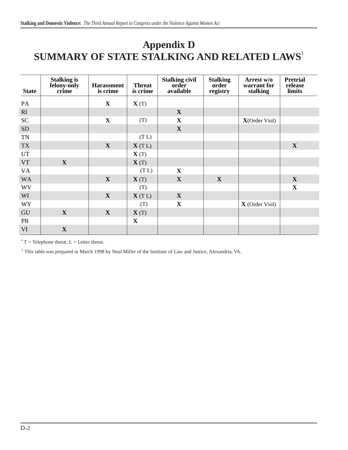## **Appendix D SUMMARY OF STATE STALKING AND RELATED LAWS**<sup>1</sup>

| <b>State</b> | <b>Stalking is</b><br>felony-only<br>crime | <b>Harassment</b><br>is crime | <b>Threat</b><br>is crime | <b>Stalking civil</b><br>order<br>available | <b>Stalking</b><br>order<br>registry | Arrest w/o<br>warrant for<br>stalking | <b>Pretrial</b><br>release<br>limits |
|--------------|--------------------------------------------|-------------------------------|---------------------------|---------------------------------------------|--------------------------------------|---------------------------------------|--------------------------------------|
| PA           |                                            | $\mathbf X$                   | $\mathbf{X}$ (T)          |                                             |                                      |                                       |                                      |
| RI           |                                            |                               |                           | $\mathbf X$                                 |                                      |                                       |                                      |
| <b>SC</b>    |                                            | $\mathbf{X}$                  | (T)                       | $\mathbf X$                                 |                                      | $X$ (Order Viol)                      |                                      |
| <b>SD</b>    |                                            |                               |                           | $\mathbf X$                                 |                                      |                                       |                                      |
| TN           |                                            |                               | (T L)                     |                                             |                                      |                                       |                                      |
| <b>TX</b>    |                                            | $\mathbf X$                   | X(TL)                     |                                             |                                      |                                       | $\mathbf X$                          |
| UT           |                                            |                               | $\mathbf{X}$ (T)          |                                             |                                      |                                       |                                      |
| <b>VT</b>    | $\mathbf X$                                |                               | $\mathbf{X}$ (T)          |                                             |                                      |                                       |                                      |
| VA           |                                            |                               | (T L)                     | $\mathbf X$                                 |                                      |                                       |                                      |
| <b>WA</b>    |                                            | $\mathbf{X}$                  | $\mathbf{X}$ (T)          | $\mathbf X$                                 | $\mathbf{X}$                         |                                       | $\mathbf X$                          |
| <b>WV</b>    |                                            |                               | (T)                       |                                             |                                      |                                       | $\mathbf X$                          |
| WI           |                                            | $\mathbf{X}$                  | $\mathbf{X}$ (T L)        | $\mathbf{X}$                                |                                      |                                       |                                      |
| <b>WY</b>    |                                            |                               | (T)                       | $\mathbf X$                                 |                                      | $\mathbf X$ (Order Viol)              |                                      |
| ${\rm GU}$   | $\mathbf{X}$                               | $\mathbf X$                   | $\mathbf{X}$ (T)          |                                             |                                      |                                       |                                      |
| PR           |                                            |                               | $\mathbf X$               |                                             |                                      |                                       |                                      |
| VI           | $\mathbf X$                                |                               |                           |                                             |                                      |                                       |                                      |

 $*$  T = Telephone threat; L = Letter threat.

<sup>1</sup> This table was prepared in March 1998 by Neal Miller of the Institute of Law and Justice, Alexandria, VA.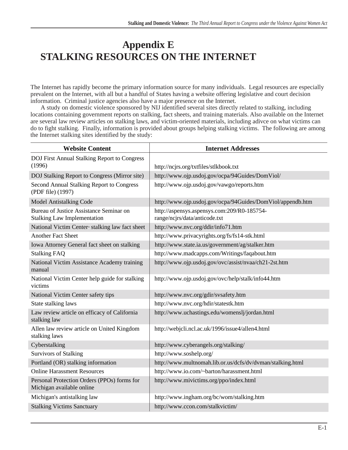## **Appendix E STALKING RESOURCES ON THE INTERNET**

The Internet has rapidly become the primary information source for many individuals. Legal resources are especially prevalent on the Internet, with all but a handful of States having a website offering legislative and court decision information. Criminal justice agencies also have a major presence on the Internet.

A study on domestic violence sponsored by NIJ identified several sites directly related to stalking, including locations containing government reports on stalking, fact sheets, and training materials. Also available on the Internet are several law review articles on stalking laws, and victim-oriented materials, including adivce on what victims can do to fight stalking. Finally, information is provided about groups helping stalking victims. The following are among the Internet stalking sites identified by the study:

| <b>Website Content</b>                                                        | <b>Internet Addresses</b>                                                    |
|-------------------------------------------------------------------------------|------------------------------------------------------------------------------|
| DOJ First Annual Stalking Report to Congress<br>(1996)                        | http://ncjrs.org/txtfiles/stlkbook.txt                                       |
| DOJ Stalking Report to Congress (Mirror site)                                 | http://www.ojp.usdoj.gov/ocpa/94Guides/DomViol/                              |
| Second Annual Stalking Report to Congress<br>(PDF file) (1997)                | http://www.ojp.usdoj.gov/vawgo/reports.htm                                   |
| <b>Model Antistalking Code</b>                                                | http://www.ojp.usdoj.gov/ocpa/94Guides/DomViol/appendb.htm                   |
| Bureau of Justice Assistance Seminar on<br><b>Stalking Law Implementation</b> | http://aspensys.aspensys.com:209/R0-185754-<br>range/ncjrs/data/anticode.txt |
| National Victim Center-stalking law fact sheet                                | http://www.nvc.org/ddir/info71.htm                                           |
| <b>Another Fact Sheet</b>                                                     | http://www.privacyrights.org/fs/fs14-stk.html                                |
| Iowa Attorney General fact sheet on stalking                                  | http://www.state.ia.us/government/ag/stalker.htm                             |
| <b>Stalking FAQ</b>                                                           | http://www.madcapps.com/Writings/faqabout.htm                                |
| National Victim Assistance Academy training<br>manual                         | http://www.ojp.usdoj.gov/ovc/assist/nvaa/ch21-2st.htm                        |
| National Victim Center help guide for stalking<br>victims                     | http://www.ojp.usdoj.gov/ovc/help/stalk/info44.htm                           |
| National Victim Center safety tips                                            | http://www.nvc.org/gdir/svsafety.htm                                         |
| State stalking laws                                                           | http://www.nvc.org/hdir/statestk.htm                                         |
| Law review article on efficacy of California<br>stalking law                  | http://www.uchastings.edu/womenslj/jordan.html                               |
| Allen law review article on United Kingdom<br>stalking laws                   | http://webjcli.ncl.ac.uk/1996/issue4/allen4.html                             |
| Cyberstalking                                                                 | http://www.cyberangels.org/stalking/                                         |
| <b>Survivors of Stalking</b>                                                  | http://www.soshelp.org/                                                      |
| Portland (OR) stalking information                                            | http://www.multnomah.lib.or.us/dcfs/dv/dvman/stalking.html                   |
| <b>Online Harassment Resources</b>                                            | http://www.io.com/~barton/harassment.html                                    |
| Personal Protection Orders (PPOs) forms for<br>Michigan available online      | http://www.mivictims.org/ppo/index.html                                      |
| Michigan's antistalking law                                                   | http://www.ingham.org/bc/wom/stalking.htm                                    |
| <b>Stalking Victims Sanctuary</b>                                             | http://www.ccon.com/stalkvictim/                                             |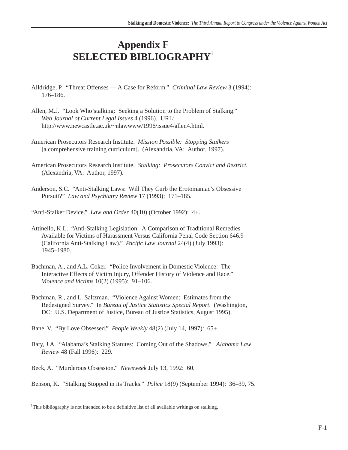### **Appendix F SELECTED BIBLIOGRAPHY**<sup>1</sup>

- Alldridge, P. "Threat Offenses A Case for Reform." *Criminal Law Review* 3 (1994): 176–186.
- Allen, M.J. "Look Who'stalking: Seeking a Solution to the Problem of Stalking." *Web Journal of Current Legal Issues* 4 (1996). URL: http://www.newcastle.ac.uk/~nlawwww/1996/issue4/allen4.html.
- American Prosecutors Research Institute. *Mission Possible: Stopping Stalkers*  [a comprehensive training curriculum]. (Alexandria, VA: Author, 1997).
- American Prosecutors Research Institute. *Stalking: Prosecutors Convict and Restrict.*  (Alexandria, VA: Author, 1997).
- Anderson, S.C. "Anti-Stalking Laws: Will They Curb the Erotomaniac's Obsessive Pursuit?" *Law and Psychiatry Review* 17 (1993): 171–185.
- "Anti-Stalker Device." *Law and Order* 40(10) (October 1992): 4+.
- Attinello, K.L. "Anti-Stalking Legislation: A Comparison of Traditional Remedies Available for Victims of Harassment Versus California Penal Code Section 646.9 (California Anti-Stalking Law)." *Pacific Law Journal* 24(4) (July 1993): 1945–1980.
- Bachman, A., and A.L. Coker. "Police Involvement in Domestic Violence: The Interactive Effects of Victim Injury, Offender History of Violence and Race." *Violence and Victims* 10(2) (1995): 91–106.
- Bachman, R., and L. Saltzman. "Violence Against Women: Estimates from the Redesigned Survey." In *Bureau of Justice Statistics Special Report*. (Washington, DC: U.S. Department of Justice, Bureau of Justice Statistics, August 1995).

Bane, V. "By Love Obsessed." *People Weekly* 48(2) (July 14, 1997): 65+.

Baty, J.A. "Alabama's Stalking Statutes: Coming Out of the Shadows." *Alabama Law Review* 48 (Fall 1996): 229.

Beck, A. "Murderous Obsession." *Newsweek* July 13, 1992: 60.

Benson, K. "Stalking Stopped in its Tracks." *Police* 18(9) (September 1994): 36–39, 75.

<sup>&</sup>lt;sup>1</sup>This bibliography is not intended to be a definitive list of all available writings on stalking.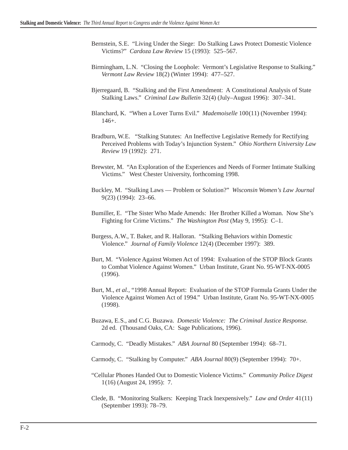- Bernstein, S.E. "Living Under the Siege: Do Stalking Laws Protect Domestic Violence Victims?" *Cardoza Law Review* 15 (1993): 525–567.
- Birmingham, L.N. "Closing the Loophole: Vermont's Legislative Response to Stalking." *Vermont Law Review* 18(2) (Winter 1994): 477–527.
- Bjerregaard, B. "Stalking and the First Amendment: A Constitutional Analysis of State Stalking Laws." *Criminal Law Bulletin* 32(4) (July–August 1996): 307–341.
- Blanchard, K. "When a Lover Turns Evil." *Mademoiselle* 100(11) (November 1994): 146+.
- Bradburn, W.E. "Stalking Statutes: An Ineffective Legislative Remedy for Rectifying Perceived Problems with Today's Injunction System." *Ohio Northern University Law Review* 19 (1992): 271.
- Brewster, M. "An Exploration of the Experiences and Needs of Former Intimate Stalking Victims." West Chester University, forthcoming 1998.
- Buckley, M. "Stalking Laws Problem or Solution?" *Wisconsin Women's Law Journal*  9(23) (1994): 23–66.
- Bumiller, E. "The Sister Who Made Amends: Her Brother Killed a Woman. Now She's Fighting for Crime Victims." *The Washington Post* (May 9, 1995): C–1.
- Burgess, A.W., T. Baker, and R. Halloran. "Stalking Behaviors within Domestic Violence." *Journal of Family Violence* 12(4) (December 1997): 389.
- Burt, M. "Violence Against Women Act of 1994: Evaluation of the STOP Block Grants to Combat Violence Against Women." Urban Institute, Grant No. 95-WT-NX-0005 (1996).
- Burt, M., *et al.*, "1998 Annual Report: Evaluation of the STOP Formula Grants Under the Violence Against Women Act of 1994." Urban Institute, Grant No. 95-WT-NX-0005 (1998).
- Buzawa, E.S., and C.G. Buzawa. *Domestic Violence: The Criminal Justice Response.*  2d ed. (Thousand Oaks, CA: Sage Publications, 1996).
- Carmody, C. "Deadly Mistakes." *ABA Journal* 80 (September 1994): 68–71.
- Carmody, C. "Stalking by Computer." *ABA Journal* 80(9) (September 1994): 70+.
- "Cellular Phones Handed Out to Domestic Violence Victims." *Community Police Digest*  1(16) (August 24, 1995): 7.
- Clede, B. "Monitoring Stalkers: Keeping Track Inexpensively." *Law and Order* 41(11) (September 1993): 78–79.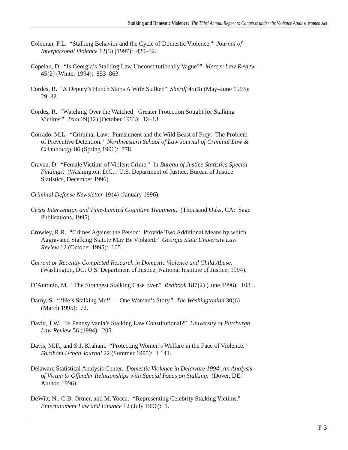- Coleman, F.L. "Stalking Behavior and the Cycle of Domestic Violence." *Journal of Interpersonal Violence* 12(3) (1997): 420–32.
- Copelan, D. "Is Georgia's Stalking Law Unconstitutionally Vague?" *Mercer Law Review*  45(2) (Winter 1994): 853–863.
- Cordes, R. "A Deputy's Hunch Stops A Wife Stalker." *Sheriff* 45(3) (May–June 1993): 29, 32.
- Cordes, R. "Watching Over the Watched: Greater Protection Sought for Stalking Victims." *Trial* 29(12) (October 1993): 12–13.
- Corrado, M.L. "Criminal Law: Punishment and the Wild Beast of Prey: The Problem of Preventive Detention." *Northwestern School of Law Journal of Criminal Law & Criminology* 86 (Spring 1996): 778.
- Craven, D. "Female Victims of Violent Crime." In *Bureau of Justice Statistics Special Findings.* (Washington, D.C.: U.S. Department of Justice, Bureau of Justice Statistics, December 1996).
- *Criminal Defense Newsletter* 19(4) (January 1996).
- *Crisis Intervention and Time-Limited Cognitive Treatment.* (Thousand Oaks, CA: Sage Publications, 1995).
- Crowley, R.R. "Crimes Against the Person: Provide Two Additional Means by which Aggravated Stalking Statute May Be Violated." *Georgia State University Law Review* 12 (October 1995): 105.
- *Current or Recently Completed Research in Domestic Violence and Child Abuse.*  (Washington, DC: U.S. Department of Justice, National Institute of Justice, 1994).
- D'Antonio, M. "The Strangest Stalking Case Ever." *Redbook* 187(2) (June 1996): 108+.
- Darny, S. " 'He's Stalking Me!' One Woman's Story." *The Washingtonian* 30(6) (March 1995): 72.
- David, J.W. "Is Pennsylvania's Stalking Law Constitutional?" *University of Pittsburgh Law Review* 56 (1994): 205.
- Davis, M.F., and S.J. Kraham. "Protecting Women's Welfare in the Face of Violence." *Fordham Urban Journal* 22 (Summer 1995): 1 141.
- Delaware Statistical Analysis Center. *Domestic Violence in Delaware 1994; An Analysis of Victim to Offender Relationships with Special Focus on Stalking.* (Dover, DE: Author, 1996).
- DeWitt, N., C.B. Ortner, and M. Yocca. "Representing Celebrity Stalking Victims." *Entertainment Law and Finance* 12 (July 1996): 1.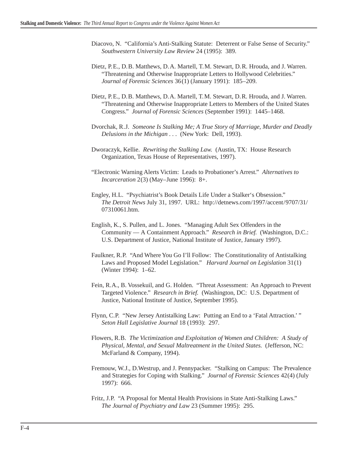- Diacovo, N. "California's Anti-Stalking Statute: Deterrent or False Sense of Security." *Southwestern University Law Review* 24 (1995): 389.
- Dietz, P.E., D.B. Matthews, D.A. Martell, T.M. Stewart, D.R. Hrouda, and J. Warren. "Threatening and Otherwise Inappropriate Letters to Hollywood Celebrities." *Journal of Forensic Sciences* 36(1) (January 1991): 185–209.
- Dietz, P.E., D.B. Matthews, D.A. Martell, T.M. Stewart, D.R. Hrouda, and J. Warren. "Threatening and Otherwise Inappropriate Letters to Members of the United States Congress." *Journal of Forensic Sciences* (September 1991): 1445–1468.
- Dvorchak, R.J. *Someone Is Stalking Me; A True Story of Marriage, Murder and Deadly Delusions in the Michigan . . .* (New York: Dell, 1993).
- Dworaczyk, Kellie. *Rewriting the Stalking Law.* (Austin, TX: House Research Organization, Texas House of Representatives, 1997).
- "Electronic Warning Alerts Victim: Leads to Probationer's Arrest." *Alternatives to Incarceration* 2(3) (May–June 1996): 8+.
- Engley, H.L. "Psychiatrist's Book Details Life Under a Stalker's Obsession." *The Detroit News* July 31, 1997. URL: http://detnews.com/1997/accent/9707/31/ 07310061.htm.
- English, K., S. Pullen, and L. Jones. "Managing Adult Sex Offenders in the Community — A Containment Approach." *Research in Brief.* (Washington, D.C.: U.S. Department of Justice, National Institute of Justice, January 1997).
- Faulkner, R.P. "And Where You Go I'll Follow: The Constitutionality of Antistalking Laws and Proposed Model Legislation." *Harvard Journal on Legislation* 31(1) (Winter 1994): 1–62.
- Fein, R.A., B. Vossekuil, and G. Holden. "Threat Assessment: An Approach to Prevent Targeted Violence." *Research in Brief.* (Washington, DC: U.S. Department of Justice, National Institute of Justice, September 1995).
- Flynn, C.P. "New Jersey Antistalking Law: Putting an End to a 'Fatal Attraction.' " *Seton Hall Legislative Journal* 18 (1993): 297.
- Flowers, R.B. *The Victimization and Exploitation of Women and Children: A Study of Physical, Mental, and Sexual Maltreatment in the United States.* (Jefferson, NC: McFarland & Company, 1994).
- Fremouw, W.J., D.Westrup, and J. Pennypacker. "Stalking on Campus: The Prevalence and Strategies for Coping with Stalking." *Journal of Forensic Sciences* 42(4) (July 1997): 666.
- Fritz, J.P. "A Proposal for Mental Health Provisions in State Anti-Stalking Laws." *The Journal of Psychiatry and Law* 23 (Summer 1995): 295.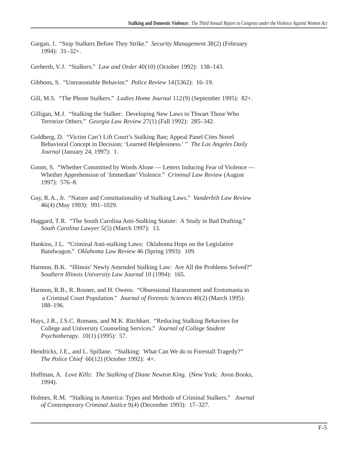- Gargan, J. "Stop Stalkers Before They Strike." *Security Management* 38(2) (February 1994): 31–32+.
- Gerberth, V.J. "Stalkers." *Law and Order* 40(10) (October 1992): 138–143.
- Gibbons, S. "Unreasonable Behavior." *Police Review* 14(5362): 16–19.
- Gill, M.S. "The Phone Stalkers." *Ladies Home Journal* 112(9) (September 1995): 82+.
- Gilligan, M.J. "Stalking the Stalker: Developing New Laws to Thwart Those Who Terrorize Others." *Georgia Law Review* 27(1) (Fall 1992): 285–342.
- Goldberg, D. "Victim Can't Lift Court's Stalking Ban; Appeal Panel Cites Novel Behavioral Concept in Decision; 'Learned Helplessness.' " *The Los Angeles Daily Journal* (January 24, 1997): 1.
- Goom, S. "Whether Committed by Words Alone Letters Inducing Fear of Violence Whether Apprehension of 'Immediate' Violence." *Criminal Law Review* (August 1997): 576–8.
- Guy, R.A., Jr. "Nature and Constitutionality of Stalking Laws." *Vanderbilt Law Review*  46(4) (May 1993): 991–1029.
- Haggard, T.R. "The South Carolina Anti-Stalking Statute: A Study in Bad Drafting." *South Carolina Lawyer* 5(5) (March 1997): 13.
- Hankins, J.L. "Criminal Anti-stalking Laws: Oklahoma Hops on the Legislative Bandwagon." *Oklahoma Law Review* 46 (Spring 1993): 109.
- Harmon, B.K. "Illinois' Newly Amended Stalking Law: Are All the Problems Solved?" *Southern Illinois University Law Journal* 10 (1994): 165.
- Harmon, R.B., R. Rosner, and H. Owens. "Obsessional Harassment and Erotomania in a Criminal Court Population." *Journal of Forensic Sciences* 40(2) (March 1995): 188–196.
- Hays, J.R., J.S.C. Romans, and M.K. Ritchhart. "Reducing Stalking Behaviors for College and University Counseling Services." *Journal of College Student Psychotherapy.* 10(1) (1995): 57.
- Hendricks, J.E., and L. Spillane. "Stalking: What Can We do to Forestall Tragedy?" *The Police Chief* 60(12) (October 1992): 4+.
- Hoffman, A. *Love Kills: The Stalking of Diane Newton King.* (New York: Avon Books, 1994).
- Holmes, R.M. "Stalking in America: Types and Methods of Criminal Stalkers." *Journal of Contemporary Criminal Justice* 9(4) (December 1993): 17–327.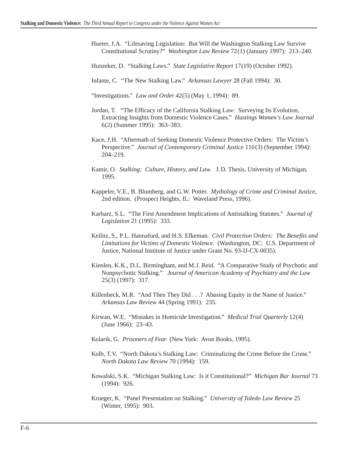- Hueter, J.A. "Lifesaving Legislation: But Will the Washington Stalking Law Survive Constitutional Scrutiny?" *Washington Law Review* 72(1) (January 1997): 213–240.
- Hunzeker, D. "Stalking Laws." *State Legislative Report* 17(19) (October 1992).
- Infante, C. "The New Stalking Law." *Arkansas Lawyer* 28 (Fall 1994): 30.

"Investigations." *Law and Order* 42(5) (May 1, 1994): 89.

- Jordan, T. "The Efficacy of the California Stalking Law: Surveying Its Evolution, Extracting Insights from Domestic Violence Cases." *Hastings Women's Law Journal*  6(2) (Summer 1995): 363–383.
- Kace, J.H. "Aftermath of Seeking Domestic Violence Protective Orders: The Victim's Perspective." *Journal of Contemporary Criminal Justice* 110(3) (September 1994): 204–219.
- Kamir, O. *Stalking: Culture, History, and Law.* J.D. Thesis, University of Michigan, 1995.
- Kappeler, V.E., B. Blumberg, and G.W. Potter. *Mythology of Crime and Criminal Justice,*  2nd edition. (Prospect Heights, IL: Waveland Press, 1996).
- Karbarz, S.L. "The First Amendment Implications of Antistalking Statutes." *Journal of Legislation* 21 (1995): 333.
- Keilitz, S., P.L. Hannaford, and H.S. Efkeman. *Civil Protection Orders: The Benefits and Limitations for Victims of Domestic Violence.* (Washington, DC: U.S. Department of Justice, National Institute of Justice under Grant No. 93-IJ-CX-0035).
- Kienlen, K.K., D.L. Birmingham, and M.J. Reid. "A Comparative Study of Psychotic and Nonpsychotic Stalking." *Journal of American Academy of Psychiatry and the Law*  25(3) (1997): 317.
- Killenbeck, M.R. "And Then They Did . . .? Abusing Equity in the Name of Justice." *Arkansas Law Review* 44 (Spring 1991): 235.
- Kirwan, W.E. "Mistakes in Homicide Investigation." *Medical Trial Quarterly* 12(4) (June 1966): 23–43.
- Kolarik, G. *Prisoners of Fear* (New York: Avon Books, 1995).
- Kolb, T.V. "North Dakota's Stalking Law: Criminalizing the Crime Before the Crime." *North Dakota Law Review* 70 (1994): 159.
- Kowalski, S.K. "Michigan Stalking Law: Is it Constitutional?" *Michigan Bar Journal* 73 (1994): 926.
- Krueger, K. "Panel Presentation on Stalking." *University of Toledo Law Review* 25 (Winter, 1995): 903.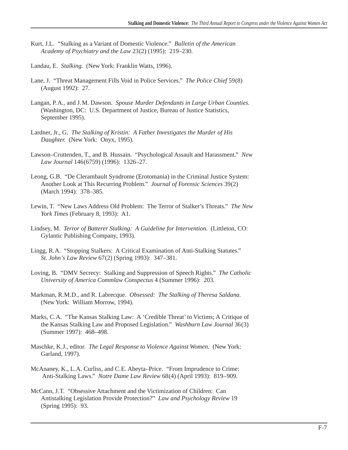- Kurt, J.L. "Stalking as a Variant of Domestic Violence." *Bulletin of the American Academy of Psychiatry and the Law* 23(2) (1995): 219–230.
- Landau, E. *Stalking.* (New York: Franklin Watts, 1996).
- Lane, J. "Threat Management Fills Void in Police Services." *The Police Chief* 59(8) (August 1992): 27.
- Langan, P.A., and J.M. Dawson. *Spouse Murder Defendants in Large Urban Counties.*  (Washington, DC: U.S. Department of Justice, Bureau of Justice Statistics, September 1995).
- Lardner, Jr., G. *The Stalking of Kristin: A Father Investigates the Murder of His Daughter.* (New York: Onyx, 1995).
- Lawson–Cruttenden, T., and B. Hussain. "Psychological Assault and Harassment." *New Law Journal* 146(6759) (1996): 1326–27.
- Leong, G.B. "De Clerambault Syndrome (Erotomania) in the Criminal Justice System: Another Look at This Recurring Problem." *Journal of Forensic Sciences* 39(2) (March 1994): 378–385.
- Lewin, T. "New Laws Address Old Problem: The Terror of Stalker's Threats." *The New York Times* (February 8, 1993): A1.
- Lindsey, M. *Terror of Batterer Stalking: A Guideline for Intervention.* (Littleton, CO: Gylantic Publishing Company, 1993).
- Lingg, R.A. "Stopping Stalkers: A Critical Examination of Anti-Stalking Statutes." *St. John's Law Review* 67(2) (Spring 1993): 347–381.
- Loving, B. "DMV Secrecy: Stalking and Suppression of Speech Rights." *The Catholic University of America Commlaw Conspectus* 4 (Summer 1996): 203.
- Markman, R.M.D., and R. Labrecque. *Obsessed: The Stalking of Theresa Saldana.*  (New York: William Morrow, 1994).
- Marks, C.A. "The Kansas Stalking Law: A 'Credible Threat' to Victims; A Critique of the Kansas Stalking Law and Proposed Legislation." *Washburn Law Journal* 36(3) (Summer 1997): 468–498.
- Maschke, K.J., editor. *The Legal Response to Violence Against Women.* (New York: Garland, 1997).
- McAnaney, K., L.A. Curliss, and C.E. Abeyta–Price. "From Imprudence to Crime: Anti-Stalking Laws." *Notre Dame Law Review* 68(4) (April 1993): 819–909.
- McCann, J.T. "Obsessive Attachment and the Victimization of Children: Can Antistalking Legislation Provide Protection?" *Law and Psychology Review* 19 (Spring 1995): 93.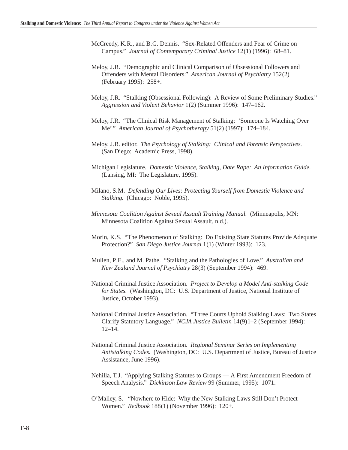- McCreedy, K.R., and B.G. Dennis. "Sex-Related Offenders and Fear of Crime on Campus." *Journal of Contemporary Criminal Justice* 12(1) (1996): 68–81.
- Meloy, J.R. "Demographic and Clinical Comparison of Obsessional Followers and Offenders with Mental Disorders." *American Journal of Psychiatry* 152(2) (February 1995): 258+.
- Meloy, J.R. "Stalking (Obsessional Following): A Review of Some Preliminary Studies." *Aggression and Violent Behavior* 1(2) (Summer 1996): 147–162.
- Meloy, J.R. "The Clinical Risk Management of Stalking: 'Someone Is Watching Over Me' " *American Journal of Psychotherapy* 51(2) (1997): 174–184.
- Meloy, J.R. editor. *The Psychology of Stalking: Clinical and Forensic Perspectives.*  (San Diego: Academic Press, 1998).
- Michigan Legislature. *Domestic Violence, Stalking, Date Rape: An Information Guide.*  (Lansing, MI: The Legislature, 1995).
- Milano, S.M. *Defending Our Lives: Protecting Yourself from Domestic Violence and Stalking.* (Chicago: Noble, 1995).
- *Minnesota Coalition Against Sexual Assault Training Manual.* (Minneapolis, MN: Minnesota Coalition Against Sexual Assault, n.d.).
- Morin, K.S. "The Phenomenon of Stalking: Do Existing State Statutes Provide Adequate Protection?" *San Diego Justice Journal* 1(1) (Winter 1993): 123.
- Mullen, P. E., and M. Pathe. "Stalking and the Pathologies of Love." *Australian and New Zealand Journal of Psychiatry* 28(3) (September 1994): 469.
- National Criminal Justice Association. *Project to Develop a Model Anti-stalking Code for States.* (Washington, DC: U.S. Department of Justice, National Institute of Justice, October 1993).
- National Criminal Justice Association. "Three Courts Uphold Stalking Laws: Two States Clarify Statutory Language." *NCJA Justice Bulletin* 14(9)1–2 (September 1994): 12–14.
- National Criminal Justice Association. *Regional Seminar Series on Implementing Antistalking Codes.* (Washington, DC: U.S. Department of Justice, Bureau of Justice Assistance, June 1996).
- Nehilla, T.J. "Applying Stalking Statutes to Groups A First Amendment Freedom of Speech Analysis." *Dickinson Law Review* 99 (Summer, 1995): 1071.
- O'Malley, S. "Nowhere to Hide: Why the New Stalking Laws Still Don't Protect Women." *Redbook* 188(1) (November 1996): 120+.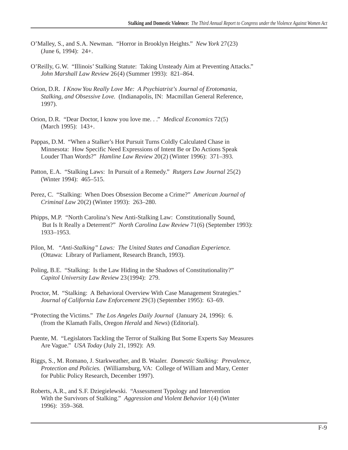- O'Malley, S., and S.A. Newman. "Horror in Brooklyn Heights." *New York* 27(23) (June 6, 1994): 24+.
- O'Reilly, G.W. "Illinois' Stalking Statute: Taking Unsteady Aim at Preventing Attacks." *John Marshall Law Review* 26(4) (Summer 1993): 821–864.
- Orion, D.R. *I Know You Really Love Me: A Psychiatrist's Journal of Erotomania, Stalking, and Obsessive Love.* (Indianapolis, IN: Macmillan General Reference, 1997).
- Orion, D.R. "Dear Doctor, I know you love me. . ." *Medical Economics* 72(5) (March 1995): 143+.
- Pappas, D.M. "When a Stalker's Hot Pursuit Turns Coldly Calculated Chase in Minnesota: How Specific Need Expressions of Intent Be or Do Actions Speak Louder Than Words?" *Hamline Law Review* 20(2) (Winter 1996): 371–393.
- Patton, E.A. "Stalking Laws: In Pursuit of a Remedy." *Rutgers Law Journal* 25(2) (Winter 1994): 465–515.
- Perez, C. "Stalking: When Does Obsession Become a Crime?" *American Journal of Criminal Law* 20(2) (Winter 1993): 263–280.
- Phipps, M.P. "North Carolina's New Anti-Stalking Law: Constitutionally Sound, But Is It Really a Deterrent?" *North Carolina Law Review* 71(6) (September 1993): 1933–1953.
- Pilon, M. "*Anti-Stalking" Laws: The United States and Canadian Experience.*  (Ottawa: Library of Parliament, Research Branch, 1993).
- Poling, B.E. "Stalking: Is the Law Hiding in the Shadows of Constitutionality?" *Capitol University Law Review* 23(1994): 279.
- Proctor, M. "Stalking: A Behavioral Overview With Case Management Strategies." *Journal of California Law Enforcement* 29(3) (September 1995): 63–69.
- "Protecting the Victims." *The Los Angeles Daily Journal* (January 24, 1996): 6. (from the Klamath Falls, Oregon *Herald* and *News*) (Editorial).
- Puente, M. "Legislators Tackling the Terror of Stalking But Some Experts Say Measures Are Vague." *USA Today* (July 21, 1992): A9.
- Riggs, S., M. Romano, J. Starkweather, and B. Waaler. *Domestic Stalking: Prevalence, Protection and Policies.* (Williamsburg, VA: College of William and Mary, Center for Public Policy Research, December 1997).
- Roberts, A.R., and S.F. Dziegielewski. "Assessment Typology and Intervention With the Survivors of Stalking." *Aggression and Violent Behavior* 1(4) (Winter 1996): 359–368.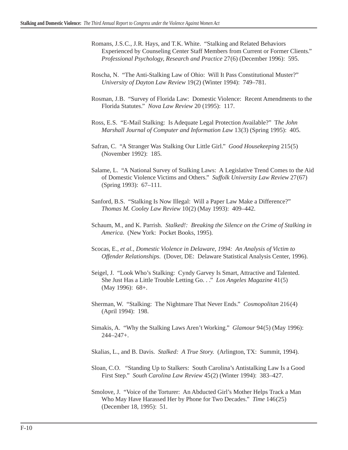- Romans, J.S.C., J.R. Hays, and T.K. White. "Stalking and Related Behaviors Experienced by Counseling Center Staff Members from Current or Former Clients." *Professional Psychology, Research and Practice* 27(6) (December 1996): 595.
- Roscha, N. "The Anti-Stalking Law of Ohio: Will It Pass Constitutional Muster?" *University of Dayton Law Review* 19(2) (Winter 1994): 749–781.
- Rosman, J.B. "Survey of Florida Law: Domestic Violence: Recent Amendments to the Florida Statutes." *Nova Law Review* 20 (1995): 117.
- Ross, E.S. "E-Mail Stalking: Is Adequate Legal Protection Available?" T*he John Marshall Journal of Computer and Information Law* 13(3) (Spring 1995): 405.
- Safran, C. "A Stranger Was Stalking Our Little Girl." *Good Housekeeping* 215(5) (November 1992): 185.
- Salame, L. "A National Survey of Stalking Laws: A Legislative Trend Comes to the Aid of Domestic Violence Victims and Others." *Suffolk University Law Review* 27(67) (Spring 1993): 67–111.
- Sanford, B.S. "Stalking Is Now Illegal: Will a Paper Law Make a Difference?" *Thomas M. Cooley Law Review* 10(2) (May 1993): 409–442.
- Schaum, M., and K. Parrish. *Stalked!: Breaking the Silence on the Crime of Stalking in America.* (New York: Pocket Books, 1995).
- Scocas, E., *et al.*, *Domestic Violence in Delaware, 1994: An Analysis of Victim to Offender Relationships.* (Dover, DE: Delaware Statistical Analysis Center, 1996).
- Seigel, J. "Look Who's Stalking: Cyndy Garvey Is Smart, Attractive and Talented. She Just Has a Little Trouble Letting Go. . ." *Los Angeles Magazine* 41(5) (May 1996): 68+.
- Sherman, W. "Stalking: The Nightmare That Never Ends." *Cosmopolitan* 216(4) (April 1994): 198.
- Simakis, A. "Why the Stalking Laws Aren't Working." *Glamour* 94(5) (May 1996): 244–247+.

Skalias, L., and B. Davis. *Stalked: A True Story.* (Arlington, TX: Summit, 1994).

- Sloan, C.O. "Standing Up to Stalkers: South Carolina's Antistalking Law Is a Good First Step." *South Carolina Law Review* 45(2) (Winter 1994): 383–427.
- Smolove, J. "Voice of the Torturer: An Abducted Girl's Mother Helps Track a Man Who May Have Harassed Her by Phone for Two Decades." *Time* 146(25) (December 18, 1995): 51.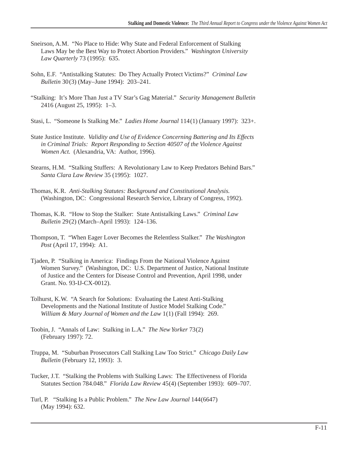- Sneirson, A.M. "No Place to Hide: Why State and Federal Enforcement of Stalking Laws May be the Best Way to Protect Abortion Providers." *Washington University Law Quarterly* 73 (1995): 635.
- Sohn, E.F. "Antistalking Statutes: Do They Actually Protect Victims?" *Criminal Law Bulletin* 30(3) (May–June 1994): 203–241.
- "Stalking: It's More Than Just a TV Star's Gag Material." *Security Management Bulletin*  2416 (August 25, 1995): 1–3.
- Stasi, L. "Someone Is Stalking Me." *Ladies Home Journal* 114(1) (January 1997): 323+.
- State Justice Institute. *Validity and Use of Evidence Concerning Battering and Its Effects in Criminal Trials: Report Responding to Section 40507 of the Violence Against Women Act.* (Alexandria, VA: Author, 1996).
- Stearns, H.M. "Stalking Stuffers: A Revolutionary Law to Keep Predators Behind Bars." *Santa Clara Law Review* 35 (1995): 1027.
- Thomas, K.R. *Anti-Stalking Statutes: Background and Constitutional Analysis.*  (Washington, DC: Congressional Research Service, Library of Congress, 1992).
- Thomas, K.R. "How to Stop the Stalker: State Antistalking Laws." *Criminal Law Bulletin* 29(2) (March–April 1993): 124–136.
- Thompson, T. "When Eager Lover Becomes the Relentless Stalker." *The Washington Post* (April 17, 1994): A1.
- Tjaden, P. "Stalking in America: Findings From the National Violence Against Women Survey." (Washington, DC: U.S. Department of Justice, National Institute of Justice and the Centers for Disease Control and Prevention, April 1998, under Grant. No. 93-IJ-CX-0012).
- Tolhurst, K.W. "A Search for Solutions: Evaluating the Latest Anti-Stalking Developments and the National Institute of Justice Model Stalking Code." *William & Mary Journal of Women and the Law* 1(1) (Fall 1994): 269.
- Toobin, J. "Annals of Law: Stalking in L.A." *The New Yorker* 73(2) (February 1997): 72.
- Truppa, M. "Suburban Prosecutors Call Stalking Law Too Strict." *Chicago Daily Law Bulletin* (February 12, 1993): 3.
- Tucker, J.T. "Stalking the Problems with Stalking Laws: The Effectiveness of Florida Statutes Section 784.048." *Florida Law Review* 45(4) (September 1993): 609–707.
- Turl, P. "Stalking Is a Public Problem." *The New Law Journal* 144(6647) (May 1994): 632.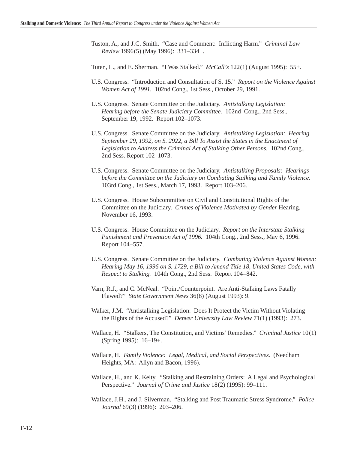- Tuston, A., and J.C. Smith. "Case and Comment: Inflicting Harm." *Criminal Law Review* 1996(5) (May 1996): 331–334+.
- Tuten, L., and E. Sherman. "I Was Stalked." *McCall's* 122(1) (August 1995): 55+.
- U.S. Congress. "Introduction and Consultation of S. 15." *Report on the Violence Against Women Act of 1991.* 102nd Cong., 1st Sess., October 29, 1991.
- U.S. Congress. Senate Committee on the Judiciary. *Antistalking Legislation: Hearing before the Senate Judiciary Committee.* 102nd Cong., 2nd Sess., September 19, 1992. Report 102–1073.
- U.S. Congress. Senate Committee on the Judiciary. *Antistalking Legislation: Hearing September 29, 1992, on S. 2922, a Bill To Assist the States in the Enactment of Legislation to Address the Criminal Act of Stalking Other Persons.* 102nd Cong., 2nd Sess. Report 102–1073.
- U.S. Congress. Senate Committee on the Judiciary. *Antistalking Proposals: Hearings before the Committee on the Judiciary on Combating Stalking and Family Violence.*  103rd Cong., 1st Sess., March 17, 1993. Report 103–206.
- U.S. Congress. House Subcommittee on Civil and Constitutional Rights of the Committee on the Judiciary. *Crimes of Violence Motivated by Gender* Hearing. November 16, 1993.
- U.S. Congress. House Committee on the Judiciary. *Report on the Interstate Stalking Punishment and Prevention Act of 1996.* 104th Cong., 2nd Sess., May 6, 1996. Report 104–557.
- U.S. Congress. Senate Committee on the Judiciary. *Combating Violence Against Women: Hearing May 16, 1996 on S. 1729, a Bill to Amend Title 18, United States Code, with Respect to Stalking.* 104th Cong., 2nd Sess. Report 104–842.
- Varn, R.J., and C. McNeal. "Point/Counterpoint. Are Anti-Stalking Laws Fatally Flawed?" *State Government News* 36(8) (August 1993): 9.
- Walker, J.M. "Antistalking Legislation: Does It Protect the Victim Without Violating the Rights of the Accused?" *Denver University Law Review* 71(1) (1993): 273.
- Wallace, H. "Stalkers, The Constitution, and Victims' Remedies." *Criminal Justice* 10(1) (Spring 1995): 16–19+.
- Wallace, H. *Family Violence: Legal, Medical, and Social Perspectives.* (Needham Heights, MA: Allyn and Bacon, 1996).
- Wallace, H., and K. Kelty. "Stalking and Restraining Orders: A Legal and Psychological Perspective." *Journal of Crime and Justice* 18(2) (1995): 99–111.
- Wallace, J.H., and J. Silverman. "Stalking and Post Traumatic Stress Syndrome." *Police Journal* 69(3) (1996): 203–206.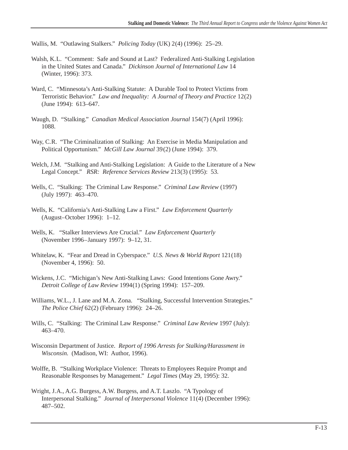Wallis, M. "Outlawing Stalkers." *Policing Today* (UK) 2(4) (1996): 25–29.

- Walsh, K.L. "Comment: Safe and Sound at Last? Federalized Anti-Stalking Legislation in the United States and Canada." *Dickinson Journal of International Law* 14 (Winter, 1996): 373.
- Ward, C. "Minnesota's Anti-Stalking Statute: A Durable Tool to Protect Victims from Terroristic Behavior." *Law and Inequality: A Journal of Theory and Practice* 12(2) (June 1994): 613–647.
- Waugh, D. "Stalking." *Canadian Medical Association Journal* 154(7) (April 1996): 1088.
- Way, C.R. "The Criminalization of Stalking: An Exercise in Media Manipulation and Political Opportunism." *McGill Law Journal* 39(2) (June 1994): 379.
- Welch, J.M. "Stalking and Anti-Stalking Legislation: A Guide to the Literature of a New Legal Concept." *RSR: Reference Services Review* 213(3) (1995): 53.
- Wells, C. "Stalking: The Criminal Law Response." *Criminal Law Review* (1997) (July 1997): 463–470.
- Wells, K. "California's Anti-Stalking Law a First." *Law Enforcement Quarterly*  (August–October 1996): 1–12.
- Wells, K. "Stalker Interviews Are Crucial." *Law Enforcement Quarterly*  (November 1996–January 1997): 9–12, 31.
- Whitelaw, K. "Fear and Dread in Cyberspace." *U.S. News & World Report* 121(18) (November 4, 1996): 50.
- Wickens, J.C. "Michigan's New Anti-Stalking Laws: Good Intentions Gone Awry." *Detroit College of Law Review* 1994(1) (Spring 1994): 157–209.
- Williams, W.L., J. Lane and M.A. Zona. "Stalking, Successful Intervention Strategies." *The Police Chief* 62(2) (February 1996): 24–26.
- Wills, C. "Stalking: The Criminal Law Response." *Criminal Law Review* 1997 (July): 463–470.
- Wisconsin Department of Justice. *Report of 1996 Arrests for Stalking/Harassment in Wisconsin.* (Madison, WI: Author, 1996).
- Wolffe, B. "Stalking Workplace Violence: Threats to Employees Require Prompt and Reasonable Responses by Management." *Legal Times* (May 29, 1995): 32.
- Wright, J.A., A.G. Burgess, A.W. Burgess, and A.T. Laszlo. "A Typology of Interpersonal Stalking." *Journal of Interpersonal Violence* 11(4) (December 1996): 487–502.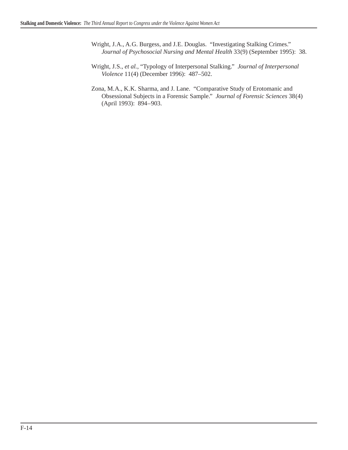- Wright, J.A., A.G. Burgess, and J.E. Douglas. "Investigating Stalking Crimes." *Journal of Psychosocial Nursing and Mental Health* 33(9) (September 1995): 38.
- Wright, J.S., *et al.*, "Typology of Interpersonal Stalking." *Journal of Interpersonal Violence* 11(4) (December 1996): 487–502.
- Zona, M.A., K.K. Sharma, and J. Lane. "Comparative Study of Erotomanic and Obsessional Subjects in a Forensic Sample." *Journal of Forensic Sciences* 38(4) (April 1993): 894–903.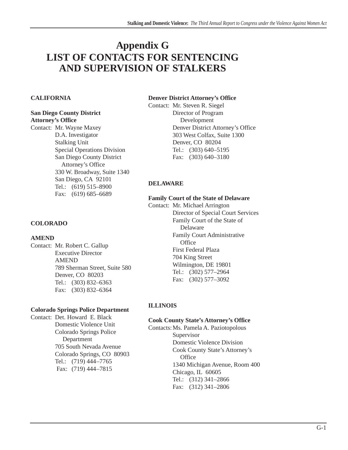### **Appendix G LIST OF CONTACTS FOR SENTENCING AND SUPERVISION OF STALKERS**

#### **CALIFORNIA**

#### **San Diego County District Attorney's Office**

Contact: Mr. Wayne Maxey D.A. Investigator Stalking Unit Special Operations Division San Diego County District Attorney's Office 330 W. Broadway, Suite 1340 San Diego, CA 92101 Tel.: (619) 515–8900 Fax: (619) 685–6689

#### **COLORADO**

#### **AMEND**

Contact: Mr. Robert C. Gallup Executive Director AMEND 789 Sherman Street, Suite 580 Denver, CO 80203 Tel.: (303) 832–6363 Fax: (303) 832–6364

#### **Colorado Springs Police Department**

Contact: Det. Howard E. Black Domestic Violence Unit Colorado Springs Police Department 705 South Nevada Avenue Colorado Springs, CO 80903 Tel.: (719) 444–7765 Fax: (719) 444–7815

#### **Denver District Attorney's Office**

Contact: Mr. Steven R. Siegel Director of Program Development Denver District Attorney's Office 303 West Colfax, Suite 1300 Denver, CO 80204 Tel.: (303) 640–5195 Fax: (303) 640–3180

#### **DELAWARE**

#### **Family Court of the State of Delaware**

Contact: Mr. Michael Arrington Director of Special Court Services Family Court of the State of Delaware Family Court Administrative **Office** First Federal Plaza 704 King Street Wilmington, DE 19801 Tel.: (302) 577–2964 Fax: (302) 577–3092

#### **ILLINOIS**

#### **Cook County State's Attorney's Office**

Contacts:Ms. Pamela A. Paziotopolous Supervisor Domestic Violence Division Cook County State's Attorney's **Office** 1340 Michigan Avenue, Room 400 Chicago, IL 60605 Tel.: (312) 341–2866 Fax: (312) 341–2806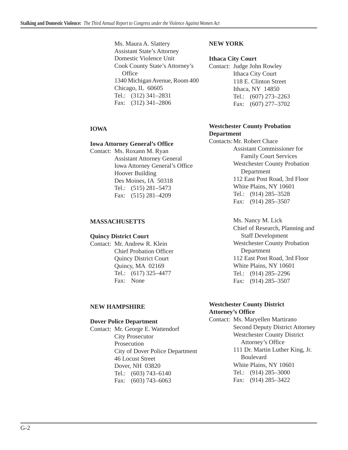Ms. Maura A. Slattery Assistant State's Attorney Domestic Violence Unit Cook County State's Attorney's **Office** 1340 Michigan Avenue, Room 400 Chicago, IL 60605 Tel.: (312) 341–2831 Fax: (312) 341–2806

## **NEW YORK**

## **Ithaca City Court**

Contact: Judge John Rowley Ithaca City Court 118 E. Clinton Street Ithaca, NY 14850 Tel.: (607) 273–2263 Fax: (607) 277–3702

# **Westchester County Probation Department**

Contacts:Mr. Robert Chace Assistant Commissioner for Family Court Services Westchester County Probation Department 112 East Post Road, 3rd Floor White Plains, NY 10601 Tel.: (914) 285–3528 Fax: (914) 285–3507

> Ms. Nancy M. Lick Chief of Research, Planning and Staff Development Westchester County Probation Department 112 East Post Road, 3rd Floor White Plains, NY 10601 Tel.: (914) 285–2296 Fax: (914) 285–3507

# **Westchester County District Attorney's Office**

Contact: Ms. Maryellen Martirano Second Deputy District Attorney Westchester County District Attorney's Office 111 Dr. Martin Luther King, Jr. Boulevard White Plains, NY 10601 Tel.: (914) 285–3000 Fax: (914) 285–3422

#### **IOWA**

## **Iowa Attorney General's Office**

Contact: Ms. Roxann M. Ryan Assistant Attorney General Iowa Attorney General's Office Hoover Building Des Moines, IA 50318 Tel.: (515) 281–5473 Fax: (515) 281–4209

## **MASSACHUSETTS**

## **Quincy District Court**

Contact: Mr. Andrew R. Klein Chief Probation Officer Quincy District Court Quincy, MA 02169 Tel.: (617) 325–4477 Fax: None

## **NEW HAMPSHIRE**

#### **Dover Police Department**

Contact: Mr. George E. Wattendorf City Prosecutor Prosecution City of Dover Police Department 46 Locust Street Dover, NH 03820 Tel.: (603) 743–6140 Fax: (603) 743–6063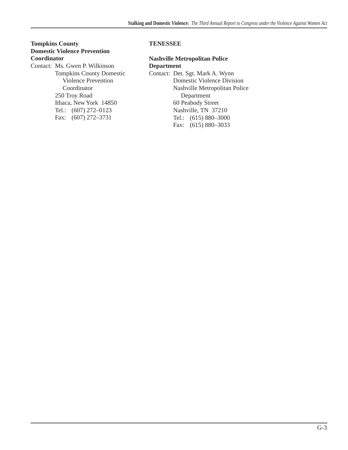# **Tompkins County Domestic Violence Prevention Coordinator**

Contact: Ms. Gwen P. Wilkinson Tompkins County Domestic Violence Prevention Coordinator 250 Troy Road Ithaca, New York 14850 Tel.: (607) 272–0123 Fax: (607) 272–3731

# **TENESSEE**

# **Nashville Metropolitan Police Department**

Contact: Det. Sgt. Mark A. Wynn Domestic Violence Division Nashville Metropolitan Police Department 60 Peabody Street Nashville, TN 37210 Tel.: (615) 880–3000 Fax: (615) 880–3033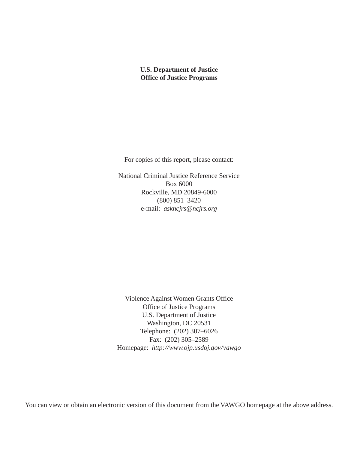# **U.S. Department of Justice Office of Justice Programs**

For copies of this report, please contact:

National Criminal Justice Reference Service Box 6000 Rockville, MD 20849-6000 (800) 851–3420 e-mail: *askncjrs@ncjrs.org* 

Violence Against Women Grants Office Office of Justice Programs U.S. Department of Justice Washington, DC 20531 Telephone: (202) 307–6026 Fax: (202) 305–2589 Homepage: *http://www.ojp.usdoj.gov/vawgo* 

You can view or obtain an electronic version of this document from the VAWGO homepage at the above address.